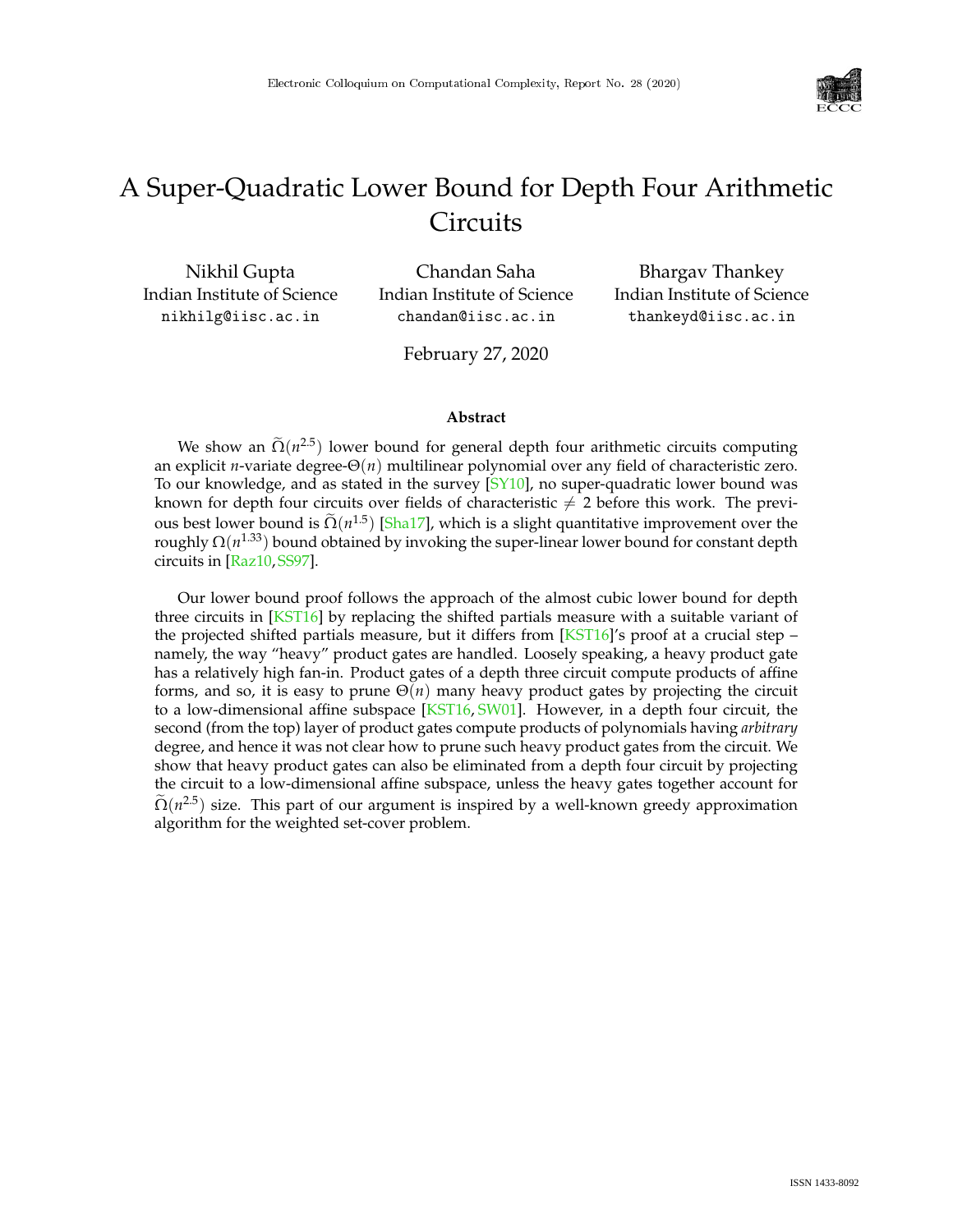

# A Super-Quadratic Lower Bound for Depth Four Arithmetic **Circuits**

Nikhil Gupta Indian Institute of Science nikhilg@iisc.ac.in

Chandan Saha Indian Institute of Science chandan@iisc.ac.in

Bhargav Thankey Indian Institute of Science thankeyd@iisc.ac.in

February 27, 2020

#### **Abstract**

We show an  $\tilde{\Omega}(n^{2.5})$  lower bound for general depth four arithmetic circuits computing an explicit *n*-variate degree-Θ(*n*) multilinear polynomial over any field of characteristic zero. To our knowledge, and as stated in the survey  $[SY10]$ , no super-quadratic lower bound was known for depth four circuits over fields of characteristic  $\neq 2$  before this work. The previous best lower bound is  $\tilde{\Omega}(n^{1.5})$  [\[Sha17\]](#page--1-1), which is a slight quantitative improvement over the roughly Ω(*n* 1.33) bound obtained by invoking the super-linear lower bound for constant depth circuits in [\[Raz10,](#page--1-2)[SS97\]](#page--1-3).

Our lower bound proof follows the approach of the almost cubic lower bound for depth three circuits in [\[KST16\]](#page--1-4) by replacing the shifted partials measure with a suitable variant of the projected shifted partials measure, but it differs from  $[KST16]'s$  $[KST16]'s$  proof at a crucial step – namely, the way "heavy" product gates are handled. Loosely speaking, a heavy product gate has a relatively high fan-in. Product gates of a depth three circuit compute products of affine forms, and so, it is easy to prune Θ(*n*) many heavy product gates by projecting the circuit to a low-dimensional affine subspace [\[KST16,](#page--1-4) [SW01\]](#page--1-5). However, in a depth four circuit, the second (from the top) layer of product gates compute products of polynomials having *arbitrary* degree, and hence it was not clear how to prune such heavy product gates from the circuit. We show that heavy product gates can also be eliminated from a depth four circuit by projecting the circuit to a low-dimensional affine subspace, unless the heavy gates together account for  $\tilde{\Omega}(n^{2.5})$  size. This part of our argument is inspired by a well-known greedy approximation algorithm for the weighted set-cover problem.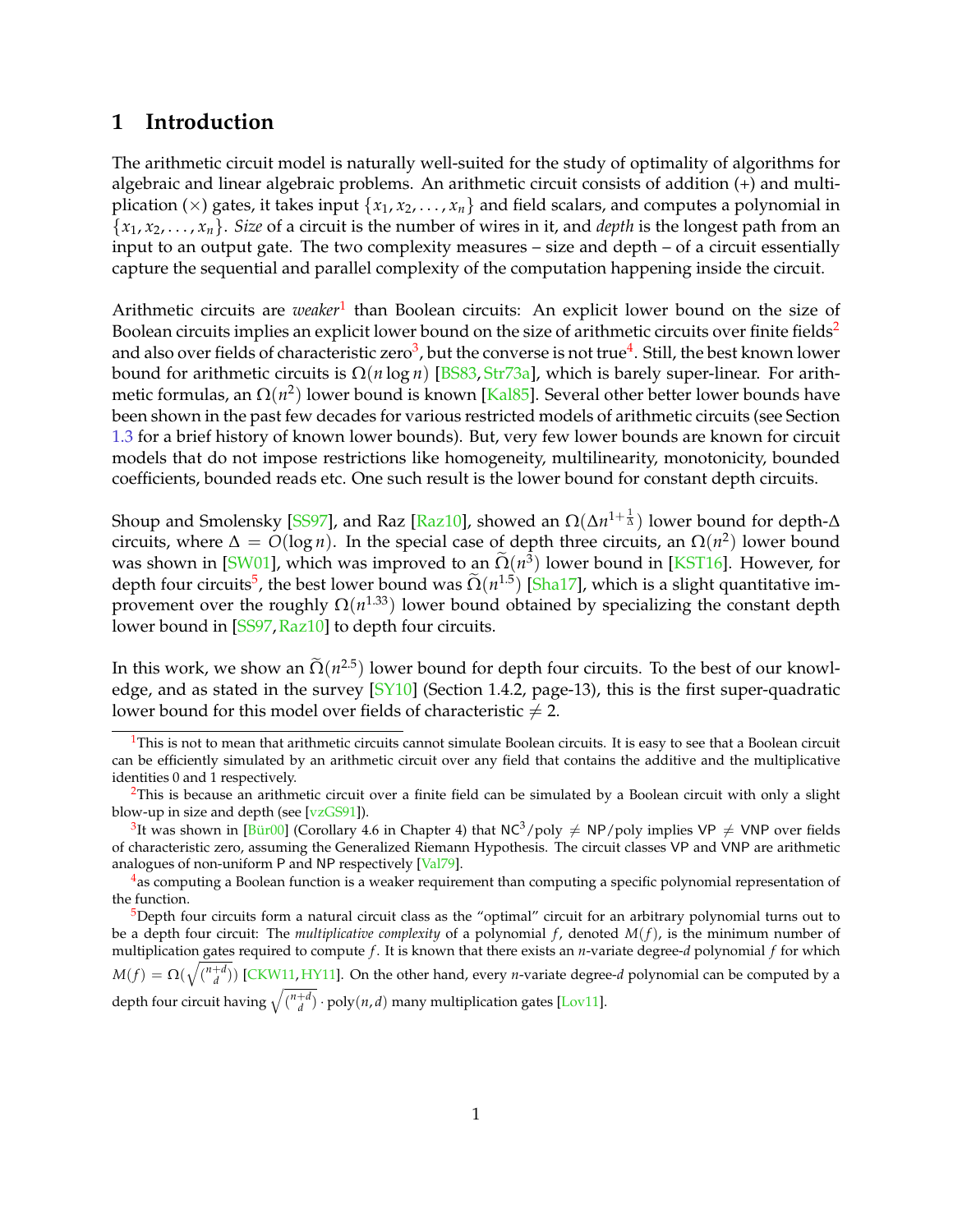## **1 Introduction**

The arithmetic circuit model is naturally well-suited for the study of optimality of algorithms for algebraic and linear algebraic problems. An arithmetic circuit consists of addition (+) and multiplication ( $\times$ ) gates, it takes input { $x_1, x_2, ..., x_n$ } and field scalars, and computes a polynomial in  ${x_1, x_2, \ldots, x_n}$ . *Size* of a circuit is the number of wires in it, and *depth* is the longest path from an input to an output gate. The two complexity measures – size and depth – of a circuit essentially capture the sequential and parallel complexity of the computation happening inside the circuit.

Arithmetic circuits are *weaker*<sup>[1](#page-1-0)</sup> than Boolean circuits: An explicit lower bound on the size of Boolean circuits implies an explicit lower bound on the size of arithmetic circuits over finite fields<sup>[2](#page-1-1)</sup> and also over fields of characteristic zero $^3$  $^3$ , but the converse is not true $^4$  $^4$ . Still, the best known lower bound for arithmetic circuits is Ω(*n* log *n*) [\[BS83,](#page-20-0) [Str73a\]](#page-26-0), which is barely super-linear. For arithmetic formulas*,* an Ω(*n*<sup>2</sup>) lower bound is known [<mark>Kal85</mark>]. Several other better lower bounds have been shown in the past few decades for various restricted models of arithmetic circuits (see Section [1.3](#page-4-0) for a brief history of known lower bounds). But, very few lower bounds are known for circuit models that do not impose restrictions like homogeneity, multilinearity, monotonicity, bounded coefficients, bounded reads etc. One such result is the lower bound for constant depth circuits.

Shoup and Smolensky [\[SS97\]](#page-26-1), and Raz [\[Raz10\]](#page-25-0), showed an Ω(Δn<sup>1+ $\frac{1}{\Delta}$ ) lower bound for depth-Δ</sup> circuits, where  $\Delta = O(\log n)$ . In the special case of depth three circuits, an  $\Omega(n^2)$  lower bound was shown in [\[SW01\]](#page-26-2), which was improved to an  $\Omega(n^3)$  lower bound in [\[KST16\]](#page-23-0). However, for depth four circuits<sup>[5](#page-1-4)</sup>, the best lower bound was  $\tilde{\Omega}(n^{1.5})$  [\[Sha17\]](#page-26-3), which is a slight quantitative improvement over the roughly  $\Omega(n^{1.33})$  lower bound obtained by specializing the constant depth lower bound in [\[SS97,](#page-26-1) [Raz10\]](#page-25-0) to depth four circuits.

In this work, we show an  $\Omega(n^{2.5})$  lower bound for depth four circuits. To the best of our knowl-edge, and as stated in the survey [\[SY10\]](#page-26-4) (Section 1.4.2, page-13), this is the first super-quadratic lower bound for this model over fields of characteristic  $\neq 2$ .

<span id="page-1-0"></span> $<sup>1</sup>$ This is not to mean that arithmetic circuits cannot simulate Boolean circuits. It is easy to see that a Boolean circuit</sup> can be efficiently simulated by an arithmetic circuit over any field that contains the additive and the multiplicative identities 0 and 1 respectively.

<span id="page-1-1"></span> $2$ This is because an arithmetic circuit over a finite field can be simulated by a Boolean circuit with only a slight blow-up in size and depth (see [\[vzGS91\]](#page-27-0)).

<span id="page-1-2"></span><sup>&</sup>lt;sup>3</sup>It was shown in [\[Bür00\]](#page-20-1) (Corollary 4.6 in Chapter 4) that NC<sup>3</sup>/poly  $\neq$  NP/poly implies VP  $\neq$  VNP over fields of characteristic zero, assuming the Generalized Riemann Hypothesis. The circuit classes VP and VNP are arithmetic analogues of non-uniform P and NP respectively [\[Val79\]](#page-26-5).

<span id="page-1-3"></span><sup>&</sup>lt;sup>4</sup>as computing a Boolean function is a weaker requirement than computing a specific polynomial representation of the function.

<span id="page-1-4"></span><sup>5</sup>Depth four circuits form a natural circuit class as the "optimal" circuit for an arbitrary polynomial turns out to be a depth four circuit: The *multiplicative complexity* of a polynomial *f* , denoted *M*(*f*), is the minimum number of multiplication gates required to compute *f*. It is known that there exists an *n*-variate degree-*d* polynomial *f* for which  $M(f) = \Omega(\sqrt{\binom{n+d}{d}})$  [\[CKW11,](#page-20-2) [HY11\]](#page-22-1). On the other hand, every *n*-variate degree-*d* polynomial can be computed by a depth four circuit having  $\sqrt{\binom{n+d}{d}} \cdot \text{poly}(n, d)$  many multiplication gates [\[Lov11\]](#page-24-0).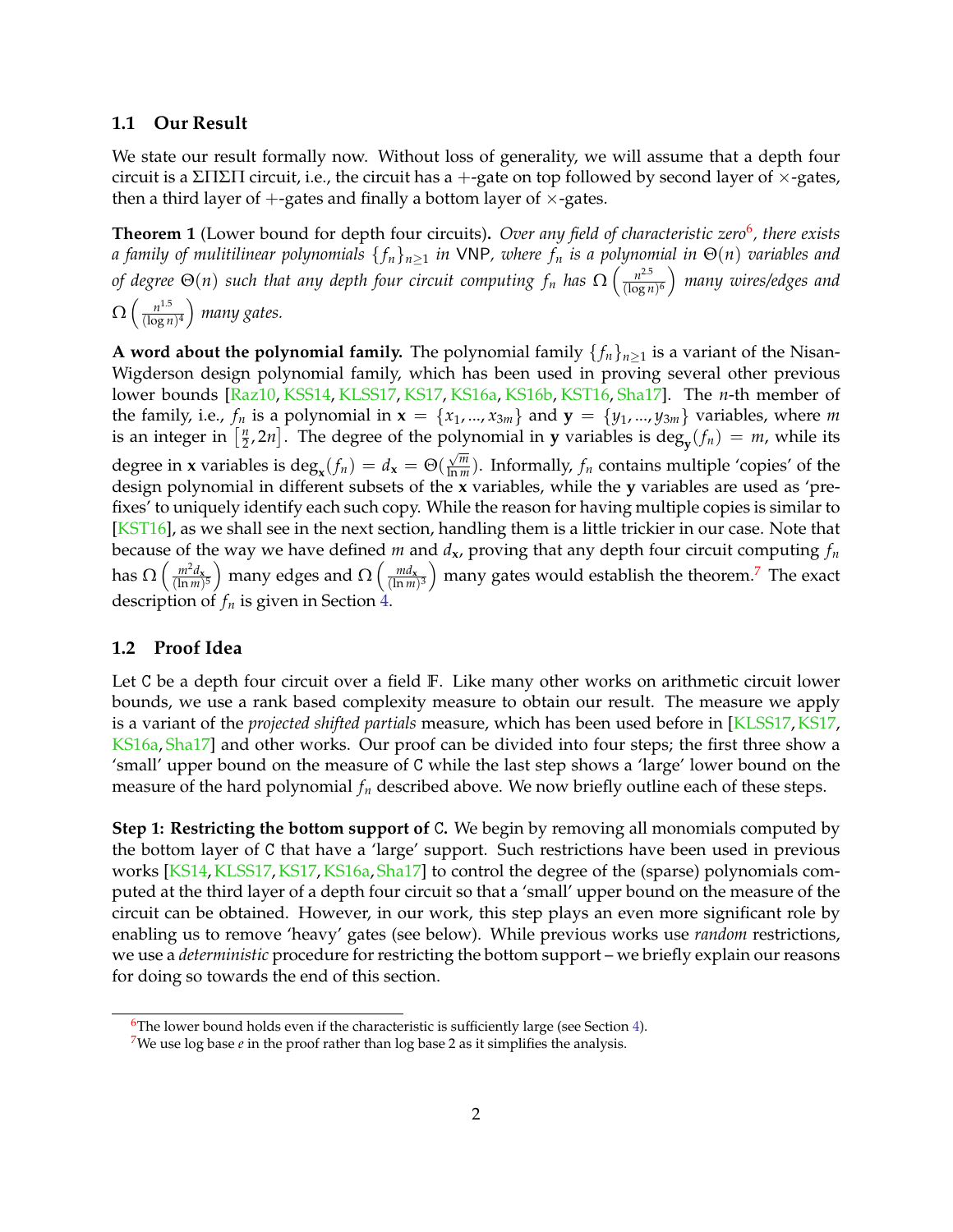#### <span id="page-2-3"></span>**1.1 Our Result**

We state our result formally now. Without loss of generality, we will assume that a depth four circuit is a ΣΠΣΠ circuit, i.e., the circuit has a +-gate on top followed by second layer of  $\times$ -gates, then a third layer of  $+$ -gates and finally a bottom layer of  $\times$ -gates.

<span id="page-2-2"></span>**Theorem 1** (Lower bound for depth four circuits). *Over any field of characteristic zero*<sup>[6](#page-2-0)</sup>, there exists *a family of mulitilinear polynomials* { *fn*}*n*≥<sup>1</sup> *in* VNP*, where f<sup>n</sup> is a polynomial in* Θ(*n*) *variables and of degree*  $\Theta(n)$  *such that any depth four circuit computing*  $f_n$  *has*  $\Omega\left(\frac{n^{2.5}}{(\log n)^{2.5}}\right)$  $\frac{n^{2.5}}{(\log n)^6}$ ) many wires/edges and  $\Omega\left(\frac{n^{1.5}}{(\log n)}\right)$  $\frac{n^{1.5}}{(\log n)^4}$  many gates.

**A word about the polynomial family.** The polynomial family  $\{f_n\}_{n>1}$  is a variant of the Nisan-Wigderson design polynomial family, which has been used in proving several other previous lower bounds [\[Raz10,](#page-25-0) [KSS14,](#page-23-1) [KLSS17,](#page-23-2) [KS17,](#page-23-3) [KS16a,](#page-23-4) [KS16b,](#page-23-5) [KST16,](#page-23-0) [Sha17\]](#page-26-3). The *n*-th member of the family, i.e.,  $f_n$  is a polynomial in  $\mathbf{x} = \{x_1, ..., x_{3m}\}\$  and  $\mathbf{y} = \{y_1, ..., y_{3m}\}\$ variables, where *m* is an integer in  $\left[\frac{n}{2}\right]$  $\left[\frac{n}{2}, 2n\right]$ . The degree of the polynomial in **y** variables is deg<sub>**y**</sub>( $f_n$ ) = *m*, while its degree in **x** variables is  $\deg_{\mathbf{x}}(f_n) = d_{\mathbf{x}} = \Theta(\frac{\sqrt{m}}{\ln m})$  $\frac{\sqrt{m}}{\ln m}$ ). Informally,  $f_n$  contains multiple 'copies' of the design polynomial in different subsets of the **x** variables, while the **y** variables are used as 'prefixes' to uniquely identify each such copy. While the reason for having multiple copies is similar to [\[KST16\]](#page-23-0), as we shall see in the next section, handling them is a little trickier in our case. Note that because of the way we have defined *m* and *d***x**, proving that any depth four circuit computing *f<sup>n</sup>* has  $\Omega\left(\frac{m^2d_{\mathbf{x}}}{(\ln m)}\right)$  $\frac{m^2 d_\mathbf{x}}{(\ln m)^5}$ ) many edges and  $\Omega\left(\frac{m d_\mathbf{x}}{(\ln m)}\right)$  $\left(\frac{md_{\mathbf{x}}}{(\ln m)^3}\right)$  many gates would establish the theorem.<sup>[7](#page-2-1)</sup> The exact description of *f<sup>n</sup>* is given in Section [4.](#page-15-0)

#### **1.2 Proof Idea**

Let C be a depth four circuit over a field **F**. Like many other works on arithmetic circuit lower bounds, we use a rank based complexity measure to obtain our result. The measure we apply is a variant of the *projected shifted partials* measure, which has been used before in [\[KLSS17,](#page-23-2) [KS17,](#page-23-3) [KS16a,](#page-23-4) [Sha17\]](#page-26-3) and other works. Our proof can be divided into four steps; the first three show a 'small' upper bound on the measure of C while the last step shows a 'large' lower bound on the measure of the hard polynomial  $f_n$  described above. We now briefly outline each of these steps.

**Step 1: Restricting the bottom support of** C**.** We begin by removing all monomials computed by the bottom layer of C that have a 'large' support. Such restrictions have been used in previous works [\[KS14,](#page-23-6) [KLSS17,](#page-23-2) [KS17,](#page-23-3) [KS16a,](#page-23-4) [Sha17\]](#page-26-3) to control the degree of the (sparse) polynomials computed at the third layer of a depth four circuit so that a 'small' upper bound on the measure of the circuit can be obtained. However, in our work, this step plays an even more significant role by enabling us to remove 'heavy' gates (see below). While previous works use *random* restrictions, we use a *deterministic* procedure for restricting the bottom support – we briefly explain our reasons for doing so towards the end of this section.

<span id="page-2-0"></span> $6$ The lower bound holds even if the characteristic is sufficiently large (see Section [4\)](#page-15-0).

<span id="page-2-1"></span><sup>&</sup>lt;sup>7</sup>We use log base  $e$  in the proof rather than log base 2 as it simplifies the analysis.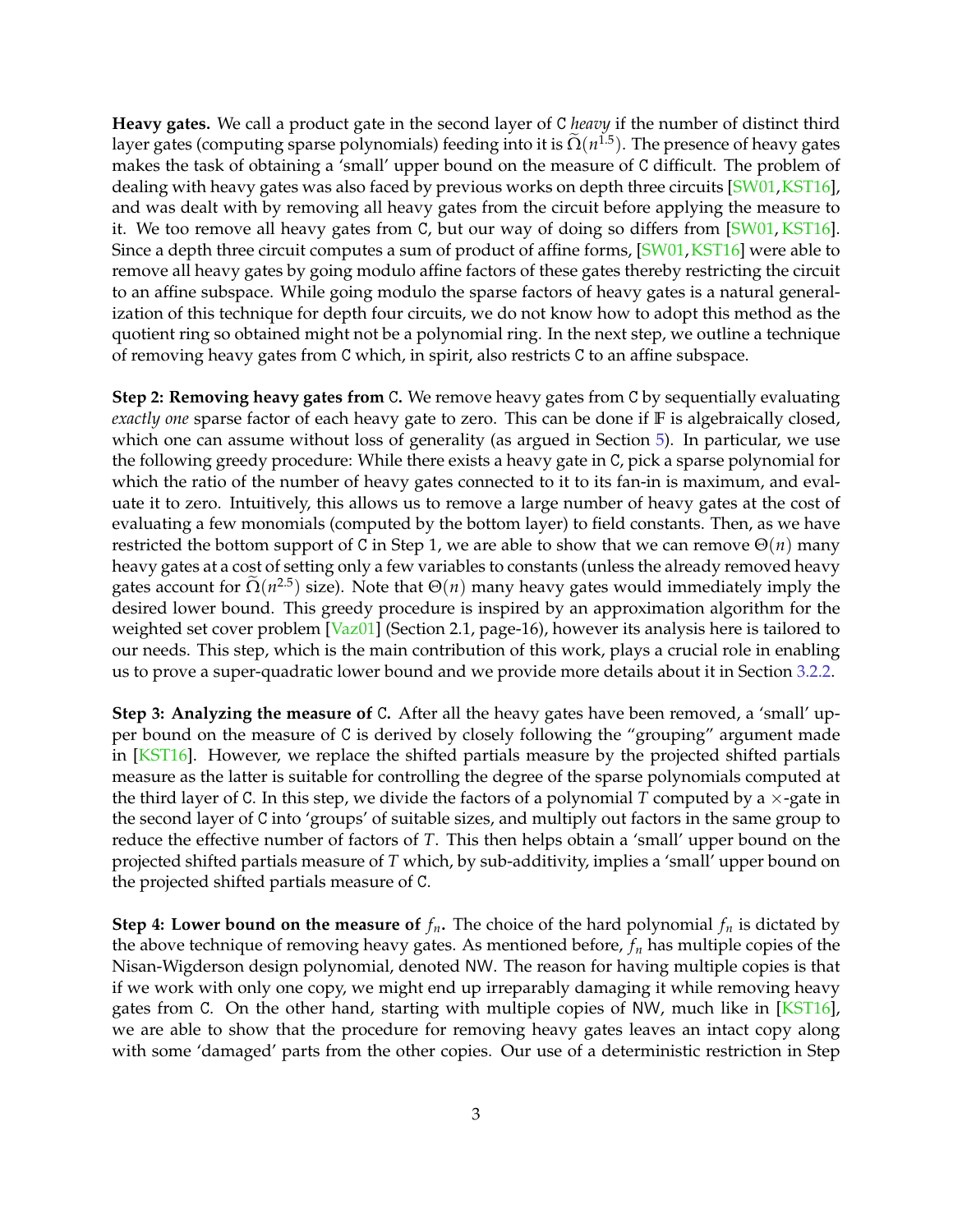**Heavy gates.** We call a product gate in the second layer of C *heavy* if the number of distinct third layer gates (computing sparse polynomials) feeding into it is  $\tilde{\Omega}(n^{1.5})$ . The presence of heavy gates makes the task of obtaining a 'small' upper bound on the measure of C difficult. The problem of dealing with heavy gates was also faced by previous works on depth three circuits [\[SW01,](#page-26-2)[KST16\]](#page-23-0), and was dealt with by removing all heavy gates from the circuit before applying the measure to it. We too remove all heavy gates from C, but our way of doing so differs from [\[SW01,](#page-26-2) [KST16\]](#page-23-0). Since a depth three circuit computes a sum of product of affine forms, [\[SW01,](#page-26-2) [KST16\]](#page-23-0) were able to remove all heavy gates by going modulo affine factors of these gates thereby restricting the circuit to an affine subspace. While going modulo the sparse factors of heavy gates is a natural generalization of this technique for depth four circuits, we do not know how to adopt this method as the quotient ring so obtained might not be a polynomial ring. In the next step, we outline a technique of removing heavy gates from C which, in spirit, also restricts C to an affine subspace.

**Step 2: Removing heavy gates from** C**.** We remove heavy gates from C by sequentially evaluating *exactly one* sparse factor of each heavy gate to zero. This can be done if **F** is algebraically closed, which one can assume without loss of generality (as argued in Section [5\)](#page-17-0). In particular, we use the following greedy procedure: While there exists a heavy gate in C, pick a sparse polynomial for which the ratio of the number of heavy gates connected to it to its fan-in is maximum, and evaluate it to zero. Intuitively, this allows us to remove a large number of heavy gates at the cost of evaluating a few monomials (computed by the bottom layer) to field constants. Then, as we have restricted the bottom support of C in Step 1, we are able to show that we can remove  $\Theta(n)$  many heavy gates at a cost of setting only a few variables to constants (unless the already removed heavy gates account for  $\Omega(n^{2.5})$  size). Note that  $\Theta(n)$  many heavy gates would immediately imply the desired lower bound. This greedy procedure is inspired by an approximation algorithm for the weighted set cover problem [\[Vaz01\]](#page-27-1) (Section 2.1, page-16), however its analysis here is tailored to our needs. This step, which is the main contribution of this work, plays a crucial role in enabling us to prove a super-quadratic lower bound and we provide more details about it in Section [3.2.2.](#page-14-0)

**Step 3: Analyzing the measure of** C**.** After all the heavy gates have been removed, a 'small' upper bound on the measure of C is derived by closely following the "grouping" argument made in [\[KST16\]](#page-23-0). However, we replace the shifted partials measure by the projected shifted partials measure as the latter is suitable for controlling the degree of the sparse polynomials computed at the third layer of C. In this step, we divide the factors of a polynomial *T* computed by a  $\times$ -gate in the second layer of C into 'groups' of suitable sizes, and multiply out factors in the same group to reduce the effective number of factors of *T*. This then helps obtain a 'small' upper bound on the projected shifted partials measure of *T* which, by sub-additivity, implies a 'small' upper bound on the projected shifted partials measure of C.

**Step 4: Lower bound on the measure of**  $f_n$ . The choice of the hard polynomial  $f_n$  is dictated by the above technique of removing heavy gates. As mentioned before, *f<sup>n</sup>* has multiple copies of the Nisan-Wigderson design polynomial, denoted NW. The reason for having multiple copies is that if we work with only one copy, we might end up irreparably damaging it while removing heavy gates from C. On the other hand, starting with multiple copies of NW, much like in [\[KST16\]](#page-23-0), we are able to show that the procedure for removing heavy gates leaves an intact copy along with some 'damaged' parts from the other copies. Our use of a deterministic restriction in Step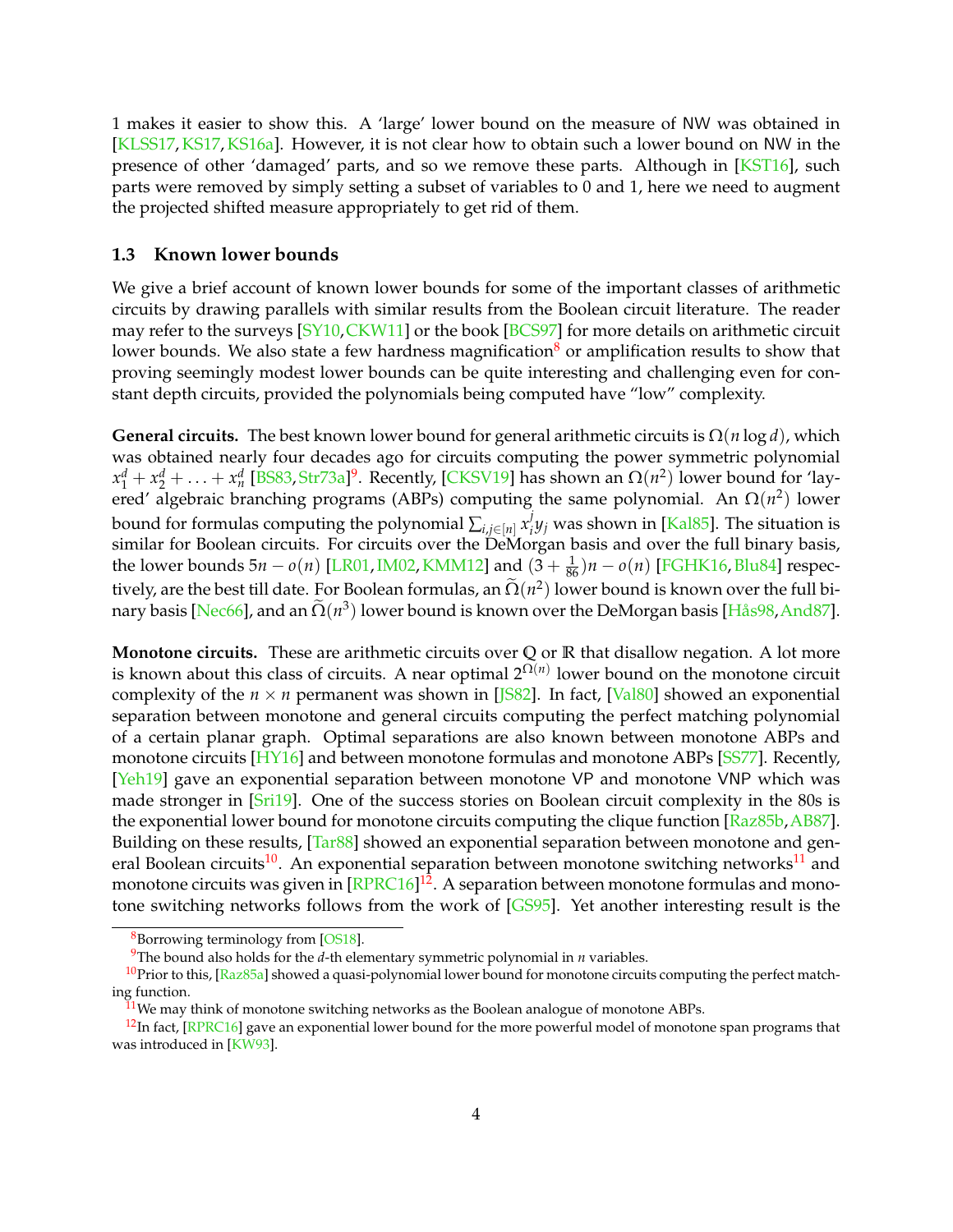1 makes it easier to show this. A 'large' lower bound on the measure of NW was obtained in [\[KLSS17,](#page-23-2) [KS17,](#page-23-3) [KS16a\]](#page-23-4). However, it is not clear how to obtain such a lower bound on NW in the presence of other 'damaged' parts, and so we remove these parts. Although in [\[KST16\]](#page-23-0), such parts were removed by simply setting a subset of variables to 0 and 1, here we need to augment the projected shifted measure appropriately to get rid of them.

#### <span id="page-4-0"></span>**1.3 Known lower bounds**

We give a brief account of known lower bounds for some of the important classes of arithmetic circuits by drawing parallels with similar results from the Boolean circuit literature. The reader may refer to the surveys [\[SY10,](#page-26-4)[CKW11\]](#page-20-2) or the book [\[BCS97\]](#page-20-3) for more details on arithmetic circuit lower bounds. We also state a few hardness magnification<sup>[8](#page-4-1)</sup> or amplification results to show that proving seemingly modest lower bounds can be quite interesting and challenging even for constant depth circuits, provided the polynomials being computed have "low" complexity.

**General circuits.** The best known lower bound for general arithmetic circuits is  $\Omega(n \log d)$ , which was obtained nearly four decades ago for circuits computing the power symmetric polynomial  $x_1^d + x_2^d + \ldots + x_n^d$  [\[BS83,](#page-20-0) [Str73a\]](#page-26-0)<sup>[9](#page-4-2)</sup>. Recently, [\[CKSV19\]](#page-20-4) has shown an  $\Omega(n^2)$  lower bound for 'layered' algebraic branching programs (ABPs) computing the same polynomial. An  $\Omega(n^2)$  lower bound for formulas computing the polynomial  $\sum_{i,j \in [n]} x_i^j$ *i y<sup>j</sup>* was shown in [\[Kal85\]](#page-22-0). The situation is similar for Boolean circuits. For circuits over the DeMorgan basis and over the full binary basis, the lower bounds 5*n* − *o*(*n*) [\[LR01,](#page-24-1)[IM02,](#page-22-2) [KMM12\]](#page-23-7) and (3 + <sup>1</sup> <sup>86</sup> )*n* − *o*(*n*) [\[FGHK16,](#page-21-0)[Blu84\]](#page-20-5) respectively, are the best till date. For Boolean formulas, an  $\Omega(n^2)$  lower bound is known over the full bi-nary basis [\[Nec66\]](#page-24-2), and an  $\tilde{\Omega}(n^3)$  lower bound is known over the DeMorgan basis [\[Hås98,](#page-22-3)[And87\]](#page-19-0).

**Monotone circuits.** These are arithmetic circuits over **Q** or **R** that disallow negation. A lot more is known about this class of circuits. A near optimal  $2^{\Omega(n)}$  lower bound on the monotone circuit complexity of the  $n \times n$  permanent was shown in [[S82]. In fact, [\[Val80\]](#page-27-2) showed an exponential separation between monotone and general circuits computing the perfect matching polynomial of a certain planar graph. Optimal separations are also known between monotone ABPs and monotone circuits [\[HY16\]](#page-22-5) and between monotone formulas and monotone ABPs [\[SS77\]](#page-26-6). Recently, [\[Yeh19\]](#page-27-3) gave an exponential separation between monotone VP and monotone VNP which was made stronger in [\[Sri19\]](#page-26-7). One of the success stories on Boolean circuit complexity in the 80s is the exponential lower bound for monotone circuits computing the clique function [\[Raz85b,](#page-25-1)[AB87\]](#page-19-1). Building on these results, [\[Tar88\]](#page-26-8) showed an exponential separation between monotone and gen-eral Boolean circuits<sup>[10](#page-4-3)</sup>. An exponential separation between monotone switching networks<sup>[11](#page-4-4)</sup> and monotone circuits was given in [<mark>RPRC16]<sup>[12](#page-4-5)</sup>. A separation between monotone formulas and mono-</mark> tone switching networks follows from the work of [\[GS95\]](#page-22-6). Yet another interesting result is the

<span id="page-4-1"></span><sup>8</sup>Borrowing terminology from [\[OS18\]](#page-24-3).

<span id="page-4-3"></span><span id="page-4-2"></span><sup>9</sup>The bound also holds for the *d*-th elementary symmetric polynomial in *n* variables.

 $10$ Prior to this, [\[Raz85a\]](#page-25-3) showed a quasi-polynomial lower bound for monotone circuits computing the perfect matching function.

<span id="page-4-5"></span><span id="page-4-4"></span> $11$ We may think of monotone switching networks as the Boolean analogue of monotone ABPs.

<sup>&</sup>lt;sup>12</sup>In fact, [\[RPRC16\]](#page-25-2) gave an exponential lower bound for the more powerful model of monotone span programs that was introduced in [\[KW93\]](#page-24-4).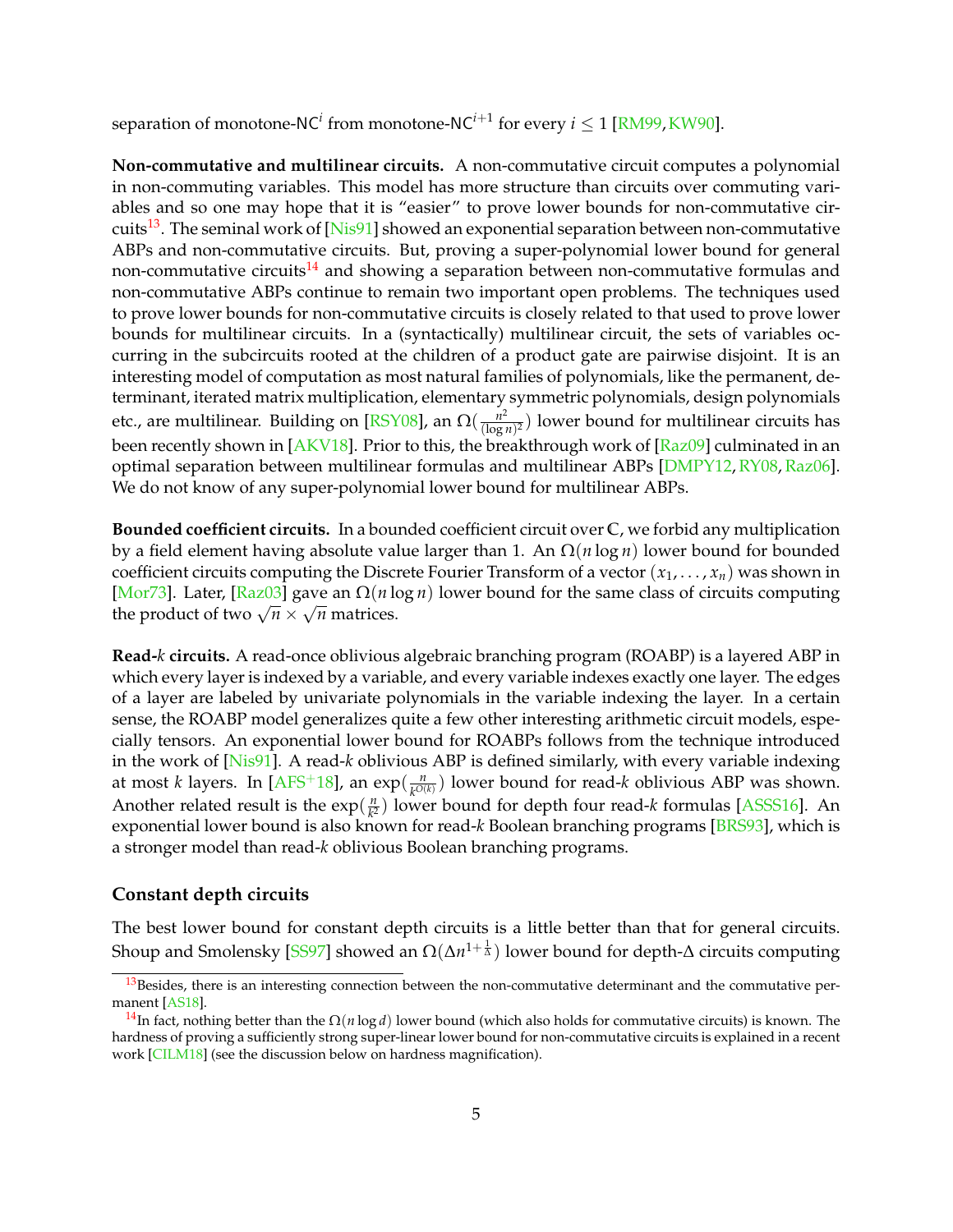separation of monotone-NC<sup>*i*</sup> from monotone-NC<sup>*i*+1</sup> for every *i*  $\leq$  1 [\[RM99,](#page-25-4)[KW90\]](#page-24-5).

**Non-commutative and multilinear circuits.** A non-commutative circuit computes a polynomial in non-commuting variables. This model has more structure than circuits over commuting variables and so one may hope that it is "easier" to prove lower bounds for non-commutative cir-cuits<sup>[13](#page-5-0)</sup>. The seminal work of [\[Nis91\]](#page-24-6) showed an exponential separation between non-commutative ABPs and non-commutative circuits. But, proving a super-polynomial lower bound for general non-commutative circuits<sup>[14](#page-5-1)</sup> and showing a separation between non-commutative formulas and non-commutative ABPs continue to remain two important open problems. The techniques used to prove lower bounds for non-commutative circuits is closely related to that used to prove lower bounds for multilinear circuits. In a (syntactically) multilinear circuit, the sets of variables occurring in the subcircuits rooted at the children of a product gate are pairwise disjoint. It is an interesting model of computation as most natural families of polynomials, like the permanent, determinant, iterated matrix multiplication, elementary symmetric polynomials, design polynomials etc., are multilinear. Building on [\[RSY08\]](#page-25-5), an  $\Omega(\frac{n^2}{(\log n}))$  $\frac{n^2}{(\log n)^2}$ ) lower bound for multilinear circuits has been recently shown in [\[AKV18\]](#page-19-2). Prior to this, the breakthrough work of [\[Raz09\]](#page-25-6) culminated in an optimal separation between multilinear formulas and multilinear ABPs [\[DMPY12,](#page-21-1)[RY08,](#page-25-7)[Raz06\]](#page-25-8). We do not know of any super-polynomial lower bound for multilinear ABPs.

**Bounded coefficient circuits.** In a bounded coefficient circuit over **C**, we forbid any multiplication by a field element having absolute value larger than 1. An Ω(*n* log *n*) lower bound for bounded coefficient circuits computing the Discrete Fourier Transform of a vector  $(x_1, \ldots, x_n)$  was shown in [\[Mor73\]](#page-24-7). Later, [\[Raz03\]](#page-25-9) gave an Ω(*n* log *n*) lower bound for the same class of circuits computing √  $\frac{1 \text{MOT/5}}{1}$ . Later,  $\frac{1 \text{N2U5}}{1}$  gave an  $\frac{1}{1}$   $\frac{1}{1}$  is

**Read-***k* **circuits.** A read-once oblivious algebraic branching program (ROABP) is a layered ABP in which every layer is indexed by a variable, and every variable indexes exactly one layer. The edges of a layer are labeled by univariate polynomials in the variable indexing the layer. In a certain sense, the ROABP model generalizes quite a few other interesting arithmetic circuit models, especially tensors. An exponential lower bound for ROABPs follows from the technique introduced in the work of [\[Nis91\]](#page-24-6). A read-*k* oblivious ABP is defined similarly, with every variable indexing at most *k* layers. In [\[AFS](#page-19-3)<sup>+</sup>18], an exp( $\frac{n}{\mu O(n)}$  $\frac{n}{k^{O(k)}}$  lower bound for read-*k* oblivious ABP was shown. Another related result is the  $\exp(\frac{n}{k^2})$  $\frac{n}{k^2}$ ) lower bound for depth four read-*k* formulas [\[ASSS16\]](#page-19-4). An exponential lower bound is also known for read-*k* Boolean branching programs [\[BRS93\]](#page-20-6), which is a stronger model than read-*k* oblivious Boolean branching programs.

#### **Constant depth circuits**

The best lower bound for constant depth circuits is a little better than that for general circuits. Shoup and Smolensky [\[SS97\]](#page-26-1) showed an Ω(Δn<sup>1+ $\frac{1}{\Delta}$ ) lower bound for depth-Δ circuits computing</sup>

<span id="page-5-0"></span><sup>&</sup>lt;sup>13</sup>Besides, there is an interesting connection between the non-commutative determinant and the commutative permanent [\[AS18\]](#page-19-5).

<span id="page-5-1"></span><sup>14</sup>In fact, nothing better than the Ω(*n* log *d*) lower bound (which also holds for commutative circuits) is known. The hardness of proving a sufficiently strong super-linear lower bound for non-commutative circuits is explained in a recent work [\[CILM18\]](#page-20-7) (see the discussion below on hardness magnification).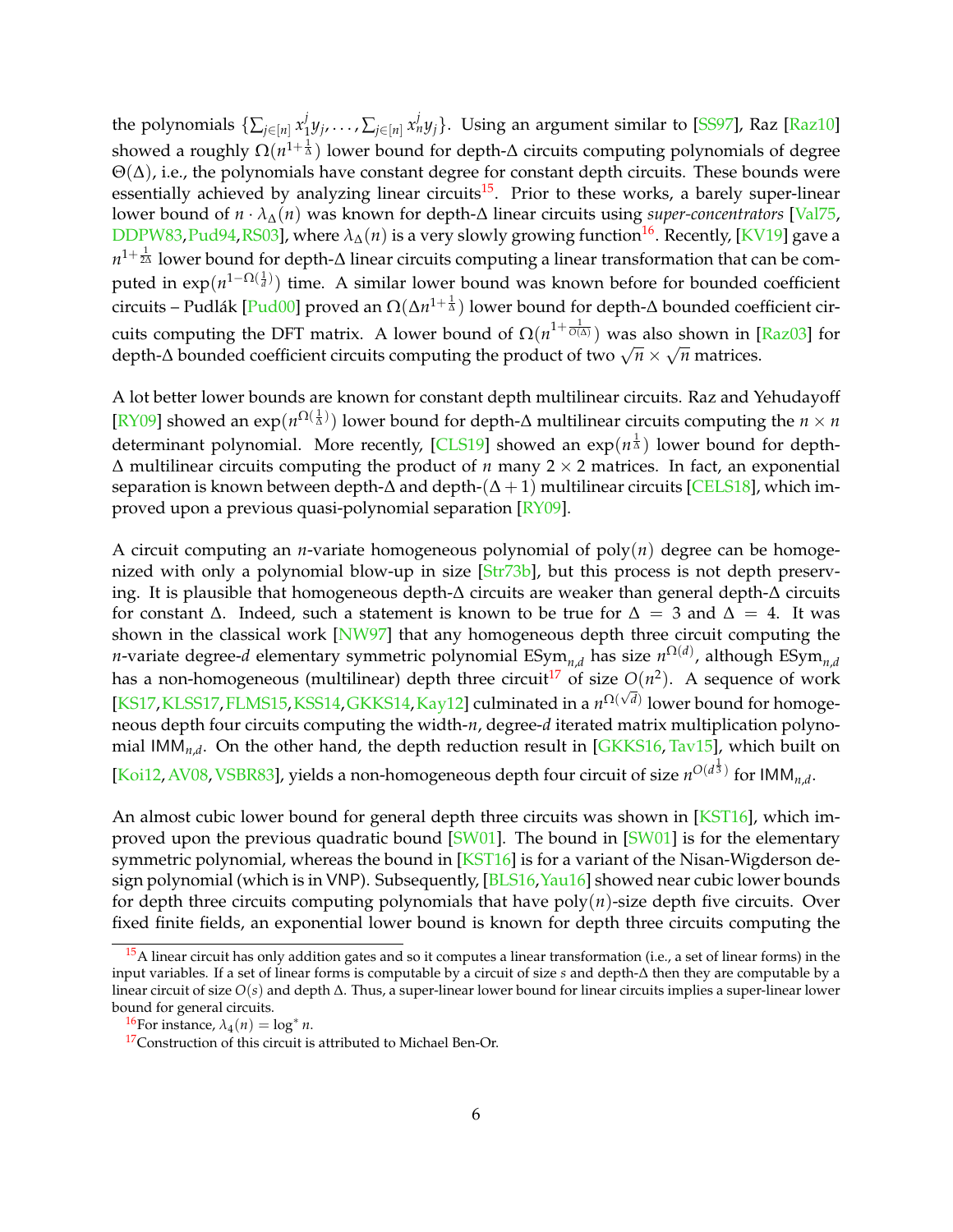the polynomials  $\{\sum_{j\in [n]} x_1^j\}$  $j$ <sub> $1$ </sub> $y_j$ , $\ldots$  ,  $\sum_{j \in [n]} x_n^j y_j\}.$  Using an argument similar to [\[SS97\]](#page-26-1), Raz [\[Raz10\]](#page-25-0) showed a roughly Ω(n<sup>1+ $\frac{1}{\Delta}$ ) lower bound for depth-Δ circuits computing polynomials of degree</sup>  $\Theta(\Delta)$ , i.e., the polynomials have constant degree for constant depth circuits. These bounds were essentially achieved by analyzing linear circuits<sup>[15](#page-6-0)</sup>. Prior to these works, a barely super-linear lower bound of *n* · *λ*∆(*n*) was known for depth-∆ linear circuits using *super-concentrators* [\[Val75,](#page-26-9) [DDPW83,](#page-21-2)[Pud94,](#page-24-8)[RS03\]](#page-25-10), where  $\lambda_{\Delta}(n)$  is a very slowly growing function<sup>[16](#page-6-1)</sup>. Recently, [\[KV19\]](#page-23-8) gave a  $n^{1+\frac{1}{2\Delta}}$  lower bound for depth-∆ linear circuits computing a linear transformation that can be computed in exp(n<sup>1−Ω(1</sup><sup>1</sup>)) time. A similar lower bound was known before for bounded coefficient circuits – Pudlák [\[Pud00\]](#page-25-11) proved an Ω(∆*n* 1+ <sup>1</sup> <sup>∆</sup> ) lower bound for depth-∆ bounded coefficient circuits computing the DFT matrix. A lower bound of  $\Omega(n^{1+\frac{1}{O(\Delta)}})$  was also shown in [\[Raz03\]](#page-25-9) for depth-∆ bounded coefficient circuits computing the product of two  $\sqrt{n} \times$ √ *n* matrices.

A lot better lower bounds are known for constant depth multilinear circuits. Raz and Yehudayoff [\[RY09\]](#page-26-10) showed an exp( $n^{\Omega(\frac{1}{\Delta})}$ ) lower bound for depth-∆ multilinear circuits computing the *n* × *n* determinant polynomial. More recently, [\[CLS19\]](#page-20-8) showed an  $exp(n^{\frac{1}{\Delta}})$  lower bound for depth-∆ multilinear circuits computing the product of *n* many 2 × 2 matrices. In fact, an exponential separation is known between depth- $\Delta$  and depth-( $\Delta + 1$ ) multilinear circuits [\[CELS18\]](#page-20-9), which improved upon a previous quasi-polynomial separation [\[RY09\]](#page-26-10).

A circuit computing an *n*-variate homogeneous polynomial of poly(*n*) degree can be homoge-nized with only a polynomial blow-up in size [\[Str73b\]](#page-26-11), but this process is not depth preserving. It is plausible that homogeneous depth-∆ circuits are weaker than general depth-∆ circuits for constant  $\Delta$ . Indeed, such a statement is known to be true for  $\Delta = 3$  and  $\Delta = 4$ . It was shown in the classical work [\[NW97\]](#page-24-9) that any homogeneous depth three circuit computing the *n*-variate degree-*d* elementary symmetric polynomial  $\mathrm{ESym}_{n,d}$  has size  $n^{\Omega(d)}$ , although  $\mathrm{ESym}_{n,d}$ has a non-homogeneous (multilinear) depth three circuit<sup>[17](#page-6-2)</sup> of size  $O(n^2)$ . A sequence of work  $KST7,KLSS17,FLMS15,KSS14,GKKS14,Kay12]$  $KST7,KLSS17,FLMS15,KSS14,GKKS14,Kay12]$  $KST7,KLSS17,FLMS15,KSS14,GKKS14,Kay12]$  $KST7,KLSS17,FLMS15,KSS14,GKKS14,Kay12]$  $KST7,KLSS17,FLMS15,KSS14,GKKS14,Kay12]$  $KST7,KLSS17,FLMS15,KSS14,GKKS14,Kay12]$  culminated in a  $n^{\Omega(\sqrt{d})}$  lower bound for homogeneous depth four circuits computing the width-*n*, degree-*d* iterated matrix multiplication polynomial IMM*n*,*<sup>d</sup>* . On the other hand, the depth reduction result in [\[GKKS16,](#page-21-5) [Tav15\]](#page-26-12), which built on [\[Koi12,](#page-23-9) [AV08,](#page-19-6) [VSBR83\]](#page-27-4), yields a non-homogeneous depth four circuit of size  $n^{O(d^{\frac{1}{3}})}$  for IMM<sub>n,d</sub>.

An almost cubic lower bound for general depth three circuits was shown in [\[KST16\]](#page-23-0), which im-proved upon the previous quadratic bound [\[SW01\]](#page-26-2). The bound in [SW01] is for the elementary symmetric polynomial, whereas the bound in [\[KST16\]](#page-23-0) is for a variant of the Nisan-Wigderson de-sign polynomial (which is in VNP). Subsequently, [\[BLS16,](#page-20-10) [Yau16\]](#page-27-5) showed near cubic lower bounds for depth three circuits computing polynomials that have  $poly(n)$ -size depth five circuits. Over fixed finite fields, an exponential lower bound is known for depth three circuits computing the

<span id="page-6-0"></span><sup>&</sup>lt;sup>15</sup>A linear circuit has only addition gates and so it computes a linear transformation (i.e., a set of linear forms) in the input variables. If a set of linear forms is computable by a circuit of size *s* and depth-∆ then they are computable by a linear circuit of size *O*(*s*) and depth ∆. Thus, a super-linear lower bound for linear circuits implies a super-linear lower bound for general circuits.

<span id="page-6-1"></span> $\frac{16}{\pi}$ For instance,  $\lambda_4(n) = \log^* n$ .

<span id="page-6-2"></span><sup>&</sup>lt;sup>17</sup>Construction of this circuit is attributed to Michael Ben-Or.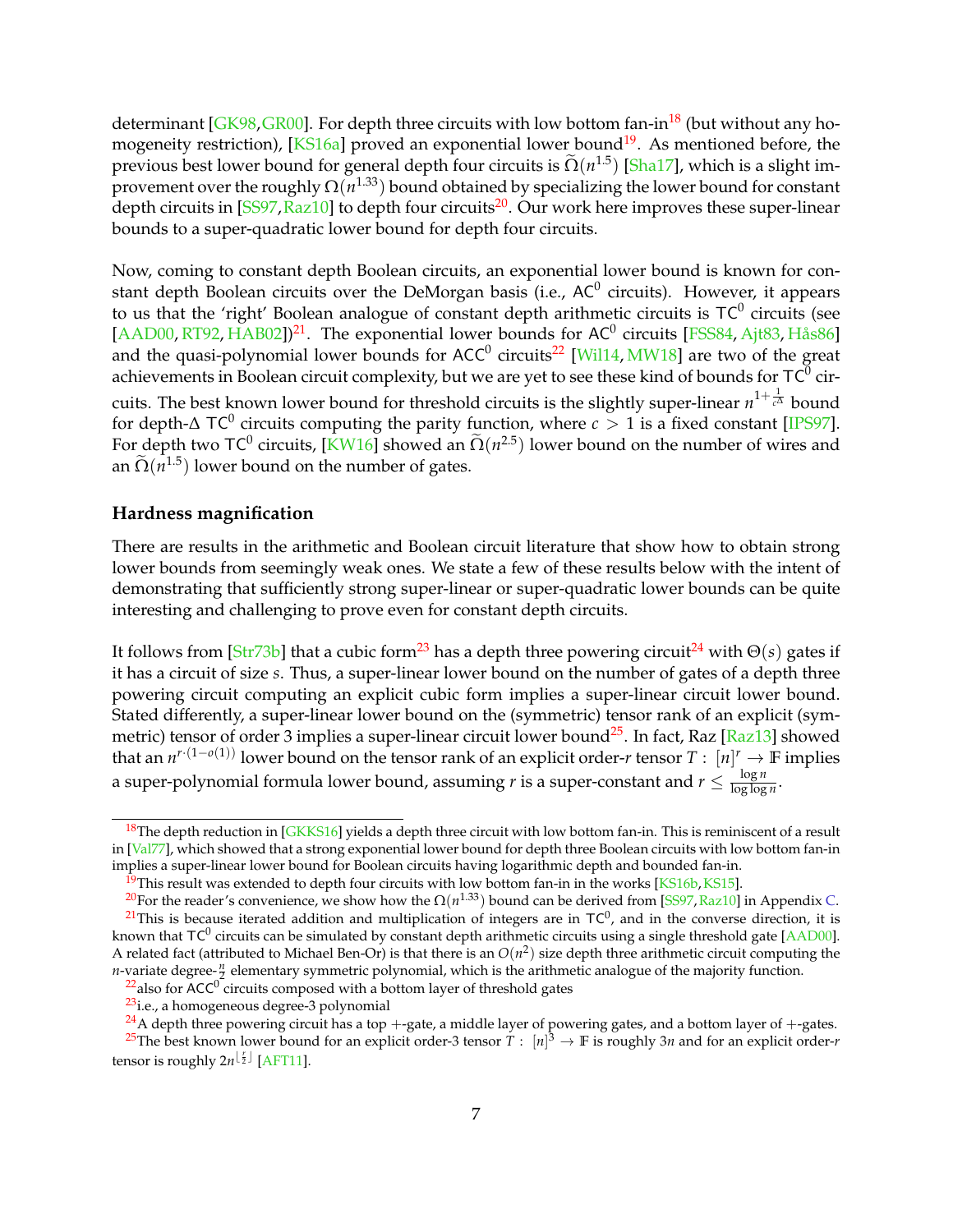determinant [ $GK98$ ,  $GR00$ ]. For depth three circuits with low bottom fan-in<sup>[18](#page-7-0)</sup> (but without any homogeneity restriction),  $[KS16a]$  proved an exponential lower bound<sup>[19](#page-7-1)</sup>. As mentioned before, the previous best lower bound for general depth four circuits is  $\tilde{\Omega}(n^{1.5})$  [\[Sha17\]](#page-26-3), which is a slight improvement over the roughly  $\Omega(n^{1.33})$  bound obtained by specializing the lower bound for constant depth circuits in  $[SS97, Raz10]$  $[SS97, Raz10]$  $[SS97, Raz10]$  to depth four circuits<sup>[20](#page-7-2)</sup>. Our work here improves these super-linear bounds to a super-quadratic lower bound for depth four circuits.

Now, coming to constant depth Boolean circuits, an exponential lower bound is known for constant depth Boolean circuits over the DeMorgan basis (i.e., AC $^0$  circuits). However, it appears to us that the 'right' Boolean analogue of constant depth arithmetic circuits is TC $^0$  circuits (see [\[AAD00,](#page-19-7) [RT92,](#page-25-12) [HAB02\]](#page-22-8))<sup>[21](#page-7-3)</sup>. The exponential lower bounds for  $AC^0$  circuits [\[FSS84,](#page-21-8) [Ajt83,](#page-19-8) [Hås86\]](#page-22-9) and the quasi-polynomial lower bounds for ACC<sup>0</sup> circuits<sup>[22](#page-7-4)</sup> [\[Wil14,](#page-27-6) [MW18\]](#page-24-10) are two of the great achievements in Boolean circuit complexity, but we are yet to see these kind of bounds for TC $^0$  circuits. The best known lower bound for threshold circuits is the slightly super-linear *n* 1+ <sup>1</sup> *<sup>c</sup>*<sup>∆</sup> bound for depth-∆ TC<sup>0</sup> circuits computing the parity function, where  $c > 1$  is a fixed constant [\[IPS97\]](#page-22-10). For depth two TC<sup>0</sup> circuits, [\[KW16\]](#page-24-11) showed an  $\tilde{\Omega}(n^{2.5})$  lower bound on the number of wires and  $\tilde{\Omega}(n^{1.5})$ . an  $\tilde{\Omega}(n^{1.5})$  lower bound on the number of gates.

## **Hardness magnification**

There are results in the arithmetic and Boolean circuit literature that show how to obtain strong lower bounds from seemingly weak ones. We state a few of these results below with the intent of demonstrating that sufficiently strong super-linear or super-quadratic lower bounds can be quite interesting and challenging to prove even for constant depth circuits.

It follows from  $\left[Str73b\right]$  that a cubic form<sup>[23](#page-7-5)</sup> has a depth three powering circuit<sup>[24](#page-7-6)</sup> with  $\Theta(s)$  gates if it has a circuit of size *s*. Thus, a super-linear lower bound on the number of gates of a depth three powering circuit computing an explicit cubic form implies a super-linear circuit lower bound. Stated differently, a super-linear lower bound on the (symmetric) tensor rank of an explicit (sym-metric) tensor of order 3 implies a super-linear circuit lower bound<sup>[25](#page-7-7)</sup>. In fact, Raz [\[Raz13\]](#page-25-13) showed that an *n <sup>r</sup>*·(1−*o*(1)) lower bound on the tensor rank of an explicit order-*r* tensor *T* : [*n*] *<sup>r</sup>* → **F** implies a super-polynomial formula lower bound, assuming *r* is a super-constant and  $r \leq \frac{\log n}{\log \log n}$  $\frac{\log n}{\log \log n}$ .

7

<span id="page-7-0"></span><sup>&</sup>lt;sup>18</sup>The depth reduction in [\[GKKS16\]](#page-21-5) yields a depth three circuit with low bottom fan-in. This is reminiscent of a result in [\[Val77\]](#page-26-13), which showed that a strong exponential lower bound for depth three Boolean circuits with low bottom fan-in implies a super-linear lower bound for Boolean circuits having logarithmic depth and bounded fan-in.

<span id="page-7-2"></span><span id="page-7-1"></span><sup>&</sup>lt;sup>19</sup>This result was extended to depth four circuits with low bottom fan-in in the works [\[KS16b,](#page-23-5) [KS15\]](#page-23-10).

<span id="page-7-3"></span><sup>&</sup>lt;sup>20</sup>For the reader's convenience, we show how the  $\Omega(n^{1.33})$  bound can be derived from [\[SS97,](#page-26-1) [Raz10\]](#page-25-0) in Appendix [C.](#page-33-0) <sup>21</sup>This is because iterated addition and multiplication of integers are in  $TC^0$ , and in the converse direction, it is known that TC<sup>0</sup> circuits can be simulated by constant depth arithmetic circuits using a single threshold gate [\[AAD00\]](#page-19-7). A related fact (attributed to Michael Ben-Or) is that there is an  $O(n^2)$  size depth three arithmetic circuit computing the *n*-variate degree- $\frac{n}{2}$  elementary symmetric polynomial, which is the arithmetic analogue of the majority function.

<span id="page-7-4"></span> $22$ also for ACC<sup>0</sup> circuits composed with a bottom layer of threshold gates

<span id="page-7-6"></span><span id="page-7-5"></span><sup>23</sup>i.e., a homogeneous degree-3 polynomial

<span id="page-7-7"></span><sup>&</sup>lt;sup>24</sup>A depth three powering circuit has a top +-gate, a middle layer of powering gates, and a bottom layer of +-gates.  $^{25}$ The best known lower bound for an explicit order-3 tensor  $T:~[n]^3\to \mathbb{F}$  is roughly 3*n* and for an explicit order-*r* tensor is roughly  $2n^{\lfloor \frac{r}{2} \rfloor}$  [\[AFT11\]](#page-19-9).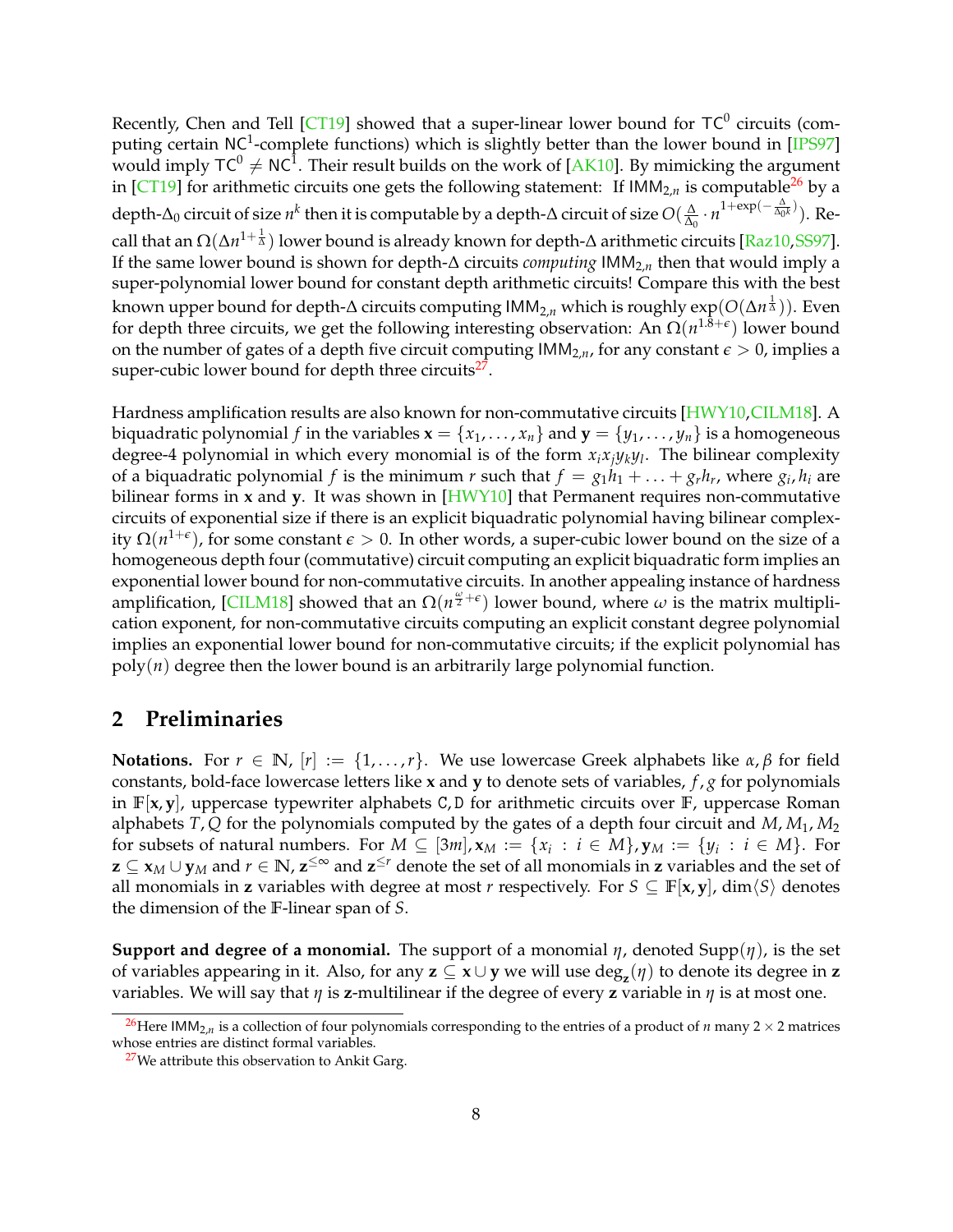Recently, Chen and Tell [\[CT19\]](#page-20-11) showed that a super-linear lower bound for TC<sup>0</sup> circuits (com-puting certain NC<sup>1</sup>-complete functions) which is slightly better than the lower bound in [\[IPS97\]](#page-22-10) would imply TC $^0\neq$  NC $^1$ . Their result builds on the work of [\[AK10\]](#page-19-10). By mimicking the argument in [\[CT19\]](#page-20-11) for arithmetic circuits one gets the following statement: If  $IMM<sub>2,n</sub>$  is computable<sup>[26](#page-8-0)</sup> by a depth-∆<sup>0</sup> circuit of size *n k* then it is computable by a depth-∆ circuit of size *O*( ∆  $\frac{\Delta}{\Delta_0} \cdot n^{1+\exp(-\frac{\Delta}{\Delta_0 k})}$ ). Recall that an Ω(∆*n* 1+ <sup>1</sup> <sup>∆</sup> ) lower bound is already known for depth-∆ arithmetic circuits [\[Raz10,](#page-25-0)[SS97\]](#page-26-1). If the same lower bound is shown for depth-∆ circuits *computing* IMM2,*<sup>n</sup>* then that would imply a super-polynomial lower bound for constant depth arithmetic circuits! Compare this with the best known upper bound for depth-∆ circuits computing IMM2,*<sup>n</sup>* which is roughly exp(*O*(∆*n* 1 <sup>∆</sup> )). Even for depth three circuits, we get the following interesting observation: An Ω(*n*<sup>1.8+ε</sup>) lower bound on the number of gates of a depth five circuit computing  $IMM_{2,n}$ , for any constant  $\epsilon > 0$ , implies a super-cubic lower bound for depth three circuits<sup>[27](#page-8-1)</sup>.

Hardness amplification results are also known for non-commutative circuits [\[HWY10,](#page-22-11)[CILM18\]](#page-20-7). A biquadratic polynomial *f* in the variables  $\mathbf{x} = \{x_1, \ldots, x_n\}$  and  $\mathbf{y} = \{y_1, \ldots, y_n\}$  is a homogeneous degree-4 polynomial in which every monomial is of the form *xixjyky<sup>l</sup>* . The bilinear complexity of a biquadratic polynomial *f* is the minimum *r* such that  $f = g_1h_1 + \ldots + g_rh_r$ , where  $g_i$ ,  $h_i$  are bilinear forms in **x** and **y**. It was shown in [\[HWY10\]](#page-22-11) that Permanent requires non-commutative circuits of exponential size if there is an explicit biquadratic polynomial having bilinear complexity  $\Omega(n^{1+\epsilon})$ , for some constant  $\epsilon > 0$ . In other words, a super-cubic lower bound on the size of a homogeneous depth four (commutative) circuit computing an explicit biquadratic form implies an exponential lower bound for non-commutative circuits. In another appealing instance of hardness amplification, [\[CILM18\]](#page-20-7) showed that an  $\Omega(n^{\frac{\omega}{2}+\epsilon})$  lower bound, where  $\omega$  is the matrix multiplication exponent, for non-commutative circuits computing an explicit constant degree polynomial implies an exponential lower bound for non-commutative circuits; if the explicit polynomial has poly(*n*) degree then the lower bound is an arbitrarily large polynomial function.

## <span id="page-8-2"></span>**2 Preliminaries**

**Notations.** For  $r \in \mathbb{N}$ ,  $[r] := \{1, \ldots, r\}$ . We use lowercase Greek alphabets like  $\alpha, \beta$  for field constants, bold-face lowercase letters like **x** and **y** to denote sets of variables, *f* , *g* for polynomials in **F**[**x**, **y**], uppercase typewriter alphabets C, D for arithmetic circuits over **F**, uppercase Roman alphabets *T*, *Q* for the polynomials computed by the gates of a depth four circuit and *M*, *M*1, *M*<sup>2</sup> for subsets of natural numbers. For  $M \subseteq [3m]$ ,  $\mathbf{x}_M := \{x_i : i \in M\}$ ,  $\mathbf{y}_M := \{y_i : i \in M\}$ . For **z** ⊆ **x***<sup>M</sup>* ∪ **y***<sup>M</sup>* and *r* ∈ **N**, **z** <sup>≤</sup><sup>∞</sup> and **z** <sup>≤</sup>*<sup>r</sup>* denote the set of all monomials in **z** variables and the set of all monomials in **z** variables with degree at most *r* respectively. For  $S \subseteq \mathbb{F}[\mathbf{x}, \mathbf{y}]$ , dim $\langle S \rangle$  denotes the dimension of the **F**-linear span of *S*.

**Support and degree of a monomial.** The support of a monomial  $\eta$ , denoted Supp $(\eta)$ , is the set of variables appearing in it. Also, for any  $z \subseteq x \cup y$  we will use  $\deg_z(\eta)$  to denote its degree in  $z$ variables. We will say that *η* is **z**-multilinear if the degree of every **z** variable in *η* is at most one.

<span id="page-8-0"></span><sup>&</sup>lt;sup>26</sup>Here IMM<sub>2,*n*</sub> is a collection of four polynomials corresponding to the entries of a product of *n* many 2  $\times$  2 matrices whose entries are distinct formal variables.

<span id="page-8-1"></span> $27$ We attribute this observation to Ankit Garg.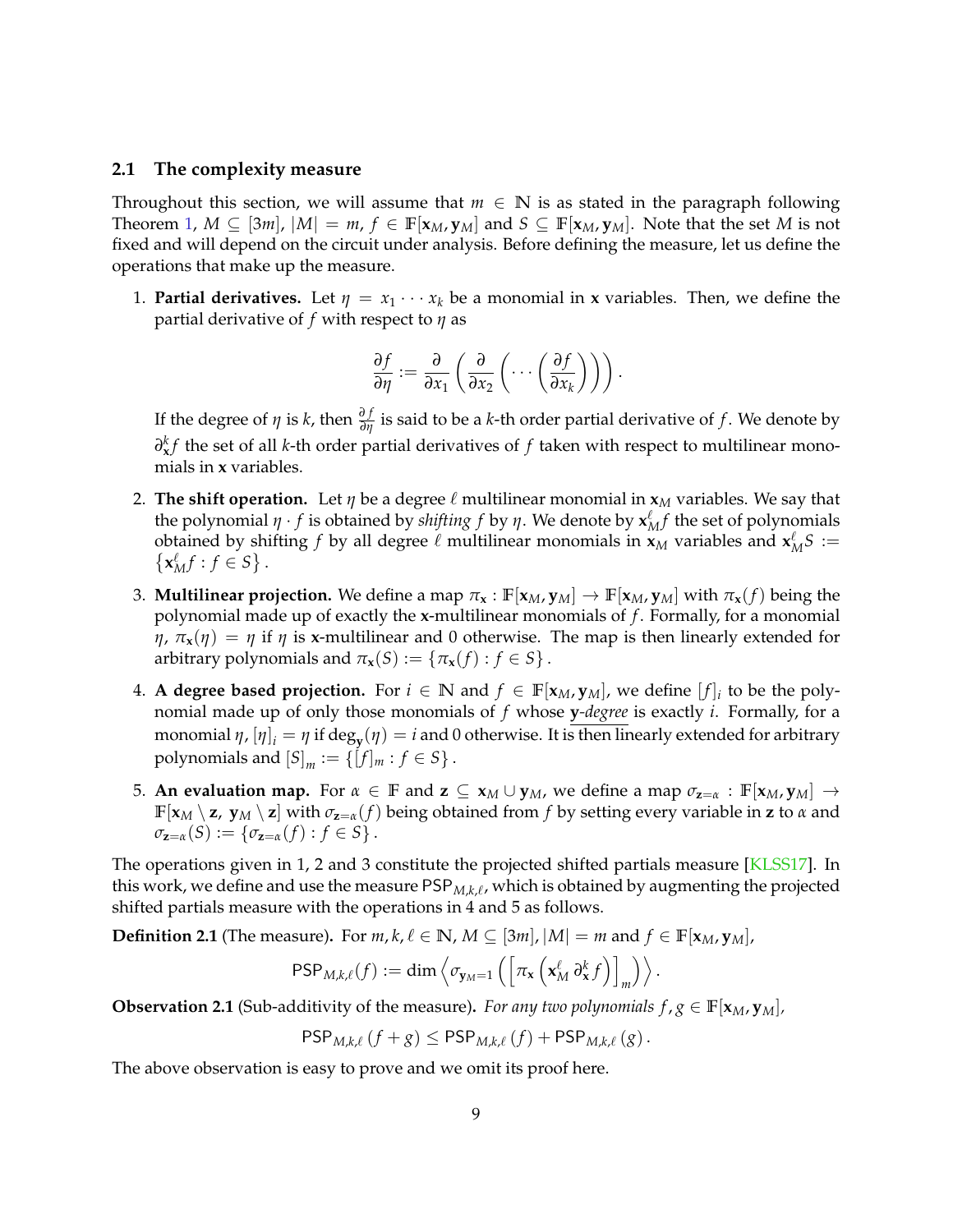#### **2.1 The complexity measure**

Throughout this section, we will assume that  $m \in \mathbb{N}$  is as stated in the paragraph following Theorem [1,](#page-2-2)  $M \subseteq [3m]$ ,  $|M| = m$ ,  $f \in \mathbb{F}[x_M, y_M]$  and  $S \subseteq \mathbb{F}[x_M, y_M]$ . Note that the set M is not fixed and will depend on the circuit under analysis. Before defining the measure, let us define the operations that make up the measure.

1. **Partial derivatives.** Let  $\eta = x_1 \cdots x_k$  be a monomial in **x** variables. Then, we define the partial derivative of *f* with respect to *η* as

$$
\frac{\partial f}{\partial \eta} := \frac{\partial}{\partial x_1} \left( \frac{\partial}{\partial x_2} \left( \cdots \left( \frac{\partial f}{\partial x_k} \right) \right) \right).
$$

If the degree of  $\eta$  is  $k$ , then  $\frac{\partial f}{\partial \eta}$  is said to be a  $k$ -th order partial derivative of  $f$ . We denote by *∂kf* the set of all *k*-th order partial derivatives of *f* taken with respect to multilinear monomials in **x** variables.

- 2. **The shift operation.** Let  $\eta$  be a degree  $\ell$  multilinear monomial in  $\mathbf{x}_M$  variables. We say that the polynomial  $\eta \cdot f$  is obtained by *shifting*  $f$  by  $\eta$ . We denote by  $\mathbf{x}_M^{\ell} f$  the set of polynomials obtained by shifting *f* by all degree  $\ell$  multilinear monomials in  $\mathbf{x}_M$  variables and  $\mathbf{x}_M^{\ell} S := \{\mathbf{x}_M^{\ell} f : f \in S\}$ .  $\mathbf{x}_M^{\ell} f : f \in S$ .
- 3. **Multilinear projection.** We define a map  $\pi_x : \mathbb{F}[\mathbf{x}_M, \mathbf{y}_M] \to \mathbb{F}[\mathbf{x}_M, \mathbf{y}_M]$  with  $\pi_x(f)$  being the polynomial made up of exactly the **x**-multilinear monomials of *f* . Formally, for a monomial *η*,  $\pi$ **x**(*η*) = *η* if *η* is **x**-multilinear and 0 otherwise. The map is then linearly extended for arbitrary polynomials and  $\pi_{\mathbf{x}}(S) := \{ \pi_{\mathbf{x}}(f) : f \in S \}$ .
- **4. A degree based projection.** For  $i \in \mathbb{N}$  and  $f \in \mathbb{F}[x_M, y_M]$ , we define  $[f]_i$  to be the polynomial made up of only those monomials of *f* whose **y***-degree* is exactly *i*. Formally, for a monomial  $η$ ,  $[η]_i = η$  if deg<sub>y</sub> $(η) = i$  and 0 otherwise. It is then linearly extended for arbitrary polynomials and  $[S]_m := \{[f]_m : f \in S\}$ .
- 5. **An evaluation map.** For  $\alpha \in \mathbb{F}$  and  $\mathbf{z} \subseteq \mathbf{x}_M \cup \mathbf{y}_M$ , we define a map  $\sigma_{\mathbf{z}=\alpha} : \mathbb{F}[\mathbf{x}_M, \mathbf{y}_M] \rightarrow$  $\mathbb{F}[\mathbf{x}_M \setminus \mathbf{z}, \mathbf{y}_M \setminus \mathbf{z}]$  with  $\sigma_{\mathbf{z}=\alpha}(f)$  being obtained from *f* by setting every variable in **z** to *α* and  $\sigma_{z=a}(S) := \{\sigma_{z=a}(f) : f \in S\}.$

The operations given in 1, 2 and 3 constitute the projected shifted partials measure [\[KLSS17\]](#page-23-2). In this work, we define and use the measure  $\mathsf{PSP}_{M,k,\ell}$ , which is obtained by augmenting the projected shifted partials measure with the operations in 4 and 5 as follows.

**Definition 2.1** (The measure). For  $m, k, \ell \in \mathbb{N}$ ,  $M \subseteq [3m]$ ,  $|M| = m$  and  $f \in \mathbb{F}[\mathbf{x}_M, \mathbf{y}_M]$ ,

$$
\mathsf{PSP}_{M,k,\ell}(f) := \dim \left\langle \sigma_{\mathbf{y}_M=1}\left( \left[ \pi_{\mathbf{x}} \left( \mathbf{x}_M^{\ell} \, \partial_{\mathbf{x}}^k f \right) \right]_m \right) \right\rangle.
$$

**Observation 2.1** (Sub-additivity of the measure). *For any two polynomials*  $f, g \in \mathbb{F}[\mathbf{x}_M, \mathbf{y}_M]$ *,* 

$$
\mathsf{PSP}_{M,k,\ell}(f+g) \leq \mathsf{PSP}_{M,k,\ell}(f) + \mathsf{PSP}_{M,k,\ell}(g).
$$

The above observation is easy to prove and we omit its proof here.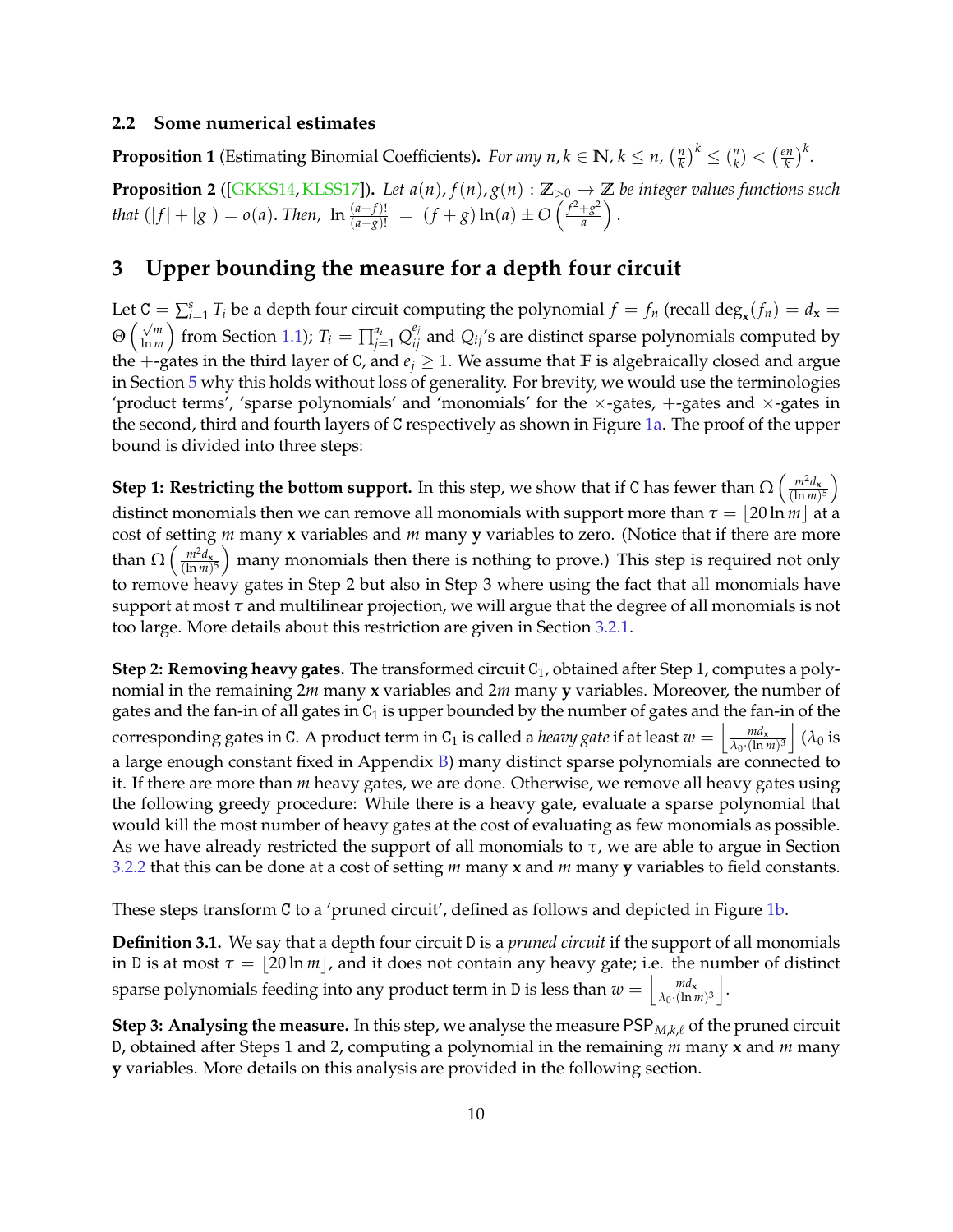#### **2.2 Some numerical estimates**

<span id="page-10-2"></span>**Proposition 1** (Estimating Binomial Coefficients). *For any n, k*  $\in \mathbb{N}$ *, k*  $\leq n$ *,*  $\left(\frac{n}{k}\right)$  $\left(\frac{n}{k}\right)^k \leq \left(\frac{n}{k}\right)^n$  $\binom{n}{k} < \left(\frac{en}{k}\right)$  $(\frac{2n}{k})^k$ .

<span id="page-10-1"></span>**Proposition 2** ([\[GKKS14,](#page-21-4)[KLSS17\]](#page-23-2)). Let  $a(n)$ ,  $f(n)$ ,  $g(n): \mathbb{Z}_{>0} \to \mathbb{Z}$  be integer values functions such *that*  $(|f| + |g|) = o(a)$ . *Then,*  $\ln \frac{(a+f)!}{(a-g)!} = (f+g) \ln(a) \pm O\left(\frac{f^2+g^2}{a}\right)$  $rac{+g^2}{a}$ .

## <span id="page-10-0"></span>**3 Upper bounding the measure for a depth four circuit**

Let  $C = \sum_{i=1}^{s} T_i$  be a depth four circuit computing the polynomial  $f = f_n$  (recall deg<sub>x</sub>( $f_n$ ) =  $d_x$  =  $\Theta\left(\frac{\sqrt{m}}{\ln m}\right)$  $\frac{\sqrt{m}}{\ln m}$ ) from Section [1.1\)](#page-2-3);  $T_i = \prod_{j=1}^{a_i} Q_{ij}^{e_j}$  and  $Q_{ij}$ 's are distinct sparse polynomials computed by the +-gates in the third layer of C, and  $e_i \geq 1$ . We assume that **F** is algebraically closed and argue in Section [5](#page-17-0) why this holds without loss of generality. For brevity, we would use the terminologies 'product terms', 'sparse polynomials' and 'monomials' for the  $\times$ -gates,  $+$ -gates and  $\times$ -gates in the second, third and fourth layers of C respectively as shown in Figure [1a.](#page-11-0) The proof of the upper bound is divided into three steps:

**Step 1: Restricting the bottom support.** In this step, we show that if C has fewer than  $\Omega\left(\frac{m^2d_x}{(\ln m)}\right)$  $\frac{m^2d_{\mathbf{x}}}{(\ln m)^5}$ distinct monomials then we can remove all monomials with support more than  $\tau = |20 \ln m|$  at a cost of setting *m* many **x** variables and *m* many **y** variables to zero. (Notice that if there are more than  $\Omega\left(\frac{m^2d_x}{(\ln m)}\right)$  $\frac{m^2d_{\mathbf{x}}}{(\ln m)^5}$  many monomials then there is nothing to prove.) This step is required not only to remove heavy gates in Step 2 but also in Step 3 where using the fact that all monomials have support at most *τ* and multilinear projection, we will argue that the degree of all monomials is not too large. More details about this restriction are given in Section [3.2.1.](#page-13-0)

**Step 2: Removing heavy gates.** The transformed circuit C<sub>1</sub>, obtained after Step 1, computes a polynomial in the remaining 2*m* many **x** variables and 2*m* many **y** variables. Moreover, the number of gates and the fan-in of all gates in  $C_1$  is upper bounded by the number of gates and the fan-in of the corresponding gates in C. A product term in C<sub>1</sub> is called a *heavy gate* if at least  $w = \frac{md_x}{\lambda_0 \cdot (\ln t)}$  $\frac{m d_{\mathbf{x}}}{\lambda_0 \cdot (\ln m)^3}$   $(\lambda_0$  is a large enough constant fixed in Appendix [B\)](#page-31-0) many distinct sparse polynomials are connected to it. If there are more than *m* heavy gates, we are done. Otherwise, we remove all heavy gates using the following greedy procedure: While there is a heavy gate, evaluate a sparse polynomial that would kill the most number of heavy gates at the cost of evaluating as few monomials as possible. As we have already restricted the support of all monomials to *τ*, we are able to argue in Section [3.2.2](#page-14-0) that this can be done at a cost of setting *m* many **x** and *m* many **y** variables to field constants.

These steps transform C to a 'pruned circuit', defined as follows and depicted in Figure [1b.](#page-11-0)

**Definition 3.1.** We say that a depth four circuit D is a *pruned circuit* if the support of all monomials in D is at most  $\tau = \lfloor 20 \ln m \rfloor$ , and it does not contain any heavy gate; i.e. the number of distinct sparse polynomials feeding into any product term in D is less than  $w = \frac{m d_x}{\lambda_0 \cdot (\ln n)}$  $\frac{m d_{\mathbf{x}}}{\lambda_0 \cdot (\ln m)^3}$ .

**Step 3: Analysing the measure.** In this step, we analyse the measure  $\text{PSP}_{M,k,\ell}$  of the pruned circuit D, obtained after Steps 1 and 2, computing a polynomial in the remaining *m* many **x** and *m* many **y** variables. More details on this analysis are provided in the following section.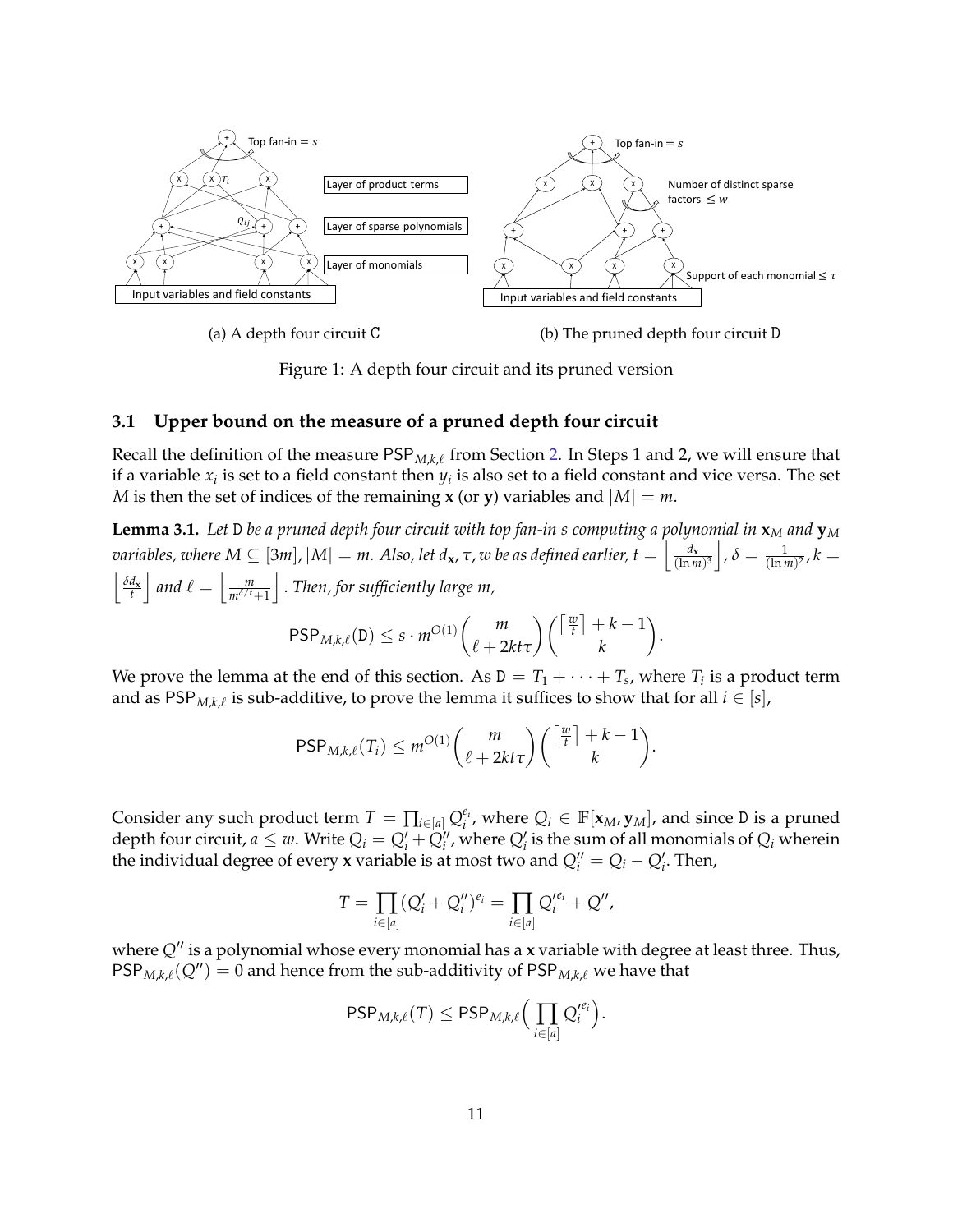<span id="page-11-0"></span>

(a) A depth four circuit C

(b) The pruned depth four circuit D

Figure 1: A depth four circuit and its pruned version

### <span id="page-11-2"></span>**3.1 Upper bound on the measure of a pruned depth four circuit**

Recall the definition of the measure  $\mathsf{PSP}_{M,k,\ell}$  from Section [2.](#page-8-2) In Steps 1 and 2, we will ensure that if a variable  $x_i$  is set to a field constant then  $y_i$  is also set to a field constant and vice versa. The set *M* is then the set of indices of the remaining **x** (or **y**) variables and  $|M| = m$ .

<span id="page-11-1"></span>**Lemma 3.1.** *Let* D *be a pruned depth four circuit with top fan-in s computing a polynomial in* **x***<sup>M</sup> and* **y***<sup>M</sup>*  $\alpha$  *variables, where*  $M \subseteq [3m]$ *,*  $|M| = m$ . Also, let  $d_{\bf x}$ ,  $\tau$ ,  $w$  be as defined earlier,  $t = \left| \frac{d_{\bf x}^2}{(\ln n)^2}\right|$  $\frac{d_{\mathbf{x}}}{(\ln m)^3}$  ,  $\delta = \frac{1}{(\ln m)^2}$  ,  $k =$  $\left| \frac{\delta d_{\mathbf{x}}}{t} \right|$  and  $\ell = \left| \frac{m}{m^{\delta/t}} \right|$  $m^{\delta/t}+1$ k . *Then, for sufficiently large m,*

$$
\mathsf{PSP}_{M,k,\ell}(\mathsf{D}) \leq s \cdot m^{O(1)} \binom{m}{\ell+2kt\tau} \binom{\lceil \frac{w}{t} \rceil + k - 1}{k}.
$$

We prove the lemma at the end of this section. As  $D = T_1 + \cdots + T_s$ , where  $T_i$  is a product term and as  $\mathsf{PSP}_{M,k,\ell}$  is sub-additive, to prove the lemma it suffices to show that for all  $i \in [s]$ ,

$$
\mathsf{PSP}_{M,k,\ell}(T_i) \leq m^{O(1)} \binom{m}{\ell+2kt\tau} \binom{\lceil \frac{w}{t} \rceil + k - 1}{k}.
$$

Consider any such product term  $T = \prod_{i \in [a]} Q_i^{e_i}$  $e_i$ , where  $Q_i \in \mathbb{F}[\mathbf{x}_M, \mathbf{y}_M]$ , and since D is a pruned depth four circuit,  $a \leq w$ . Write  $Q_i = Q'_i + Q''_i$ , where  $Q'_i$  is the sum of all monomials of  $Q_i$  wherein the individual degree of every **x** variable is at most two and  $Q''_i = Q_i - Q'_i$ . Then,

$$
T = \prod_{i \in [a]} (Q'_i + Q''_i)^{e_i} = \prod_{i \in [a]} Q'^{e_i}_i + Q'',
$$

where  $Q''$  is a polynomial whose every monomial has a **x** variable with degree at least three. Thus,  $PSP_{M,k,\ell}(Q'') = 0$  and hence from the sub-additivity of PSP<sub>*M*,*k*, $\ell$  we have that</sub>

$$
\mathsf{PSP}_{M,k,\ell}(T) \leq \mathsf{PSP}_{M,k,\ell} \Big( \prod_{i \in [a]} Q_i'^{e_i} \Big).
$$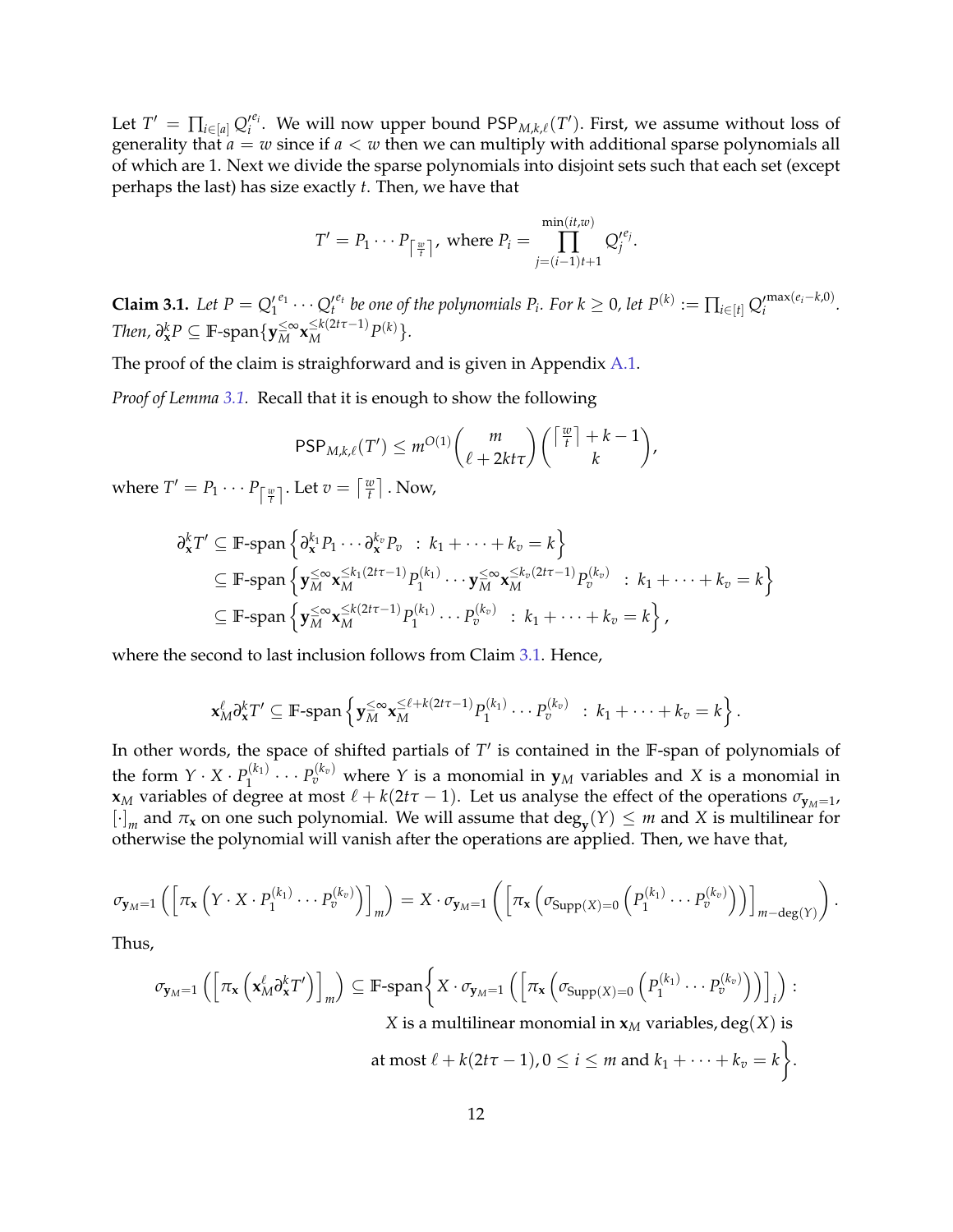Let  $T' = \prod_{i \in [a]} Q_i'^{e_i}$ . We will now upper bound  $\mathsf{PSP}_{M,k,\ell}(T')$ . First, we assume without loss of generality that  $a = w$  since if  $a < w$  then we can multiply with additional sparse polynomials all of which are 1. Next we divide the sparse polynomials into disjoint sets such that each set (except perhaps the last) has size exactly *t*. Then, we have that

$$
T' = P_1 \cdots P_{\lceil \frac{w}{t} \rceil}, \text{ where } P_i = \prod_{j=(i-1)t+1}^{\min(it,w)} Q_j'^{e_j}.
$$

<span id="page-12-0"></span>**Claim 3.1.** Let  $P = Q_1^{\prime e_1} \cdots Q_t^{\prime e_t}$  be one of the polynomials  $P_i$ . For  $k \ge 0$ , let  $P^{(k)} := \prod_{i \in [t]} Q_i^{\prime \max(e_i - k, 0)}$ .  $\mathcal{D}^k$ *RP*  $\subseteq$  **F**-span $\{ \mathbf{y}_M^{\leq \infty} \mathbf{x}_M^{\leq k(2t\tau-1)} P^{(k)} \}.$ 

The proof of the claim is straighforward and is given in Appendix [A.1.](#page-27-7)

*Proof of Lemma [3.1.](#page-11-1)* Recall that it is enough to show the following

$$
\mathsf{PSP}_{M,k,\ell}(T') \leq m^{O(1)} \binom{m}{\ell+2kt\tau} \binom{\lceil \frac{w}{t} \rceil + k - 1}{k},
$$

where  $T' = P_1 \cdots P_{\left\lceil \frac{w}{t} \right\rceil}$ . Let  $v = \left\lceil \frac{w}{t} \right\rceil$  $\left\lfloor \frac{w}{t} \right\rfloor$  . Now,

$$
\partial_{\mathbf{x}}^{k}T' \subseteq \mathbb{F}\text{-span}\left\{\partial_{\mathbf{x}}^{k_1}P_1\cdots\partial_{\mathbf{x}}^{k_v}P_v \ : \ k_1+\cdots+k_v=k\right\}
$$
\n
$$
\subseteq \mathbb{F}\text{-span}\left\{\mathbf{y}_{M}^{\leq \infty}\mathbf{x}_{M}^{\leq k_1(2t\tau-1)}P_1^{(k_1)}\cdots\mathbf{y}_{M}^{\leq \infty}\mathbf{x}_{M}^{\leq k_v(2t\tau-1)}P_v^{(k_v)} \ : \ k_1+\cdots+k_v=k\right\}
$$
\n
$$
\subseteq \mathbb{F}\text{-span}\left\{\mathbf{y}_{M}^{\leq \infty}\mathbf{x}_{M}^{\leq k(2t\tau-1)}P_1^{(k_1)}\cdots P_v^{(k_v)} \ : \ k_1+\cdots+k_v=k\right\},\
$$

where the second to last inclusion follows from Claim [3.1.](#page-12-0) Hence,

$$
\mathbf{x}_M^{\ell} \partial_{\mathbf{x}}^k T' \subseteq \mathbb{F}\text{-span}\left\{\mathbf{y}_M^{\leq \infty} \mathbf{x}_M^{\leq \ell + k(2t\tau - 1)} P_1^{(k_1)} \cdots P_v^{(k_v)} \ : \ k_1 + \cdots + k_v = k \right\}.
$$

In other words, the space of shifted partials of T' is contained in the F-span of polynomials of the form  $Y \cdot X \cdot P_1^{(k_1)}$  $P_1^{(k_1)} \cdots P_v^{(k_v)}$  where  $Y$  is a monomial in  $\mathbf{y}_M$  variables and  $X$  is a monomial in **x***M* variables of degree at most  $\ell + k(2t\tau - 1)$ . Let us analyse the effect of the operations  $\sigma_{y_M=1}$ ,  $\left[\cdot\right]_m$  and  $\pi_x$  on one such polynomial. We will assume that  $\deg_y(Y) \leq m$  and *X* is multilinear for otherwise the polynomial will vanish after the operations are applied. Then, we have that,

$$
\sigma_{\mathbf{y}_M=1}\left(\left[\pi_{\mathbf{x}}\left(Y\cdot X\cdot P_1^{(k_1)}\cdots P_v^{(k_v)}\right)\right]_m\right)=X\cdot \sigma_{\mathbf{y}_M=1}\left(\left[\pi_{\mathbf{x}}\left(\sigma_{\mathrm{Supp}(X)=0}\left(P_1^{(k_1)}\cdots P_v^{(k_v)}\right)\right)\right]_{m-\mathrm{deg}(Y)}\right).
$$

Thus,

$$
\sigma_{\mathbf{y}_M=1}\left(\left[\pi_{\mathbf{x}}\left(\mathbf{x}_M^{\ell}\partial_{\mathbf{x}}^kT'\right)\right]_m\right) \subseteq \mathbb{F}\text{-span}\left\{X\cdot\sigma_{\mathbf{y}_M=1}\left(\left[\pi_{\mathbf{x}}\left(\sigma_{\text{Supp}(X)=0}\left(P_1^{(k_1)}\cdots P_v^{(k_v)}\right)\right)\right]_i\right) : X \text{ is a multilinear monomial in } \mathbf{x}_M \text{ variables, } \deg(X) \text{ is at most } \ell + k(2t\tau - 1), 0 \le i \le m \text{ and } k_1 + \cdots + k_v = k\right\}.
$$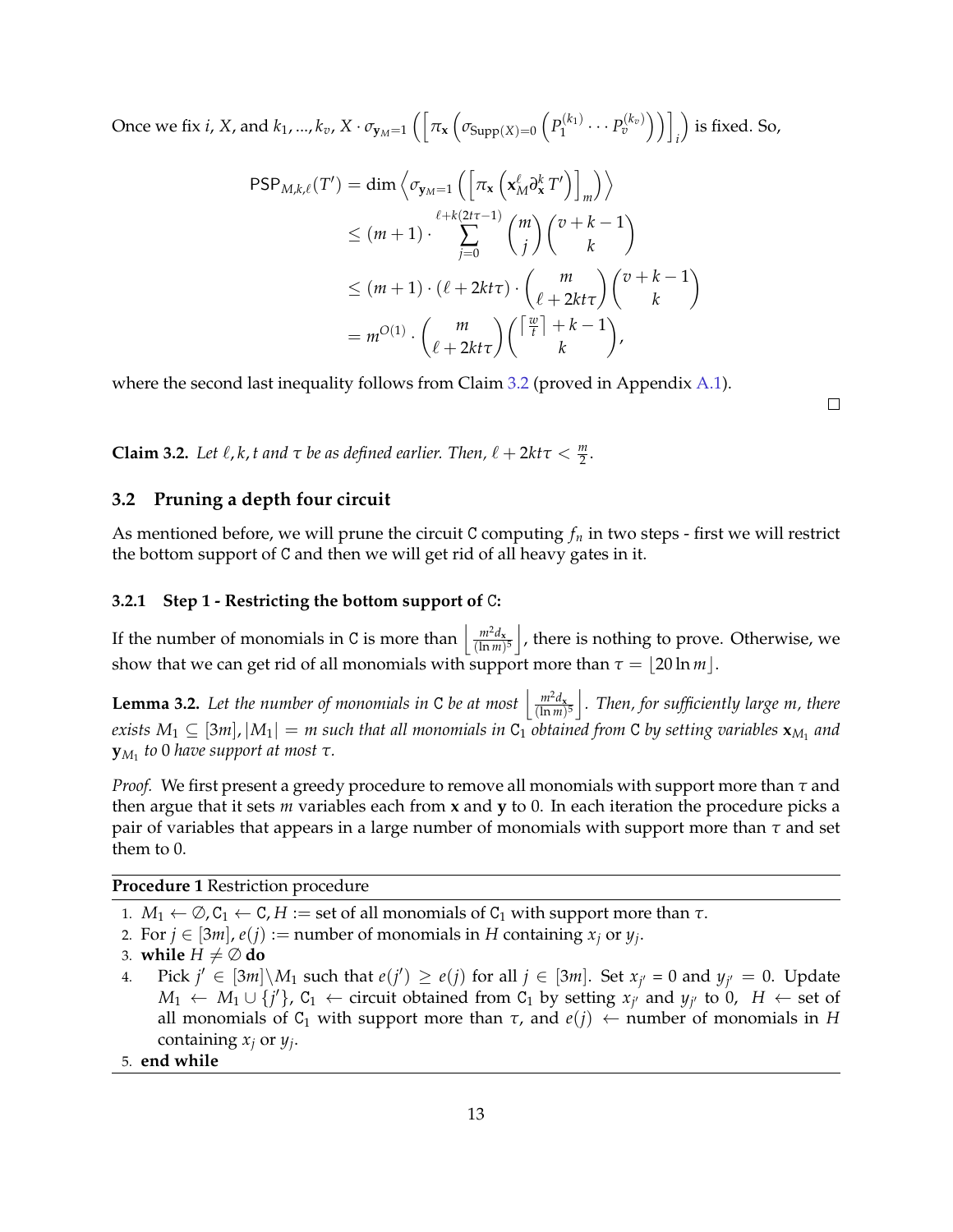Once we fix *i*, *X*, and  $k_1$ , ...,  $k_v$ ,  $X \cdot \sigma_{\mathbf{y}_M=1}$   $\Big(\Big[\pi_\mathbf{x}\Big(\sigma_{\text{Supp}(X)=0}\left(P_1^{(k_1)}\right)\Big]$  $\left[\begin{smallmatrix} k_{1} \ 1 \end{smallmatrix}\right] \cdots P^{(k_{v})}_{v} \Big) \Big) \Big]$ *i* is fixed. So,

$$
\begin{split} \mathsf{PSP}_{M,k,\ell}(T') &= \dim \left\langle \sigma_{\mathbf{y}_M=1} \left( \left[ \pi_{\mathbf{x}} \left( \mathbf{x}_M^\ell \partial_{\mathbf{x}}^k T' \right) \right]_m \right) \right\rangle \\ &\leq (m+1) \cdot \sum_{j=0}^{\ell+k(2t\tau-1)} \binom{m}{j} \binom{v+k-1}{k} \\ &\leq (m+1) \cdot (\ell + 2kt\tau) \cdot \binom{m}{\ell+2kt\tau} \binom{v+k-1}{k} \\ &= m^{O(1)} \cdot \binom{m}{\ell+2kt\tau} \binom{\lceil \frac{w}{t} \rceil + k - 1}{k}, \end{split}
$$

where the second last inequality follows from Claim [3.2](#page-13-1) (proved in Appendix [A.1\)](#page-27-7).

 $\Box$ 

<span id="page-13-1"></span>**Claim 3.2.** Let  $\ell$ ,  $k$ ,  $t$  and  $\tau$  be as defined earlier. Then,  $\ell + 2kt\tau < \frac{m}{2}$ .

### <span id="page-13-4"></span>**3.2 Pruning a depth four circuit**

As mentioned before, we will prune the circuit C computing *f<sup>n</sup>* in two steps - first we will restrict the bottom support of C and then we will get rid of all heavy gates in it.

#### <span id="page-13-0"></span>**3.2.1 Step 1 - Restricting the bottom support of** C**:**

If the number of monomials in C is more than  $\left| \frac{m^2 d_x}{\ln m} \right|$  $\left(\frac{m^2d_{\mathbf{x}}}{(\ln m)^5}\right)$ , there is nothing to prove. Otherwise, we show that we can get rid of all monomials with support more than  $\tau = |20 \ln m|$ .

<span id="page-13-3"></span>**Lemma 3.2.** Let the number of monomials in C be at most  $\left| \frac{m^2 d_x}{\ln m} \right|$  $\left\lfloor \frac{m^2d_{\mathbf{x}}}{(\ln m)^5} \right\rfloor$ . Then, for sufficiently large m, there  $e$ xists  $M_1\subseteq [3m]$ ,  $|M_1|=m$  such that all monomials in  $\mathtt{C}_1$  obtained from  $\mathtt{C}$  by setting variables  $\mathbf{x}_{M_1}$  and **y***M*<sup>1</sup> *to* 0 *have support at most τ.*

*Proof.* We first present a greedy procedure to remove all monomials with support more than *τ* and then argue that it sets *m* variables each from **x** and **y** to 0. In each iteration the procedure picks a pair of variables that appears in a large number of monomials with support more than *τ* and set them to 0.

<span id="page-13-2"></span>**Procedure 1** Restriction procedure

- 1.  $M_1 \leftarrow \emptyset$ ,  $C_1 \leftarrow C$ ,  $H :=$  set of all monomials of  $C_1$  with support more than  $\tau$ .
- 2. For  $j \in [3m]$ ,  $e(j) :=$  number of monomials in *H* containing  $x_j$  or  $y_j$ .
- 3. **while**  $H \neq \emptyset$  **do**
- 4. Pick  $j' \in [3m] \setminus M_1$  such that  $e(j') \ge e(j)$  for all  $j \in [3m]$ . Set  $x_{j'} = 0$  and  $y_{j'} = 0$ . Update *M*<sub>1</sub> ← *M*<sub>1</sub> ∪ {*j'*}, C<sub>1</sub> ← circuit obtained from C<sub>1</sub> by setting  $x_{j'}$  and  $y_{j'}$  to 0, *H* ← set of all monomials of  $C_1$  with support more than  $\tau$ , and  $e(j) \leftarrow$  number of monomials in *H* containing *x<sup>j</sup>* or *y<sup>j</sup>* .
- 5. **end while**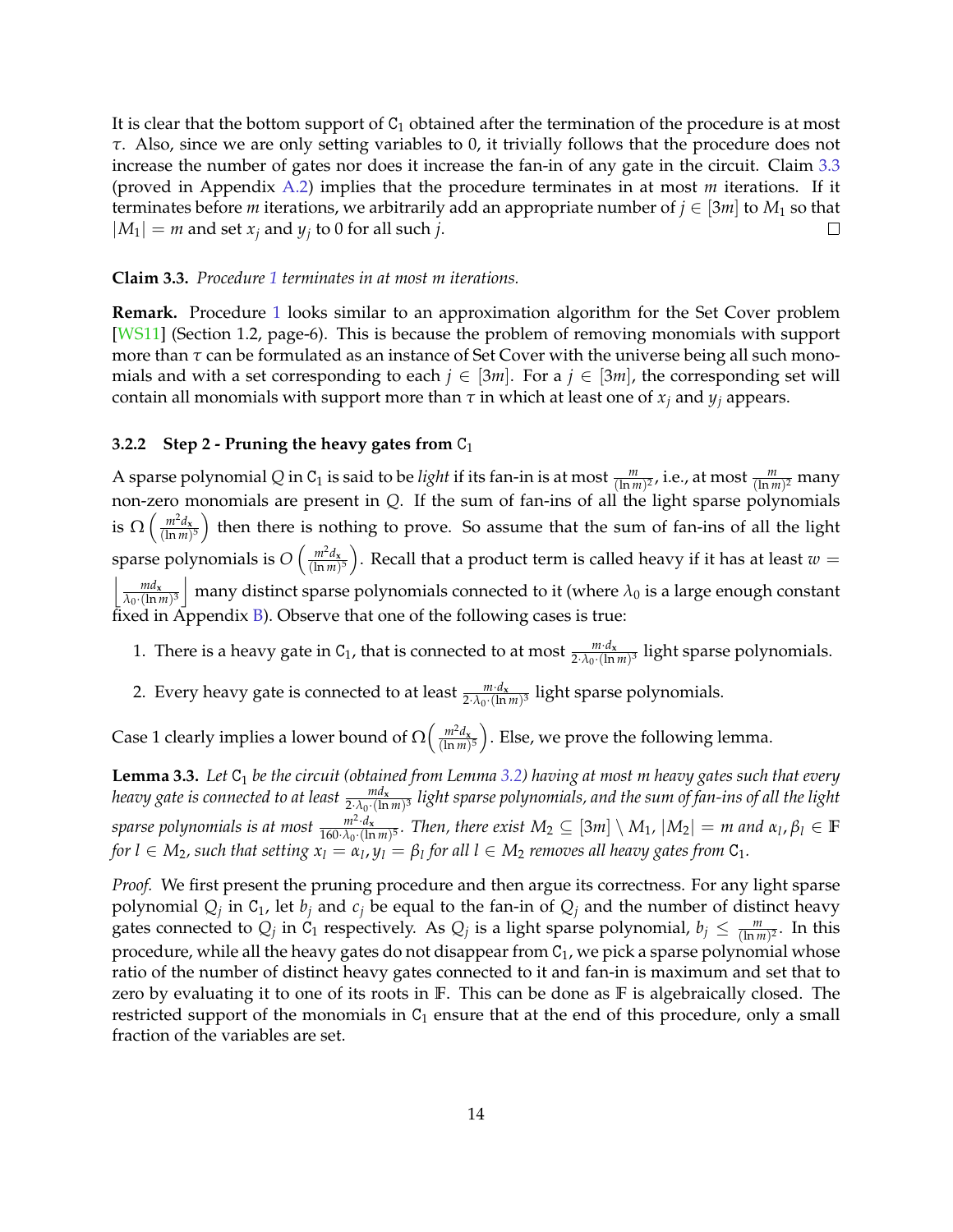It is clear that the bottom support of  $C_1$  obtained after the termination of the procedure is at most *τ*. Also, since we are only setting variables to 0, it trivially follows that the procedure does not increase the number of gates nor does it increase the fan-in of any gate in the circuit. Claim [3.3](#page-14-1) (proved in Appendix [A.2\)](#page-29-0) implies that the procedure terminates in at most *m* iterations. If it terminates before *m* iterations, we arbitrarily add an appropriate number of  $j \in [3m]$  to  $M_1$  so that  $|M_1| = m$  and set  $x_j$  and  $y_j$  to 0 for all such *j*.  $\Box$ 

#### <span id="page-14-1"></span>**Claim 3.3.** *Procedure [1](#page-13-2) terminates in at most m iterations.*

**Remark.** Procedure [1](#page-13-2) looks similar to an approximation algorithm for the Set Cover problem [\[WS11\]](#page-27-8) (Section 1.2, page-6). This is because the problem of removing monomials with support more than  $\tau$  can be formulated as an instance of Set Cover with the universe being all such monomials and with a set corresponding to each  $j \in [3m]$ . For a  $j \in [3m]$ , the corresponding set will contain all monomials with support more than  $\tau$  in which at least one of  $x_j$  and  $y_j$  appears.

### <span id="page-14-0"></span>**3.2.2** Step 2 - Pruning the heavy gates from C<sub>1</sub>

A sparse polynomial Q in C<sub>1</sub> is said to be *light* if its fan-in is at most  $\frac{m}{(\ln m)^2}$ , i.e., at most  $\frac{m}{(\ln m)^2}$  many non-zero monomials are present in *Q*. If the sum of fan-ins of all the light sparse polynomials is  $\Omega\left(\frac{m^2d_x}{(\ln m)}\right)$  $\frac{m^2d_x}{(\ln m)^5}$  then there is nothing to prove. So assume that the sum of fan-ins of all the light sparse polynomials is  $O\left(\frac{m^2d_x}{(\ln m)}\right)$  $\left(\frac{m^2d_{\mathbf{x}}}{(\ln m)^5}\right)$ . Recall that a product term is called heavy if it has at least  $w=0$  $\frac{m d_x}{2m}$  $\frac{md_{x}}{\lambda_0\cdot(\ln m)^3}$  many distinct sparse polynomials connected to it (where  $\lambda_0$  is a large enough constant fixed in Appendix [B\)](#page-31-0). Observe that one of the following cases is true:

- 1. There is a heavy gate in C<sub>1</sub>, that is connected to at most  $\frac{m \cdot d_x}{2 \cdot \lambda_0 \cdot (\ln m)^3}$  light sparse polynomials.
- 2. Every heavy gate is connected to at least  $\frac{m \cdot d_x}{2 \cdot \lambda_0 \cdot (\ln m)^3}$  light sparse polynomials.

Case 1 clearly implies a lower bound of  $\Omega\left(\frac{m^2d_x}{(\ln m)}\right)$  $\left(\frac{m^2d_{\mathbf{x}}}{(\ln m)^5}\right)$ . Else, we prove the following lemma.

<span id="page-14-2"></span>**Lemma 3.3.** *Let*  $C_1$  *be the circuit (obtained from Lemma [3.2\)](#page-13-3) having at most m heavy gates such that every* heavy gate is connected to at least  $\frac{md_{\bf x}}{2\cdot\lambda_0\cdot(\ln m)^3}$  light sparse polynomials, and the sum of fan-ins of all the light *sparse polynomials is at most <sup>m</sup>*<sup>2</sup> ·*d***<sup>x</sup>**  $\frac{m^2 \cdot d_x}{160 \cdot \lambda_0 \cdot (\ln m)^5}$ . Then, there exist  $M_2 \subseteq [3m] \setminus M_1$ ,  $|M_2| = m$  and  $\alpha_l, \beta_l \in \mathbb{F}$ *for*  $l \in M_2$ , such that setting  $x_l = \alpha_l$ ,  $y_l = \beta_l$  for all  $l \in M_2$  removes all heavy gates from  $C_1$ .

*Proof.* We first present the pruning procedure and then argue its correctness. For any light sparse polynomial  $Q_j$  in  $C_1$ , let  $b_j$  and  $c_j$  be equal to the fan-in of  $Q_j$  and the number of distinct heavy gates connected to  $Q_j$  in  $C_1$  respectively. As  $Q_j$  is a light sparse polynomial,  $b_j \leq \frac{m}{(\ln m)^2}$ . In this procedure, while all the heavy gates do not disappear from  $C_1$ , we pick a sparse polynomial whose ratio of the number of distinct heavy gates connected to it and fan-in is maximum and set that to zero by evaluating it to one of its roots in **F**. This can be done as **F** is algebraically closed. The restricted support of the monomials in  $C_1$  ensure that at the end of this procedure, only a small fraction of the variables are set.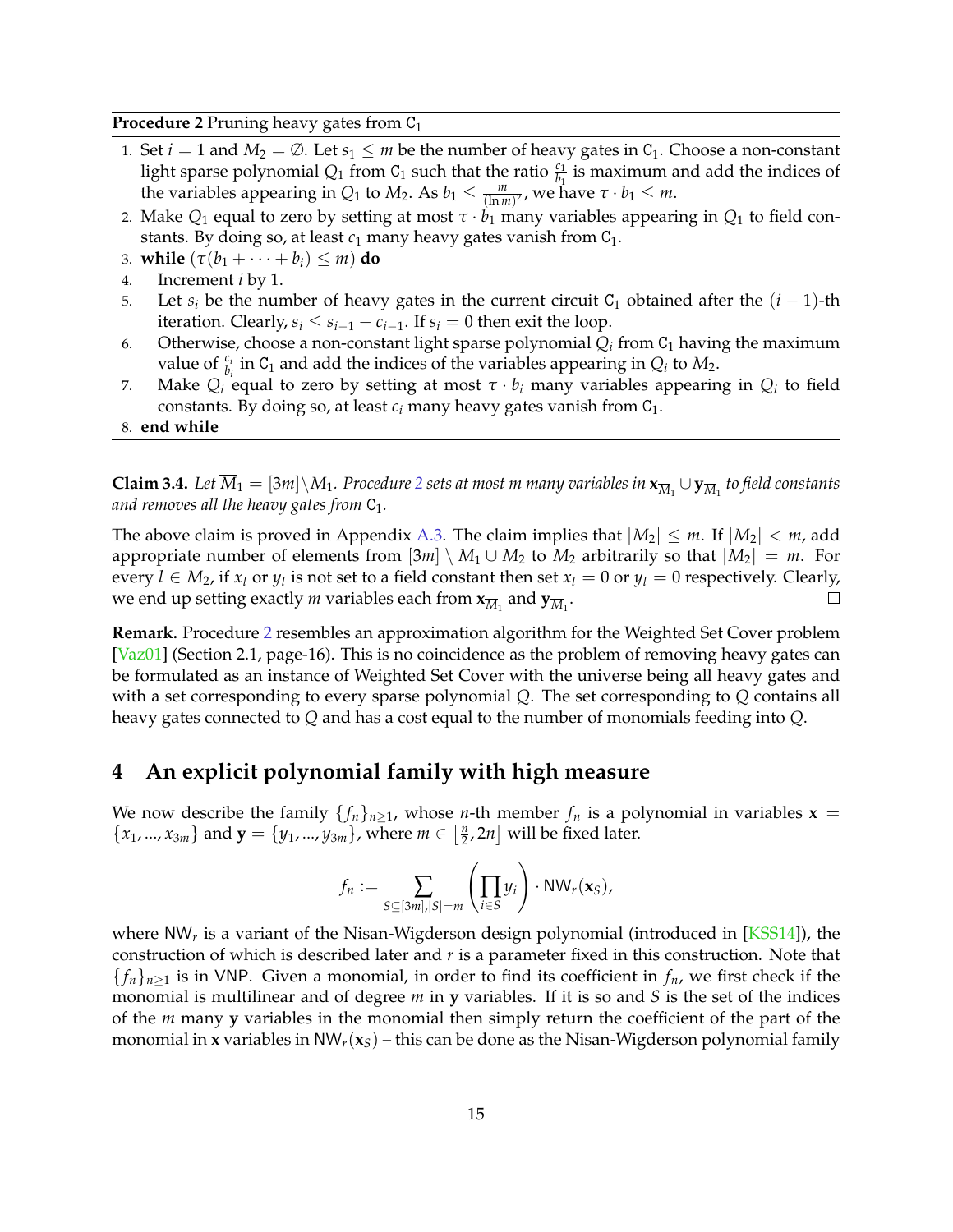<span id="page-15-1"></span>**Procedure 2** Pruning heavy gates from C<sub>1</sub>

- 1. Set  $i = 1$  and  $M_2 = \emptyset$ . Let  $s_1 \leq m$  be the number of heavy gates in  $C_1$ . Choose a non-constant light sparse polynomial  $Q_1$  from  $C_1$  such that the ratio  $\frac{c_1}{b_1}$  is maximum and add the indices of the variables appearing in *Q*<sub>1</sub> to *M*<sub>2</sub>. As *b*<sub>1</sub>  $\leq \frac{m}{(\ln m)^2}$ , we have  $\tau \cdot b_1 \leq m$ .
- 2. Make  $Q_1$  equal to zero by setting at most  $\tau \cdot b_1$  many variables appearing in  $Q_1$  to field constants. By doing so, at least  $c_1$  many heavy gates vanish from  $C_1$ .
- 3. **while**  $(\tau(b_1 + \cdots + b_i) \leq m)$  **do**
- 4. Increment *i* by 1.
- 5. Let  $s_i$  be the number of heavy gates in the current circuit C<sub>1</sub> obtained after the  $(i 1)$ -th iteration. Clearly,  $s_i \leq s_{i-1} - c_{i-1}$ . If  $s_i = 0$  then exit the loop.
- 6. Otherwise, choose a non-constant light sparse polynomial  $Q_i$  from  $C_1$  having the maximum value of  $\frac{c_i}{b_i}$  in C<sub>1</sub> and add the indices of the variables appearing in  $Q_i$  to  $M_2$ .
- 7. Make  $Q_i$  equal to zero by setting at most  $\tau \cdot b_i$  many variables appearing in  $Q_i$  to field constants. By doing so, at least  $c_i$  many heavy gates vanish from  $C_1$ .
- 8. **end while**

<span id="page-15-2"></span>**Claim 3.4.** Let  $\overline{M}_1 = [3m] \setminus M_1$ . Procedure [2](#page-15-1) sets at most m many variables in  $\mathbf{x}_{\overline{M}_1} \cup \mathbf{y}_{\overline{M}_1}$  to field constants *and removes all the heavy gates from*  $C_1$ *.* 

The above claim is proved in Appendix [A.3.](#page-29-1) The claim implies that  $|M_2| \le m$ . If  $|M_2| < m$ , add appropriate number of elements from  $[3m] \setminus M_1 \cup M_2$  to  $M_2$  arbitrarily so that  $|M_2| = m$ . For every  $l \in M_2$ , if  $x_l$  or  $y_l$  is not set to a field constant then set  $x_l = 0$  or  $y_l = 0$  respectively. Clearly,  $\Box$ we end up setting exactly  $m$  variables each from  $\mathbf{x}_{\overline{M}_1}$  and  $\mathbf{y}_{\overline{M}_1}.$ 

**Remark.** Procedure [2](#page-15-1) resembles an approximation algorithm for the Weighted Set Cover problem [\[Vaz01\]](#page-27-1) (Section 2.1, page-16). This is no coincidence as the problem of removing heavy gates can be formulated as an instance of Weighted Set Cover with the universe being all heavy gates and with a set corresponding to every sparse polynomial *Q*. The set corresponding to *Q* contains all heavy gates connected to *Q* and has a cost equal to the number of monomials feeding into *Q*.

## <span id="page-15-0"></span>**4 An explicit polynomial family with high measure**

We now describe the family  $\{f_n\}_{n>1}$ , whose *n*-th member  $f_n$  is a polynomial in variables  $x =$  ${x_1, ..., x_{3m}}$  and  $\mathbf{y} = {y_1, ..., y_{3m}}$ , where  $m \in \left[\frac{n}{2}\right]$  $\left[\frac{n}{2}, 2n\right]$  will be fixed later.

$$
f_n := \sum_{S \subseteq [3m], |S| = m} \left( \prod_{i \in S} y_i \right) \cdot \text{NW}_r(\mathbf{x}_S),
$$

where NW*<sup>r</sup>* is a variant of the Nisan-Wigderson design polynomial (introduced in [\[KSS14\]](#page-23-1)), the construction of which is described later and *r* is a parameter fixed in this construction. Note that  ${f_n}_{n\geq 1}$  is in VNP. Given a monomial, in order to find its coefficient in  $f_n$ , we first check if the monomial is multilinear and of degree *m* in **y** variables. If it is so and *S* is the set of the indices of the *m* many **y** variables in the monomial then simply return the coefficient of the part of the monomial in **x** variables in  $NW_r(x<sub>S</sub>)$  – this can be done as the Nisan-Wigderson polynomial family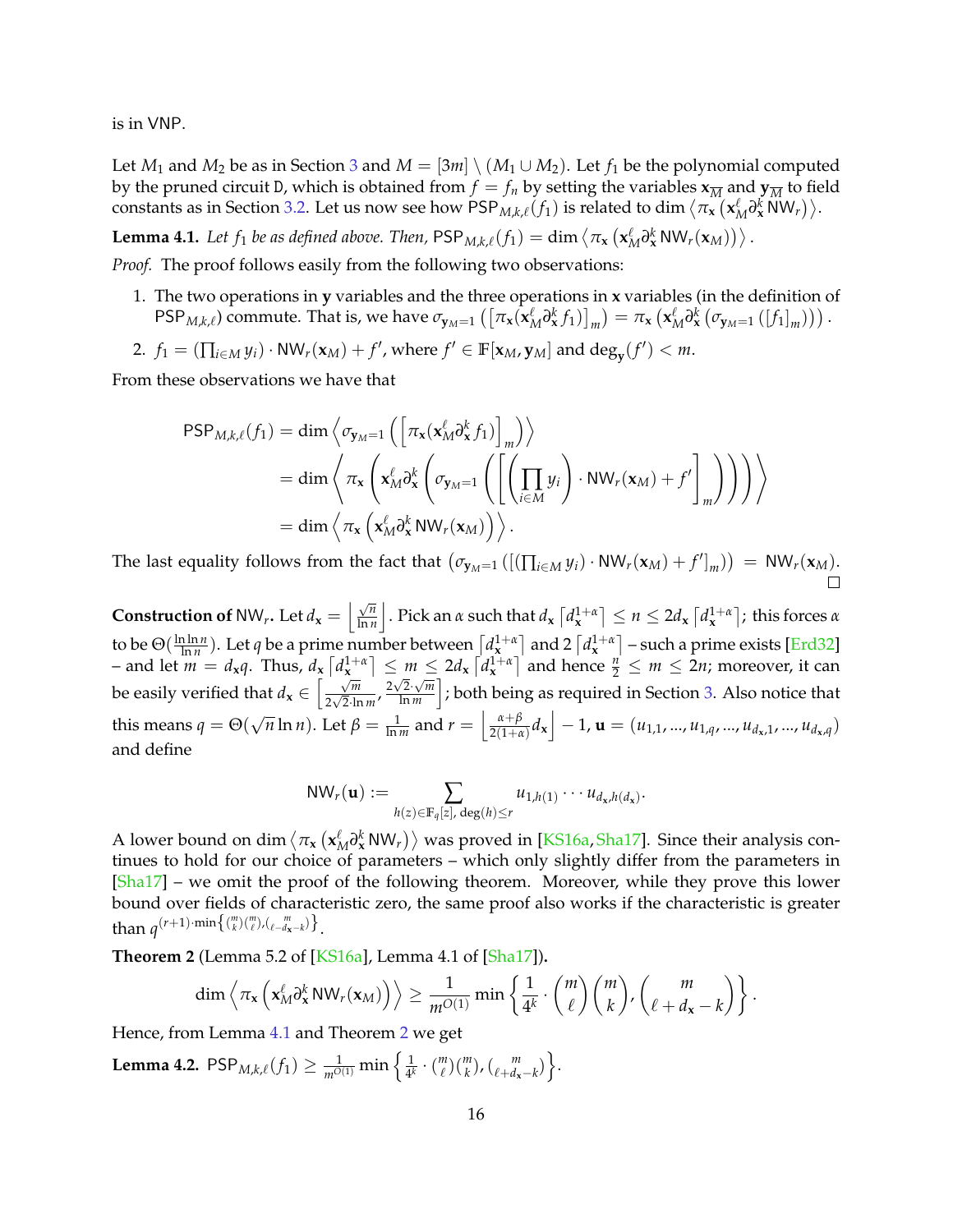is in VNP.

Let *M*<sub>1</sub> and *M*<sub>2</sub> be as in Section [3](#page-10-0) and *M* = [3*m*] \ (*M*<sub>1</sub> ∪ *M*<sub>2</sub>). Let *f*<sub>1</sub> be the polynomial computed by the pruned circuit D, which is obtained from  $f = f_n$  by setting the variables  $\mathbf{x}_{\overline{M}}$  and  $\mathbf{y}_{\overline{M}}$  to field constants as in Section [3.2.](#page-13-4) Let us now see how  $\mathsf{PSP}_{M,k,\ell}(f_1)$  is related to dim  $\langle \pi_{\mathbf{x}}(\mathbf{x}_M^{\ell}\partial_{\mathbf{x}}^k\mathsf{N}\mathsf{W}_r)\rangle$ .

<span id="page-16-0"></span> $\mathbf{Lemma \ 4.1.} \ \textit{Let} \ f_1 \ \textit{be as defined above}. \ \textit{Then,} \ \mathsf{PSP}_{M,k,\ell}(f_1) = \dim \left\langle \pi_{\mathbf{x}}\left( \mathbf{x}_M^{\ell} \partial^k_{\mathbf{x}} \mathsf{N} \mathsf{W}_r(\mathbf{x}_M) \right) \right\rangle.$ 

*Proof.* The proof follows easily from the following two observations:

- 1. The two operations in **y** variables and the three operations in **x** variables (in the definition of PSP<sub>M,k,e</sub>) commute. That is, we have  $\sigma_{\mathbf{y}_M=1}(\left[\pi_{\mathbf{x}}(\mathbf{x}_M^{\ell}\partial_{\mathbf{x}}^k f_1)\right]_m)=\pi_{\mathbf{x}}(\mathbf{x}_M^{\ell}\partial_{\mathbf{x}}^k(\sigma_{\mathbf{y}_M=1}([f_1]_m)))$ .
- 2.  $f_1 = (\prod_{i \in M} y_i) \cdot \text{NW}_r(\mathbf{x}_M) + f'$ , where  $f' \in \mathbb{F}[\mathbf{x}_M, \mathbf{y}_M]$  and  $\text{deg}_{\mathbf{y}}(f') < m$ .

From these observations we have that

$$
\begin{split} \mathsf{PSP}_{M,k,\ell}(f_1) &= \dim \left\langle \sigma_{\mathbf{y}_M=1} \left( \left[ \pi_{\mathbf{x}}(\mathbf{x}_M^{\ell} \partial_{\mathbf{x}}^k f_1) \right]_m \right) \right\rangle \\ &= \dim \left\langle \pi_{\mathbf{x}} \left( \mathbf{x}_M^{\ell} \partial_{\mathbf{x}}^k \left( \sigma_{\mathbf{y}_M=1} \left( \left[ \left( \prod_{i \in M} y_i \right) \cdot \mathsf{NW}_r(\mathbf{x}_M) + f' \right]_m \right) \right) \right) \right\rangle \\ &= \dim \left\langle \pi_{\mathbf{x}} \left( \mathbf{x}_M^{\ell} \partial_{\mathbf{x}}^k \mathsf{NW}_r(\mathbf{x}_M) \right) \right\rangle. \end{split}
$$

The last equality follows from the fact that  $(\sigma_{\mathbf{y}_M=1}([(\prod_{i\in M}y_i)\cdot\text{NW}_r(\mathbf{x}_M)+f']_m)) = \text{NW}_r(\mathbf{x}_M)$ .

**Construction of** NW<sub>*r*</sub>**.** Let  $d_{\mathbf{x}} = \begin{bmatrix} \sqrt{n} \\ \frac{\ln n}{n} \end{bmatrix}$  $\frac{\sqrt{n}}{\ln n}$   $\Big|$  . Pick an  $\alpha$  such that  $d_{\mathbf{x}}\left\lceil d_{\mathbf{x}}^{1+\alpha}\right\rceil \leq n \leq 2d_{\mathbf{x}}\left\lceil d_{\mathbf{x}}^{1+\alpha}\right\rceil$ ; this forces  $\alpha$ to be Θ( ln ln *n*  $\frac{n \ln n}{\ln n}$ ). Let *q* be a prime number between  $\left[d_x^{1+\alpha}\right]$  and 2  $\left[d_x^{1+\alpha}\right]$  – such a prime exists [\[Erd32\]](#page-21-9) - and let  $m = d_x q$ . Thus,  $d_x \left[ d_x^{1+\alpha} \right] \leq m \leq 2d_x \left[ d_x^{1+\alpha} \right]$  and hence  $\frac{n}{2} \leq m \leq 2n$ ; moreover, it can be easily verified that  $d_x \in \left[\frac{\sqrt{m}}{2\sqrt{2}}\right]$  $rac{\sqrt{m}}{2\sqrt{2}\cdot\ln m}$ ,  $rac{2\sqrt{2}\cdot\sqrt{m}}{\ln m}$  $\sqrt{\frac{2}{\ln m}}\Big|$ ; both being as required in Section [3.](#page-10-0) Also notice that this means  $q = \Theta(q)$  $\sqrt{n} \ln n$ ). Let  $\beta = \frac{1}{\ln m}$  and  $r = \left( \frac{\alpha + \beta}{2(1 + \alpha)} \right)$  $\left[ \frac{\alpha+\beta}{2(1+\alpha)} d_{\mathbf{x}} \right] - 1$ ,  $\mathbf{u} = (u_{1,1}, ..., u_{1,q}, ..., u_{d_{\mathbf{x}},1}, ..., u_{d_{\mathbf{x}},q})$ and define

$$
\mathrm{NW}_r(\mathbf{u}) := \sum_{h(z) \in \mathbb{F}_q[z], \deg(h) \leq r} u_{1,h(1)} \cdots u_{d_x,h(d_x)}.
$$

A lower bound on dim  $\langle \pi_{\bf x} ({\bf x}_M^{\ell} \partial^k_{\bf x} N W_r)\rangle$  was proved in [\[KS16a,](#page-23-4) [Sha17\]](#page-26-3). Since their analysis continues to hold for our choice of parameters – which only slightly differ from the parameters in [\[Sha17\]](#page-26-3) – we omit the proof of the following theorem. Moreover, while they prove this lower bound over fields of characteristic zero, the same proof also works if the characteristic is greater than  $q^{(r+1)}$ ·min $\{(n \atop k)(n \atop \ell})$ / $\{n \atop \ell-d_{\mathbf{x}}-k}\}$ .

<span id="page-16-1"></span>**Theorem 2** (Lemma 5.2 of [\[KS16a\]](#page-23-4), Lemma 4.1 of [\[Sha17\]](#page-26-3))**.**

$$
\dim \left\langle \pi_{\mathbf{x}} \left( \mathbf{x}_M^{\ell} \partial_{\mathbf{x}}^k \mathsf{NW}_r(\mathbf{x}_M) \right) \right\rangle \geq \frac{1}{m^{O(1)}} \min \left\{ \frac{1}{4^k} \cdot {m \choose \ell} {m \choose k}, \binom{m}{\ell+d_{\mathbf{x}}-k} \right\}.
$$

Hence, from Lemma [4.1](#page-16-0) and Theorem [2](#page-16-1) we get

<span id="page-16-2"></span>**Lemma 4.2.**  $\mathsf{PSP}_{M,k,\ell}(f_1) \geq \frac{1}{m^{O(1)}} \min \left\{ \frac{1}{4^k} \right\}$  $\frac{1}{4^k} \cdot {m \choose \ell} {m \choose k}, {m \choose \ell + d_{\mathbf{x}} - k}$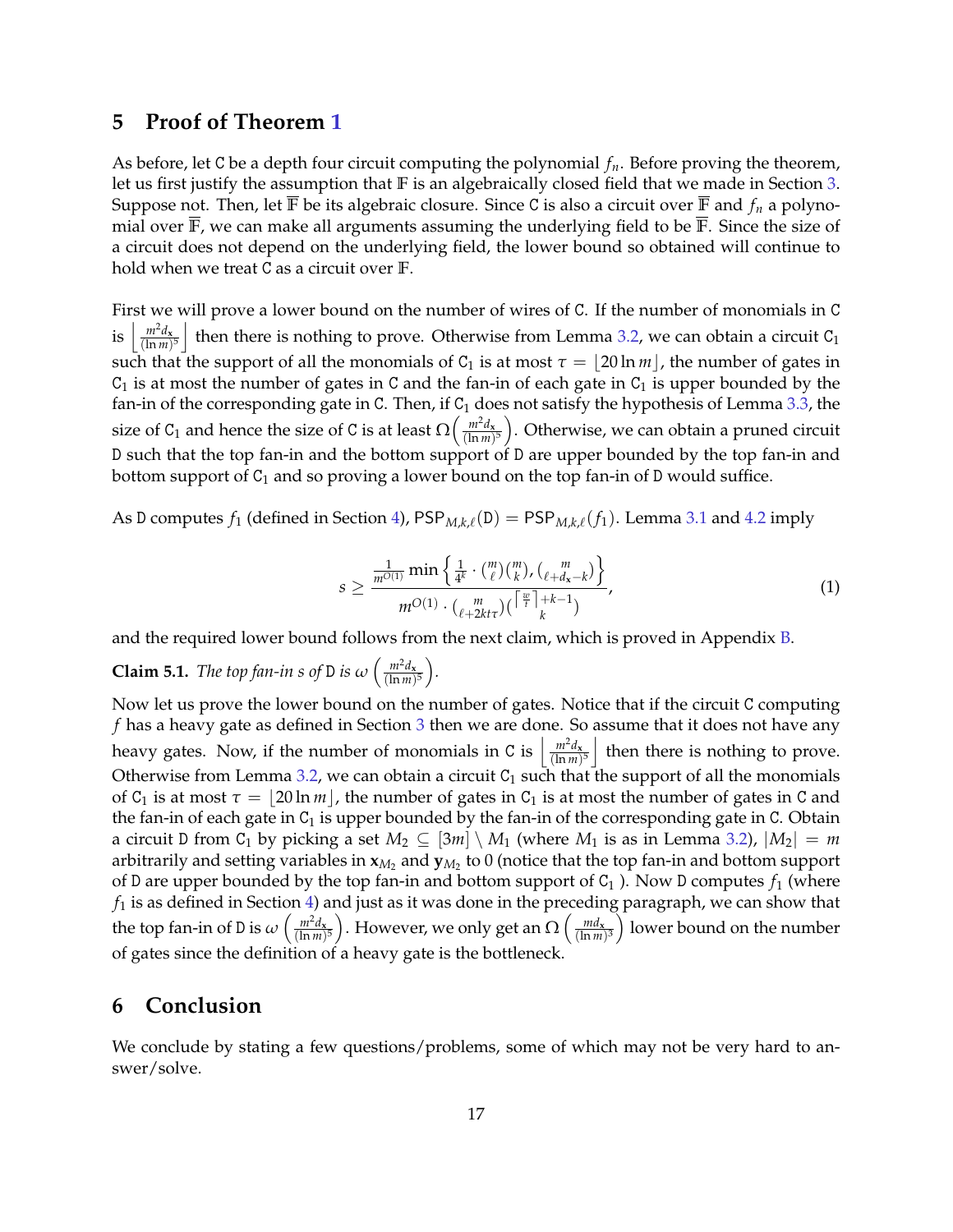## <span id="page-17-0"></span>**5 Proof of Theorem [1](#page-2-2)**

As before, let C be a depth four circuit computing the polynomial *fn*. Before proving the theorem, let us first justify the assumption that **F** is an algebraically closed field that we made in Section [3.](#page-10-0) Suppose not. Then, let  $\overline{F}$  be its algebraic closure. Since C is also a circuit over  $\overline{F}$  and  $f_n$  a polynomial over **F**, we can make all arguments assuming the underlying field to be **F**. Since the size of a circuit does not depend on the underlying field, the lower bound so obtained will continue to hold when we treat C as a circuit over **F**.

First we will prove a lower bound on the number of wires of C. If the number of monomials in C is  $\left| \frac{m^2 d_x}{\ln m} \right|$  $\left(\frac{m^2d_x}{(\ln m)^5}\right)$  then there is nothing to prove. Otherwise from Lemma [3.2,](#page-13-3) we can obtain a circuit C<sub>1</sub> such that the support of all the monomials of  $C_1$  is at most  $\tau = |20 \ln m|$ , the number of gates in  $C_1$  is at most the number of gates in C and the fan-in of each gate in  $C_1$  is upper bounded by the fan-in of the corresponding gate in C. Then, if  $C_1$  does not satisfy the hypothesis of Lemma [3.3,](#page-14-2) the size of C<sub>1</sub> and hence the size of C is at least  $\Omega\left(\frac{m^2d_x}{(\ln m)}\right)$  $\frac{m^2d_{\mathbf{x}}}{(\ln m)^5}$ ). Otherwise, we can obtain a pruned circuit D such that the top fan-in and the bottom support of D are upper bounded by the top fan-in and bottom support of  $C_1$  and so proving a lower bound on the top fan-in of D would suffice.

As D computes  $f_1$  (defined in Section [4\)](#page-15-0),  $\text{PSP}_{M,k,\ell}(D) = \text{PSP}_{M,k,\ell}(f_1)$ . Lemma [3.1](#page-11-1) and [4.2](#page-16-2) imply

<span id="page-17-1"></span>
$$
s \ge \frac{\frac{1}{m^{O(1)}} \min\left\{\frac{1}{4^k} \cdot {m \choose \ell} {m \choose k}, {\ell + m \choose \ell + d_{\mathbf{x}} - k} \right\}}{m^{O(1)} \cdot {\ell + 2kt\tau} {m \choose k}} , \tag{1}
$$

and the required lower bound follows from the next claim, which is proved in Appendix [B.](#page-31-0)

**Claim 5.1.** *The top fan-in s of* D *is*  $\omega \left( \frac{m^2 d_x}{(\ln m)} \right)$  $\frac{m^2 d_{\mathbf{x}}}{(\ln m)^5}$ .

Now let us prove the lower bound on the number of gates. Notice that if the circuit C computing *f* has a heavy gate as defined in Section [3](#page-10-0) then we are done. So assume that it does not have any heavy gates. Now, if the number of monomials in C is  $\left| \frac{m^2 d_x}{\ln m} \right|$  $\left(\frac{m^2d_x}{(\ln m)^5}\right)$  then there is nothing to prove. Otherwise from Lemma [3.2,](#page-13-3) we can obtain a circuit  $C_1$  such that the support of all the monomials of C<sub>1</sub> is at most  $\tau = |20 \text{ ln } m|$ , the number of gates in C<sub>1</sub> is at most the number of gates in C and the fan-in of each gate in  $C_1$  is upper bounded by the fan-in of the corresponding gate in C. Obtain a circuit D from C<sub>1</sub> by picking a set  $M_2 \subseteq [3m] \setminus M_1$  (where  $M_1$  is as in Lemma [3.2\)](#page-13-3),  $|M_2| = m$ arbitrarily and setting variables in  $\mathbf{x}_{M_2}$  and  $\mathbf{y}_{M_2}$  to  $0$  (notice that the top fan-in and bottom support of D are upper bounded by the top fan-in and bottom support of  $C_1$  ). Now D computes  $f_1$  (where  $f_1$  is as defined in Section [4\)](#page-15-0) and just as it was done in the preceding paragraph, we can show that the top fan-in of D is  $\omega \left( \frac{m^2 d_{\mathbf{x}}}{\ln m} \right)$  $\left(\frac{m^2d_\mathbf{x}}{(\ln m)^5}\right)$ . However, we only get an  $\Omega\left(\frac{md_\mathbf{x}}{(\ln m)}\right)$  $\left(\frac{md_{\mathbf{x}}}{(\ln m)^3}\right)$  lower bound on the number of gates since the definition of a heavy gate is the bottleneck.

## **6 Conclusion**

We conclude by stating a few questions/problems, some of which may not be very hard to answer/solve.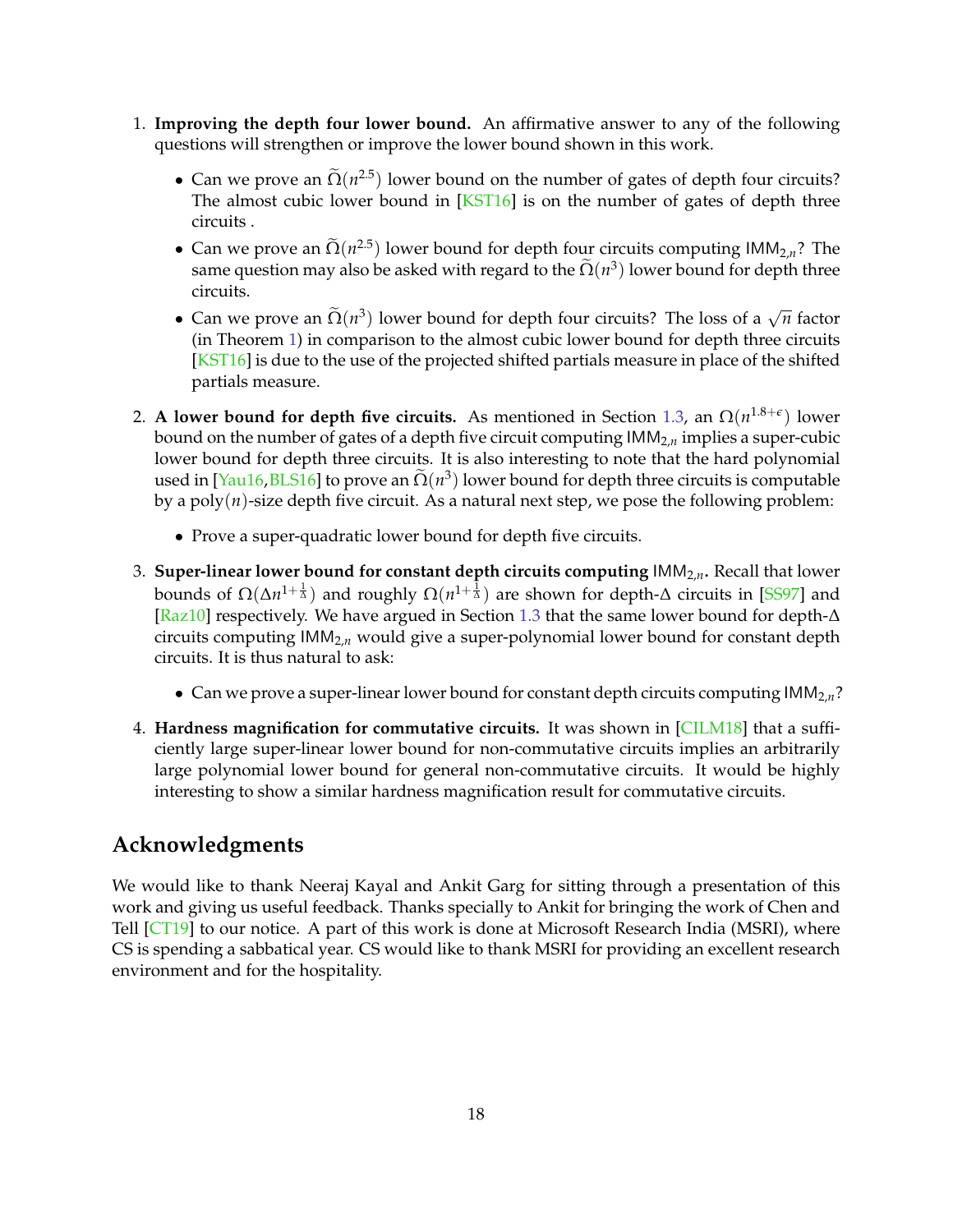- 1. **Improving the depth four lower bound.** An affirmative answer to any of the following questions will strengthen or improve the lower bound shown in this work.
	- Can we prove an  $\tilde{\Omega}(n^{2.5})$  lower bound on the number of gates of depth four circuits? The almost cubic lower bound in [\[KST16\]](#page-23-0) is on the number of gates of depth three circuits .
	- Can we prove an  $\tilde{\Omega}(n^{2.5})$  lower bound for depth four circuits computing  $IMM_{2,n}$ ? The same question may also be asked with regard to the  $\tilde{\Omega}(n^3)$  lower bound for depth three circuits.
	- Can we prove an  $\tilde{\Omega}(n^3)$  lower bound for depth four circuits? The loss of a  $\sqrt{n}$  factor (in Theorem [1\)](#page-2-2) in comparison to the almost cubic lower bound for depth three circuits [\[KST16\]](#page-23-0) is due to the use of the projected shifted partials measure in place of the shifted partials measure.
- 2. **A lower bound for depth five circuits.** As mentioned in Section [1.3,](#page-4-0) an  $\Omega(n^{1.8+\epsilon})$  lower bound on the number of gates of a depth five circuit computing  $IMM<sub>2,n</sub>$  implies a super-cubic lower bound for depth three circuits. It is also interesting to note that the hard polynomial used in [\[Yau16,](#page-27-5)[BLS16\]](#page-20-10) to prove an  $\Omega(n^3)$  lower bound for depth three circuits is computable by a poly(*n*)-size depth five circuit. As a natural next step, we pose the following problem:
	- Prove a super-quadratic lower bound for depth five circuits.
- 3. **Super-linear lower bound for constant depth circuits computing** IMM2,*n***.** Recall that lower bounds of Ω(Δn<sup>1+ $\frac{1}{\Delta}$ </sup>) and roughly Ω(n<sup>1+ $\frac{1}{\Delta}$ </sup>) are shown for depth-Δ circuits in [\[SS97\]](#page-26-1) and [\[Raz10\]](#page-25-0) respectively. We have argued in Section [1.3](#page-4-0) that the same lower bound for depth-∆ circuits computing IMM2,*<sup>n</sup>* would give a super-polynomial lower bound for constant depth circuits. It is thus natural to ask:
	- Can we prove a super-linear lower bound for constant depth circuits computing  $IMM<sub>2,n</sub>$ ?
- 4. **Hardness magnification for commutative circuits.** It was shown in [\[CILM18\]](#page-20-7) that a sufficiently large super-linear lower bound for non-commutative circuits implies an arbitrarily large polynomial lower bound for general non-commutative circuits. It would be highly interesting to show a similar hardness magnification result for commutative circuits.

## **Acknowledgments**

We would like to thank Neeraj Kayal and Ankit Garg for sitting through a presentation of this work and giving us useful feedback. Thanks specially to Ankit for bringing the work of Chen and Tell [\[CT19\]](#page-20-11) to our notice. A part of this work is done at Microsoft Research India (MSRI), where CS is spending a sabbatical year. CS would like to thank MSRI for providing an excellent research environment and for the hospitality.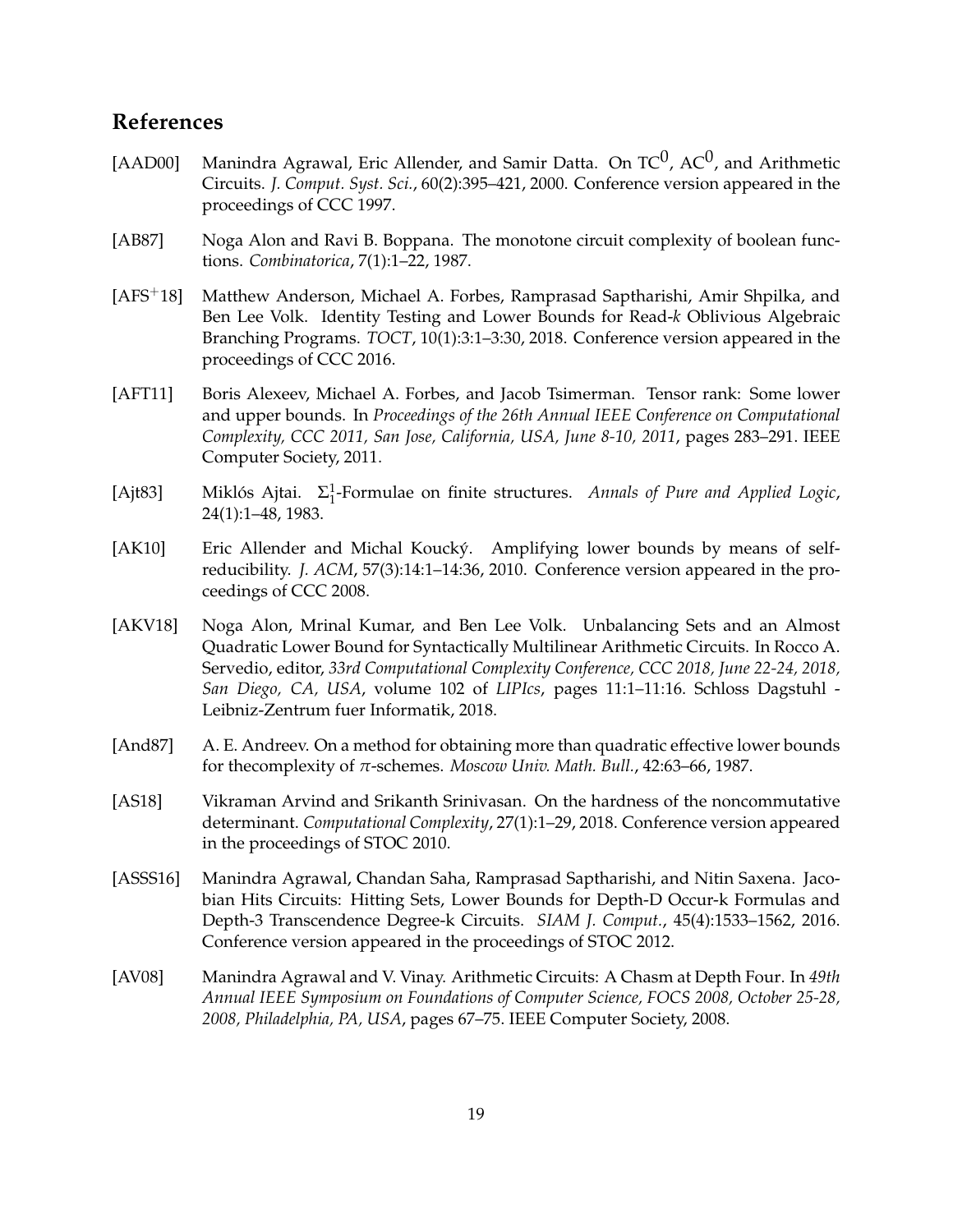## **References**

- <span id="page-19-7"></span>[AAD00] Manindra Agrawal, Eric Allender, and Samir Datta. On  $TC^0$ , A $C^0$ , and Arithmetic Circuits. *J. Comput. Syst. Sci.*, 60(2):395–421, 2000. Conference version appeared in the proceedings of CCC 1997.
- <span id="page-19-1"></span>[AB87] Noga Alon and Ravi B. Boppana. The monotone circuit complexity of boolean functions. *Combinatorica*, 7(1):1–22, 1987.
- <span id="page-19-3"></span>[AFS+18] Matthew Anderson, Michael A. Forbes, Ramprasad Saptharishi, Amir Shpilka, and Ben Lee Volk. Identity Testing and Lower Bounds for Read-*k* Oblivious Algebraic Branching Programs. *TOCT*, 10(1):3:1–3:30, 2018. Conference version appeared in the proceedings of CCC 2016.
- <span id="page-19-9"></span>[AFT11] Boris Alexeev, Michael A. Forbes, and Jacob Tsimerman. Tensor rank: Some lower and upper bounds. In *Proceedings of the 26th Annual IEEE Conference on Computational Complexity, CCC 2011, San Jose, California, USA, June 8-10, 2011*, pages 283–291. IEEE Computer Society, 2011.
- <span id="page-19-8"></span>[Ajt83] Miklós Ajtai. Σ 1 1 -Formulae on finite structures. *Annals of Pure and Applied Logic*, 24(1):1–48, 1983.
- <span id="page-19-10"></span>[AK10] Eric Allender and Michal Koucký. Amplifying lower bounds by means of selfreducibility. *J. ACM*, 57(3):14:1–14:36, 2010. Conference version appeared in the proceedings of CCC 2008.
- <span id="page-19-2"></span>[AKV18] Noga Alon, Mrinal Kumar, and Ben Lee Volk. Unbalancing Sets and an Almost Quadratic Lower Bound for Syntactically Multilinear Arithmetic Circuits. In Rocco A. Servedio, editor, *33rd Computational Complexity Conference, CCC 2018, June 22-24, 2018, San Diego, CA, USA*, volume 102 of *LIPIcs*, pages 11:1–11:16. Schloss Dagstuhl - Leibniz-Zentrum fuer Informatik, 2018.
- <span id="page-19-0"></span>[And87] A. E. Andreev. On a method for obtaining more than quadratic effective lower bounds for thecomplexity of *π*-schemes. *Moscow Univ. Math. Bull.*, 42:63–66, 1987.
- <span id="page-19-5"></span>[AS18] Vikraman Arvind and Srikanth Srinivasan. On the hardness of the noncommutative determinant. *Computational Complexity*, 27(1):1–29, 2018. Conference version appeared in the proceedings of STOC 2010.
- <span id="page-19-4"></span>[ASSS16] Manindra Agrawal, Chandan Saha, Ramprasad Saptharishi, and Nitin Saxena. Jacobian Hits Circuits: Hitting Sets, Lower Bounds for Depth-D Occur-k Formulas and Depth-3 Transcendence Degree-k Circuits. *SIAM J. Comput.*, 45(4):1533–1562, 2016. Conference version appeared in the proceedings of STOC 2012.
- <span id="page-19-6"></span>[AV08] Manindra Agrawal and V. Vinay. Arithmetic Circuits: A Chasm at Depth Four. In *49th Annual IEEE Symposium on Foundations of Computer Science, FOCS 2008, October 25-28, 2008, Philadelphia, PA, USA*, pages 67–75. IEEE Computer Society, 2008.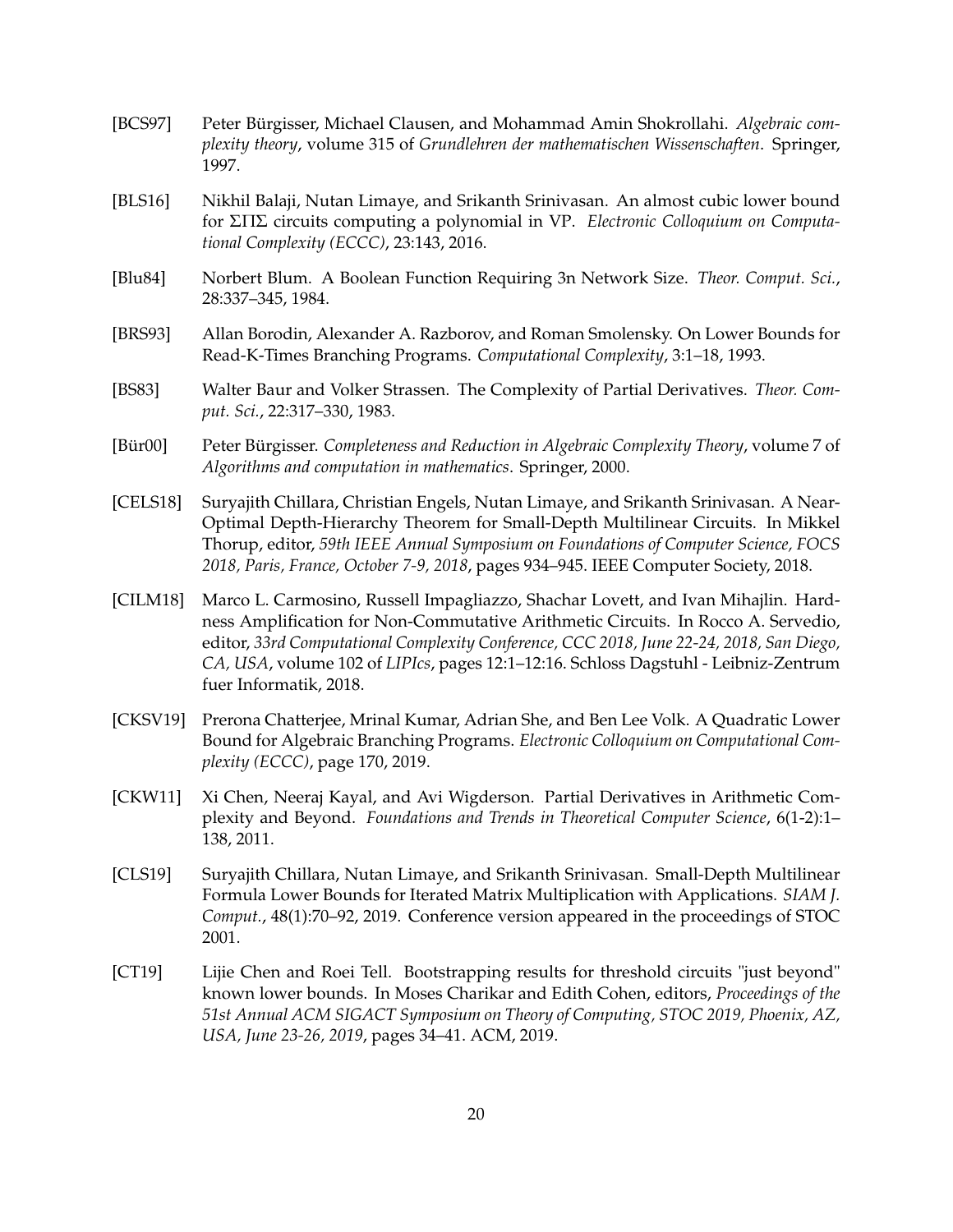- <span id="page-20-3"></span>[BCS97] Peter Bürgisser, Michael Clausen, and Mohammad Amin Shokrollahi. *Algebraic complexity theory*, volume 315 of *Grundlehren der mathematischen Wissenschaften*. Springer, 1997.
- <span id="page-20-10"></span>[BLS16] Nikhil Balaji, Nutan Limaye, and Srikanth Srinivasan. An almost cubic lower bound for ΣΠΣ circuits computing a polynomial in VP. *Electronic Colloquium on Computational Complexity (ECCC)*, 23:143, 2016.
- <span id="page-20-5"></span>[Blu84] Norbert Blum. A Boolean Function Requiring 3n Network Size. *Theor. Comput. Sci.*, 28:337–345, 1984.
- <span id="page-20-6"></span>[BRS93] Allan Borodin, Alexander A. Razborov, and Roman Smolensky. On Lower Bounds for Read-K-Times Branching Programs. *Computational Complexity*, 3:1–18, 1993.
- <span id="page-20-0"></span>[BS83] Walter Baur and Volker Strassen. The Complexity of Partial Derivatives. *Theor. Comput. Sci.*, 22:317–330, 1983.
- <span id="page-20-1"></span>[Bür00] Peter Bürgisser. *Completeness and Reduction in Algebraic Complexity Theory*, volume 7 of *Algorithms and computation in mathematics*. Springer, 2000.
- <span id="page-20-9"></span>[CELS18] Suryajith Chillara, Christian Engels, Nutan Limaye, and Srikanth Srinivasan. A Near-Optimal Depth-Hierarchy Theorem for Small-Depth Multilinear Circuits. In Mikkel Thorup, editor, *59th IEEE Annual Symposium on Foundations of Computer Science, FOCS 2018, Paris, France, October 7-9, 2018*, pages 934–945. IEEE Computer Society, 2018.
- <span id="page-20-7"></span>[CILM18] Marco L. Carmosino, Russell Impagliazzo, Shachar Lovett, and Ivan Mihajlin. Hardness Amplification for Non-Commutative Arithmetic Circuits. In Rocco A. Servedio, editor, *33rd Computational Complexity Conference, CCC 2018, June 22-24, 2018, San Diego, CA, USA*, volume 102 of *LIPIcs*, pages 12:1–12:16. Schloss Dagstuhl - Leibniz-Zentrum fuer Informatik, 2018.
- <span id="page-20-4"></span>[CKSV19] Prerona Chatterjee, Mrinal Kumar, Adrian She, and Ben Lee Volk. A Quadratic Lower Bound for Algebraic Branching Programs. *Electronic Colloquium on Computational Complexity (ECCC)*, page 170, 2019.
- <span id="page-20-2"></span>[CKW11] Xi Chen, Neeraj Kayal, and Avi Wigderson. Partial Derivatives in Arithmetic Complexity and Beyond. *Foundations and Trends in Theoretical Computer Science*, 6(1-2):1– 138, 2011.
- <span id="page-20-8"></span>[CLS19] Suryajith Chillara, Nutan Limaye, and Srikanth Srinivasan. Small-Depth Multilinear Formula Lower Bounds for Iterated Matrix Multiplication with Applications. *SIAM J. Comput.*, 48(1):70–92, 2019. Conference version appeared in the proceedings of STOC 2001.
- <span id="page-20-11"></span>[CT19] Lijie Chen and Roei Tell. Bootstrapping results for threshold circuits "just beyond" known lower bounds. In Moses Charikar and Edith Cohen, editors, *Proceedings of the 51st Annual ACM SIGACT Symposium on Theory of Computing, STOC 2019, Phoenix, AZ, USA, June 23-26, 2019*, pages 34–41. ACM, 2019.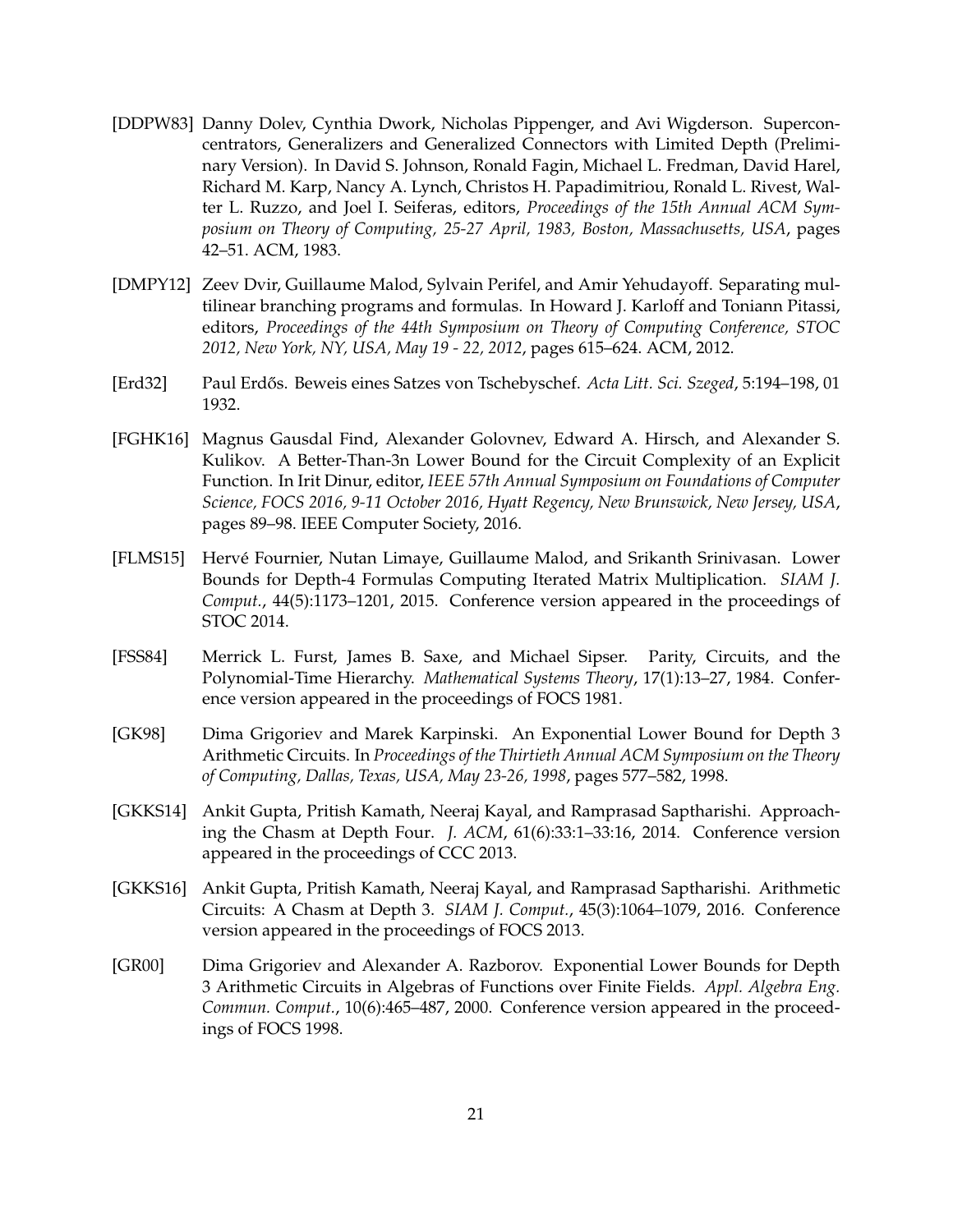- <span id="page-21-2"></span>[DDPW83] Danny Dolev, Cynthia Dwork, Nicholas Pippenger, and Avi Wigderson. Superconcentrators, Generalizers and Generalized Connectors with Limited Depth (Preliminary Version). In David S. Johnson, Ronald Fagin, Michael L. Fredman, David Harel, Richard M. Karp, Nancy A. Lynch, Christos H. Papadimitriou, Ronald L. Rivest, Walter L. Ruzzo, and Joel I. Seiferas, editors, *Proceedings of the 15th Annual ACM Symposium on Theory of Computing, 25-27 April, 1983, Boston, Massachusetts, USA*, pages 42–51. ACM, 1983.
- <span id="page-21-1"></span>[DMPY12] Zeev Dvir, Guillaume Malod, Sylvain Perifel, and Amir Yehudayoff. Separating multilinear branching programs and formulas. In Howard J. Karloff and Toniann Pitassi, editors, *Proceedings of the 44th Symposium on Theory of Computing Conference, STOC 2012, New York, NY, USA, May 19 - 22, 2012*, pages 615–624. ACM, 2012.
- <span id="page-21-9"></span>[Erd32] Paul Erd˝os. Beweis eines Satzes von Tschebyschef. *Acta Litt. Sci. Szeged*, 5:194–198, 01 1932.
- <span id="page-21-0"></span>[FGHK16] Magnus Gausdal Find, Alexander Golovnev, Edward A. Hirsch, and Alexander S. Kulikov. A Better-Than-3n Lower Bound for the Circuit Complexity of an Explicit Function. In Irit Dinur, editor, *IEEE 57th Annual Symposium on Foundations of Computer Science, FOCS 2016, 9-11 October 2016, Hyatt Regency, New Brunswick, New Jersey, USA*, pages 89–98. IEEE Computer Society, 2016.
- <span id="page-21-3"></span>[FLMS15] Hervé Fournier, Nutan Limaye, Guillaume Malod, and Srikanth Srinivasan. Lower Bounds for Depth-4 Formulas Computing Iterated Matrix Multiplication. *SIAM J. Comput.*, 44(5):1173–1201, 2015. Conference version appeared in the proceedings of STOC 2014.
- <span id="page-21-8"></span>[FSS84] Merrick L. Furst, James B. Saxe, and Michael Sipser. Parity, Circuits, and the Polynomial-Time Hierarchy. *Mathematical Systems Theory*, 17(1):13–27, 1984. Conference version appeared in the proceedings of FOCS 1981.
- <span id="page-21-6"></span>[GK98] Dima Grigoriev and Marek Karpinski. An Exponential Lower Bound for Depth 3 Arithmetic Circuits. In *Proceedings of the Thirtieth Annual ACM Symposium on the Theory of Computing, Dallas, Texas, USA, May 23-26, 1998*, pages 577–582, 1998.
- <span id="page-21-4"></span>[GKKS14] Ankit Gupta, Pritish Kamath, Neeraj Kayal, and Ramprasad Saptharishi. Approaching the Chasm at Depth Four. *J. ACM*, 61(6):33:1–33:16, 2014. Conference version appeared in the proceedings of CCC 2013.
- <span id="page-21-5"></span>[GKKS16] Ankit Gupta, Pritish Kamath, Neeraj Kayal, and Ramprasad Saptharishi. Arithmetic Circuits: A Chasm at Depth 3. *SIAM J. Comput.*, 45(3):1064–1079, 2016. Conference version appeared in the proceedings of FOCS 2013.
- <span id="page-21-7"></span>[GR00] Dima Grigoriev and Alexander A. Razborov. Exponential Lower Bounds for Depth 3 Arithmetic Circuits in Algebras of Functions over Finite Fields. *Appl. Algebra Eng. Commun. Comput.*, 10(6):465–487, 2000. Conference version appeared in the proceedings of FOCS 1998.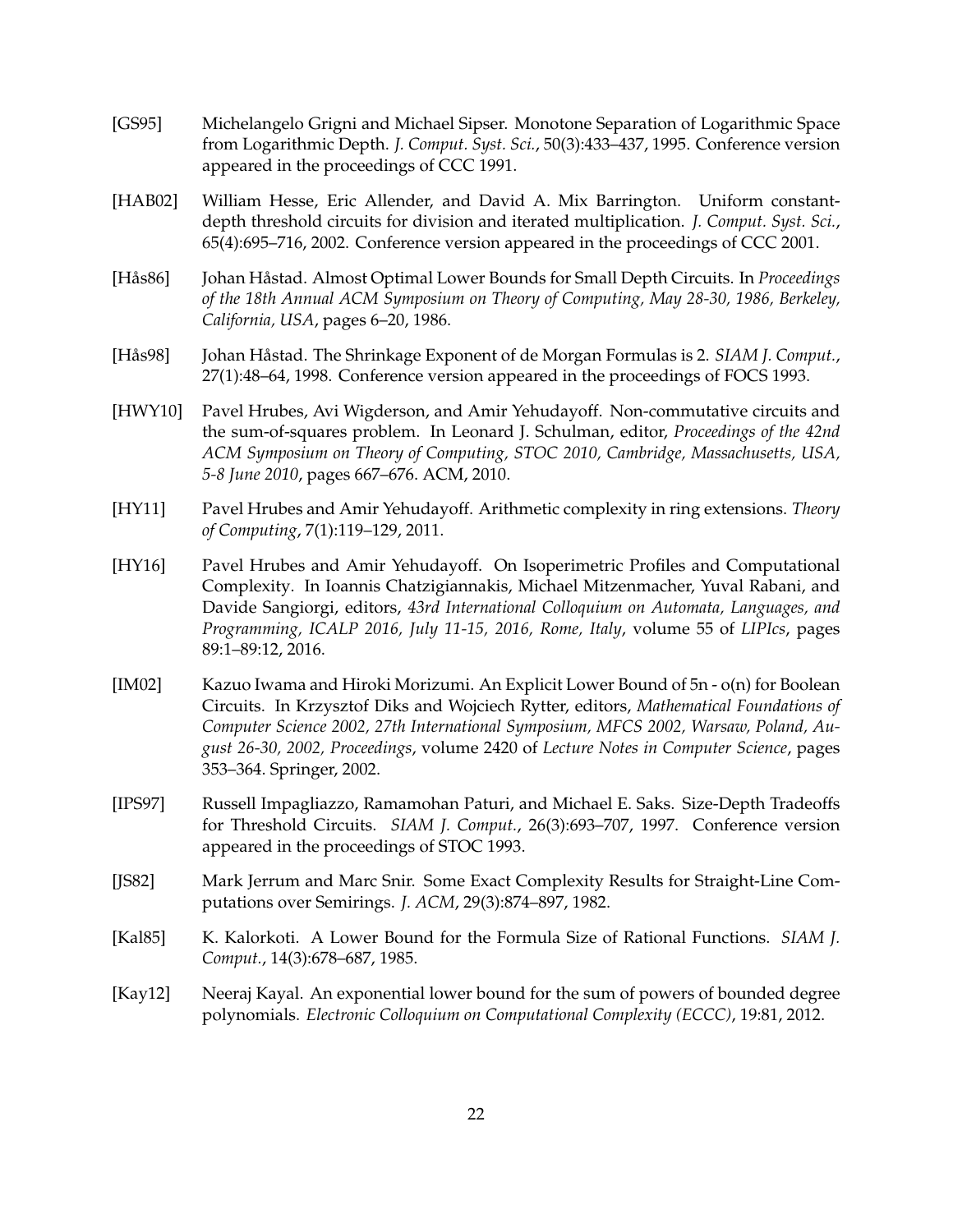- <span id="page-22-6"></span>[GS95] Michelangelo Grigni and Michael Sipser. Monotone Separation of Logarithmic Space from Logarithmic Depth. *J. Comput. Syst. Sci.*, 50(3):433–437, 1995. Conference version appeared in the proceedings of CCC 1991.
- <span id="page-22-8"></span>[HAB02] William Hesse, Eric Allender, and David A. Mix Barrington. Uniform constantdepth threshold circuits for division and iterated multiplication. *J. Comput. Syst. Sci.*, 65(4):695–716, 2002. Conference version appeared in the proceedings of CCC 2001.
- <span id="page-22-9"></span>[Hås86] Johan Håstad. Almost Optimal Lower Bounds for Small Depth Circuits. In *Proceedings of the 18th Annual ACM Symposium on Theory of Computing, May 28-30, 1986, Berkeley, California, USA*, pages 6–20, 1986.
- <span id="page-22-3"></span>[Hås98] Johan Håstad. The Shrinkage Exponent of de Morgan Formulas is 2. *SIAM J. Comput.*, 27(1):48–64, 1998. Conference version appeared in the proceedings of FOCS 1993.
- <span id="page-22-11"></span>[HWY10] Pavel Hrubes, Avi Wigderson, and Amir Yehudayoff. Non-commutative circuits and the sum-of-squares problem. In Leonard J. Schulman, editor, *Proceedings of the 42nd ACM Symposium on Theory of Computing, STOC 2010, Cambridge, Massachusetts, USA, 5-8 June 2010*, pages 667–676. ACM, 2010.
- <span id="page-22-1"></span>[HY11] Pavel Hrubes and Amir Yehudayoff. Arithmetic complexity in ring extensions. *Theory of Computing*, 7(1):119–129, 2011.
- <span id="page-22-5"></span>[HY16] Pavel Hrubes and Amir Yehudayoff. On Isoperimetric Profiles and Computational Complexity. In Ioannis Chatzigiannakis, Michael Mitzenmacher, Yuval Rabani, and Davide Sangiorgi, editors, *43rd International Colloquium on Automata, Languages, and Programming, ICALP 2016, July 11-15, 2016, Rome, Italy*, volume 55 of *LIPIcs*, pages 89:1–89:12, 2016.
- <span id="page-22-2"></span>[IM02] Kazuo Iwama and Hiroki Morizumi. An Explicit Lower Bound of 5n - o(n) for Boolean Circuits. In Krzysztof Diks and Wojciech Rytter, editors, *Mathematical Foundations of Computer Science 2002, 27th International Symposium, MFCS 2002, Warsaw, Poland, August 26-30, 2002, Proceedings*, volume 2420 of *Lecture Notes in Computer Science*, pages 353–364. Springer, 2002.
- <span id="page-22-10"></span>[IPS97] Russell Impagliazzo, Ramamohan Paturi, and Michael E. Saks. Size-Depth Tradeoffs for Threshold Circuits. *SIAM J. Comput.*, 26(3):693–707, 1997. Conference version appeared in the proceedings of STOC 1993.
- <span id="page-22-4"></span>[JS82] Mark Jerrum and Marc Snir. Some Exact Complexity Results for Straight-Line Computations over Semirings. *J. ACM*, 29(3):874–897, 1982.
- <span id="page-22-0"></span>[Kal85] K. Kalorkoti. A Lower Bound for the Formula Size of Rational Functions. *SIAM J. Comput.*, 14(3):678–687, 1985.
- <span id="page-22-7"></span>[Kay12] Neeraj Kayal. An exponential lower bound for the sum of powers of bounded degree polynomials. *Electronic Colloquium on Computational Complexity (ECCC)*, 19:81, 2012.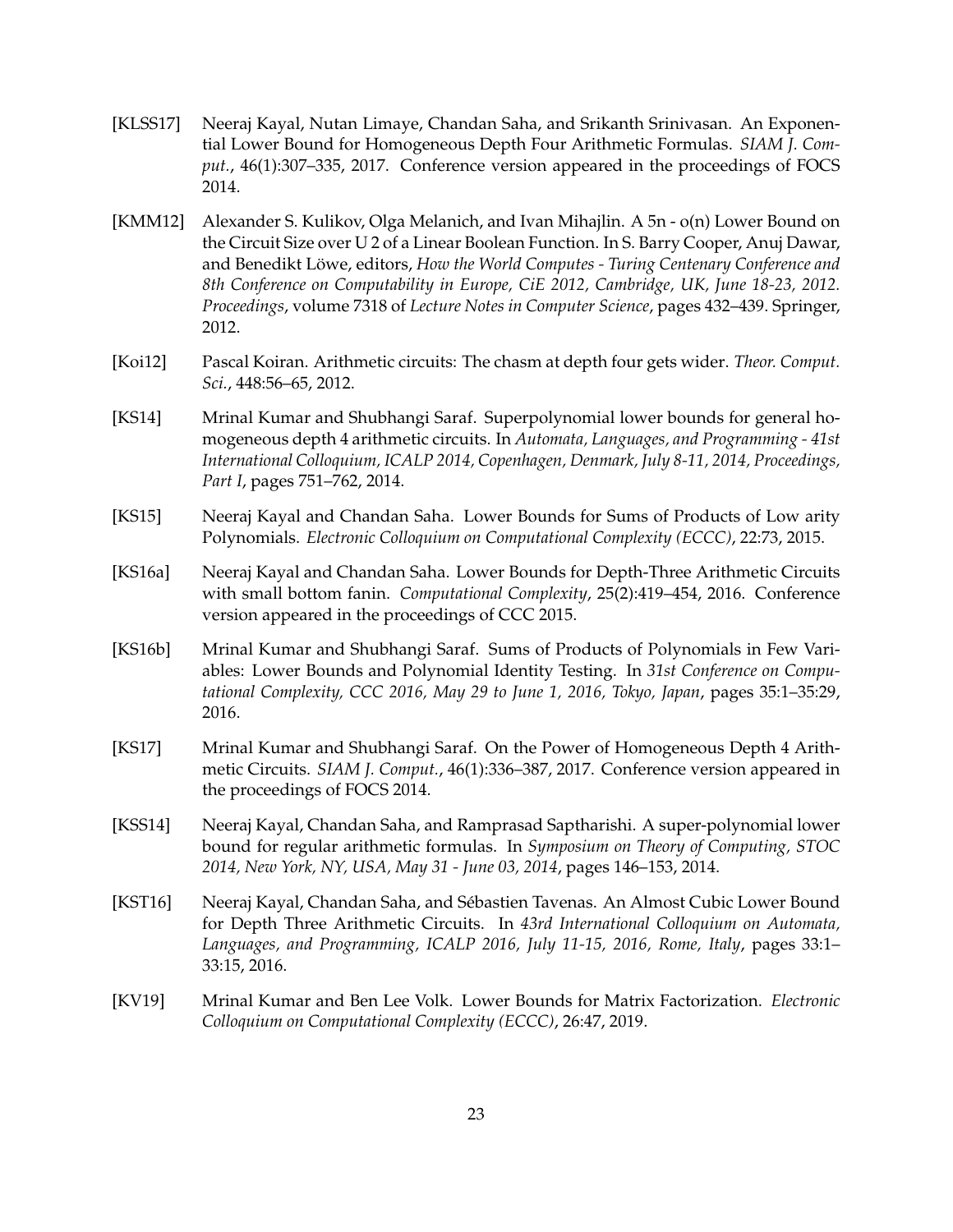- <span id="page-23-2"></span>[KLSS17] Neeraj Kayal, Nutan Limaye, Chandan Saha, and Srikanth Srinivasan. An Exponential Lower Bound for Homogeneous Depth Four Arithmetic Formulas. *SIAM J. Comput.*, 46(1):307–335, 2017. Conference version appeared in the proceedings of FOCS 2014.
- <span id="page-23-7"></span>[KMM12] Alexander S. Kulikov, Olga Melanich, and Ivan Mihajlin. A 5n - o(n) Lower Bound on the Circuit Size over U 2 of a Linear Boolean Function. In S. Barry Cooper, Anuj Dawar, and Benedikt Löwe, editors, *How the World Computes - Turing Centenary Conference and 8th Conference on Computability in Europe, CiE 2012, Cambridge, UK, June 18-23, 2012. Proceedings*, volume 7318 of *Lecture Notes in Computer Science*, pages 432–439. Springer, 2012.
- <span id="page-23-9"></span>[Koi12] Pascal Koiran. Arithmetic circuits: The chasm at depth four gets wider. *Theor. Comput. Sci.*, 448:56–65, 2012.
- <span id="page-23-6"></span>[KS14] Mrinal Kumar and Shubhangi Saraf. Superpolynomial lower bounds for general homogeneous depth 4 arithmetic circuits. In *Automata, Languages, and Programming - 41st International Colloquium, ICALP 2014, Copenhagen, Denmark, July 8-11, 2014, Proceedings, Part I*, pages 751–762, 2014.
- <span id="page-23-10"></span>[KS15] Neeraj Kayal and Chandan Saha. Lower Bounds for Sums of Products of Low arity Polynomials. *Electronic Colloquium on Computational Complexity (ECCC)*, 22:73, 2015.
- <span id="page-23-4"></span>[KS16a] Neeraj Kayal and Chandan Saha. Lower Bounds for Depth-Three Arithmetic Circuits with small bottom fanin. *Computational Complexity*, 25(2):419–454, 2016. Conference version appeared in the proceedings of CCC 2015.
- <span id="page-23-5"></span>[KS16b] Mrinal Kumar and Shubhangi Saraf. Sums of Products of Polynomials in Few Variables: Lower Bounds and Polynomial Identity Testing. In *31st Conference on Computational Complexity, CCC 2016, May 29 to June 1, 2016, Tokyo, Japan*, pages 35:1–35:29, 2016.
- <span id="page-23-3"></span>[KS17] Mrinal Kumar and Shubhangi Saraf. On the Power of Homogeneous Depth 4 Arithmetic Circuits. *SIAM J. Comput.*, 46(1):336–387, 2017. Conference version appeared in the proceedings of FOCS 2014.
- <span id="page-23-1"></span>[KSS14] Neeraj Kayal, Chandan Saha, and Ramprasad Saptharishi. A super-polynomial lower bound for regular arithmetic formulas. In *Symposium on Theory of Computing, STOC 2014, New York, NY, USA, May 31 - June 03, 2014*, pages 146–153, 2014.
- <span id="page-23-0"></span>[KST16] Neeraj Kayal, Chandan Saha, and Sébastien Tavenas. An Almost Cubic Lower Bound for Depth Three Arithmetic Circuits. In *43rd International Colloquium on Automata, Languages, and Programming, ICALP 2016, July 11-15, 2016, Rome, Italy*, pages 33:1– 33:15, 2016.
- <span id="page-23-8"></span>[KV19] Mrinal Kumar and Ben Lee Volk. Lower Bounds for Matrix Factorization. *Electronic Colloquium on Computational Complexity (ECCC)*, 26:47, 2019.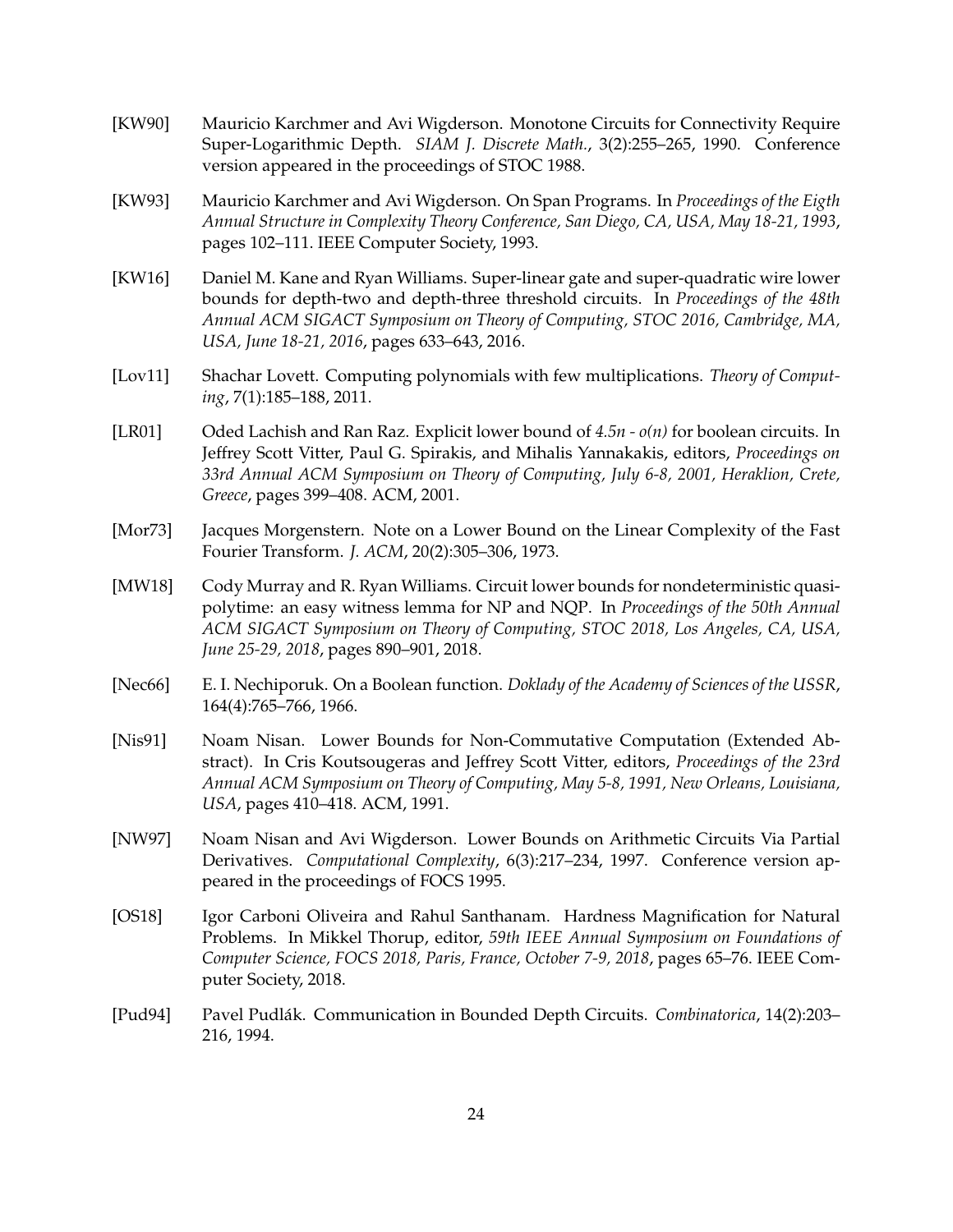- <span id="page-24-5"></span>[KW90] Mauricio Karchmer and Avi Wigderson. Monotone Circuits for Connectivity Require Super-Logarithmic Depth. *SIAM J. Discrete Math.*, 3(2):255–265, 1990. Conference version appeared in the proceedings of STOC 1988.
- <span id="page-24-4"></span>[KW93] Mauricio Karchmer and Avi Wigderson. On Span Programs. In *Proceedings of the Eigth Annual Structure in Complexity Theory Conference, San Diego, CA, USA, May 18-21, 1993*, pages 102–111. IEEE Computer Society, 1993.
- <span id="page-24-11"></span>[KW16] Daniel M. Kane and Ryan Williams. Super-linear gate and super-quadratic wire lower bounds for depth-two and depth-three threshold circuits. In *Proceedings of the 48th Annual ACM SIGACT Symposium on Theory of Computing, STOC 2016, Cambridge, MA, USA, June 18-21, 2016*, pages 633–643, 2016.
- <span id="page-24-0"></span>[Lov11] Shachar Lovett. Computing polynomials with few multiplications. *Theory of Computing*, 7(1):185–188, 2011.
- <span id="page-24-1"></span>[LR01] Oded Lachish and Ran Raz. Explicit lower bound of *4.5n - o(n)* for boolean circuits. In Jeffrey Scott Vitter, Paul G. Spirakis, and Mihalis Yannakakis, editors, *Proceedings on 33rd Annual ACM Symposium on Theory of Computing, July 6-8, 2001, Heraklion, Crete, Greece*, pages 399–408. ACM, 2001.
- <span id="page-24-7"></span>[Mor73] Jacques Morgenstern. Note on a Lower Bound on the Linear Complexity of the Fast Fourier Transform. *J. ACM*, 20(2):305–306, 1973.
- <span id="page-24-10"></span>[MW18] Cody Murray and R. Ryan Williams. Circuit lower bounds for nondeterministic quasipolytime: an easy witness lemma for NP and NQP. In *Proceedings of the 50th Annual ACM SIGACT Symposium on Theory of Computing, STOC 2018, Los Angeles, CA, USA, June 25-29, 2018*, pages 890–901, 2018.
- <span id="page-24-2"></span>[Nec66] E. I. Nechiporuk. On a Boolean function. *Doklady of the Academy of Sciences of the USSR*, 164(4):765–766, 1966.
- <span id="page-24-6"></span>[Nis91] Noam Nisan. Lower Bounds for Non-Commutative Computation (Extended Abstract). In Cris Koutsougeras and Jeffrey Scott Vitter, editors, *Proceedings of the 23rd Annual ACM Symposium on Theory of Computing, May 5-8, 1991, New Orleans, Louisiana, USA*, pages 410–418. ACM, 1991.
- <span id="page-24-9"></span>[NW97] Noam Nisan and Avi Wigderson. Lower Bounds on Arithmetic Circuits Via Partial Derivatives. *Computational Complexity*, 6(3):217–234, 1997. Conference version appeared in the proceedings of FOCS 1995.
- <span id="page-24-3"></span>[OS18] Igor Carboni Oliveira and Rahul Santhanam. Hardness Magnification for Natural Problems. In Mikkel Thorup, editor, *59th IEEE Annual Symposium on Foundations of Computer Science, FOCS 2018, Paris, France, October 7-9, 2018*, pages 65–76. IEEE Computer Society, 2018.
- <span id="page-24-8"></span>[Pud94] Pavel Pudlák. Communication in Bounded Depth Circuits. *Combinatorica*, 14(2):203– 216, 1994.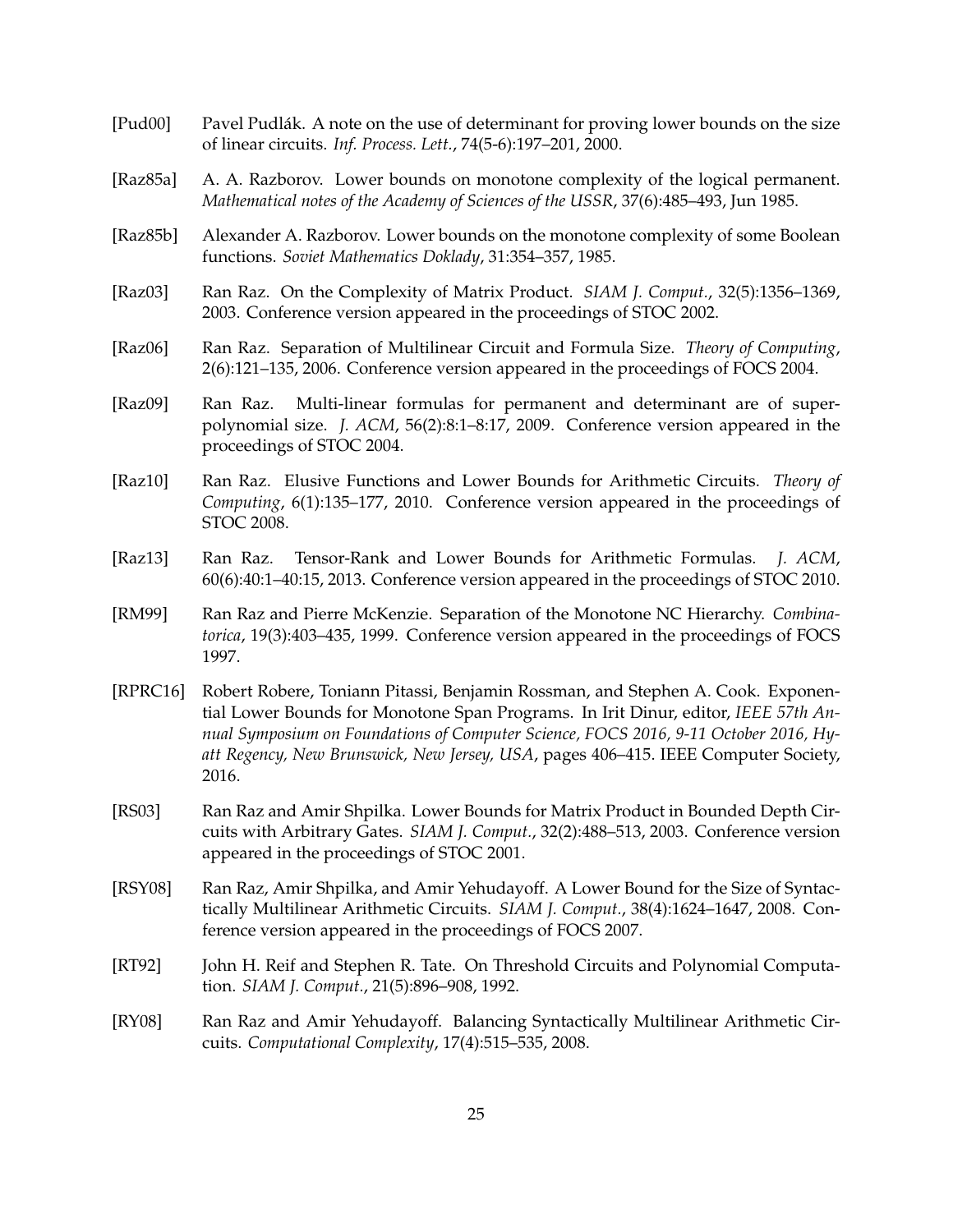- <span id="page-25-11"></span>[Pud00] Pavel Pudlák. A note on the use of determinant for proving lower bounds on the size of linear circuits. *Inf. Process. Lett.*, 74(5-6):197–201, 2000.
- <span id="page-25-3"></span>[Raz85a] A. A. Razborov. Lower bounds on monotone complexity of the logical permanent. *Mathematical notes of the Academy of Sciences of the USSR*, 37(6):485–493, Jun 1985.
- <span id="page-25-1"></span>[Raz85b] Alexander A. Razborov. Lower bounds on the monotone complexity of some Boolean functions. *Soviet Mathematics Doklady*, 31:354–357, 1985.
- <span id="page-25-9"></span>[Raz03] Ran Raz. On the Complexity of Matrix Product. *SIAM J. Comput.*, 32(5):1356–1369, 2003. Conference version appeared in the proceedings of STOC 2002.
- <span id="page-25-8"></span>[Raz06] Ran Raz. Separation of Multilinear Circuit and Formula Size. *Theory of Computing*, 2(6):121–135, 2006. Conference version appeared in the proceedings of FOCS 2004.
- <span id="page-25-6"></span>[Raz09] Ran Raz. Multi-linear formulas for permanent and determinant are of superpolynomial size. *J. ACM*, 56(2):8:1–8:17, 2009. Conference version appeared in the proceedings of STOC 2004.
- <span id="page-25-0"></span>[Raz10] Ran Raz. Elusive Functions and Lower Bounds for Arithmetic Circuits. *Theory of Computing*, 6(1):135–177, 2010. Conference version appeared in the proceedings of STOC 2008.
- <span id="page-25-13"></span>[Raz13] Ran Raz. Tensor-Rank and Lower Bounds for Arithmetic Formulas. *J. ACM*, 60(6):40:1–40:15, 2013. Conference version appeared in the proceedings of STOC 2010.
- <span id="page-25-4"></span>[RM99] Ran Raz and Pierre McKenzie. Separation of the Monotone NC Hierarchy. *Combinatorica*, 19(3):403–435, 1999. Conference version appeared in the proceedings of FOCS 1997.
- <span id="page-25-2"></span>[RPRC16] Robert Robere, Toniann Pitassi, Benjamin Rossman, and Stephen A. Cook. Exponential Lower Bounds for Monotone Span Programs. In Irit Dinur, editor, *IEEE 57th Annual Symposium on Foundations of Computer Science, FOCS 2016, 9-11 October 2016, Hyatt Regency, New Brunswick, New Jersey, USA*, pages 406–415. IEEE Computer Society, 2016.
- <span id="page-25-10"></span>[RS03] Ran Raz and Amir Shpilka. Lower Bounds for Matrix Product in Bounded Depth Circuits with Arbitrary Gates. *SIAM J. Comput.*, 32(2):488–513, 2003. Conference version appeared in the proceedings of STOC 2001.
- <span id="page-25-5"></span>[RSY08] Ran Raz, Amir Shpilka, and Amir Yehudayoff. A Lower Bound for the Size of Syntactically Multilinear Arithmetic Circuits. *SIAM J. Comput.*, 38(4):1624–1647, 2008. Conference version appeared in the proceedings of FOCS 2007.
- <span id="page-25-12"></span>[RT92] John H. Reif and Stephen R. Tate. On Threshold Circuits and Polynomial Computation. *SIAM J. Comput.*, 21(5):896–908, 1992.
- <span id="page-25-7"></span>[RY08] Ran Raz and Amir Yehudayoff. Balancing Syntactically Multilinear Arithmetic Circuits. *Computational Complexity*, 17(4):515–535, 2008.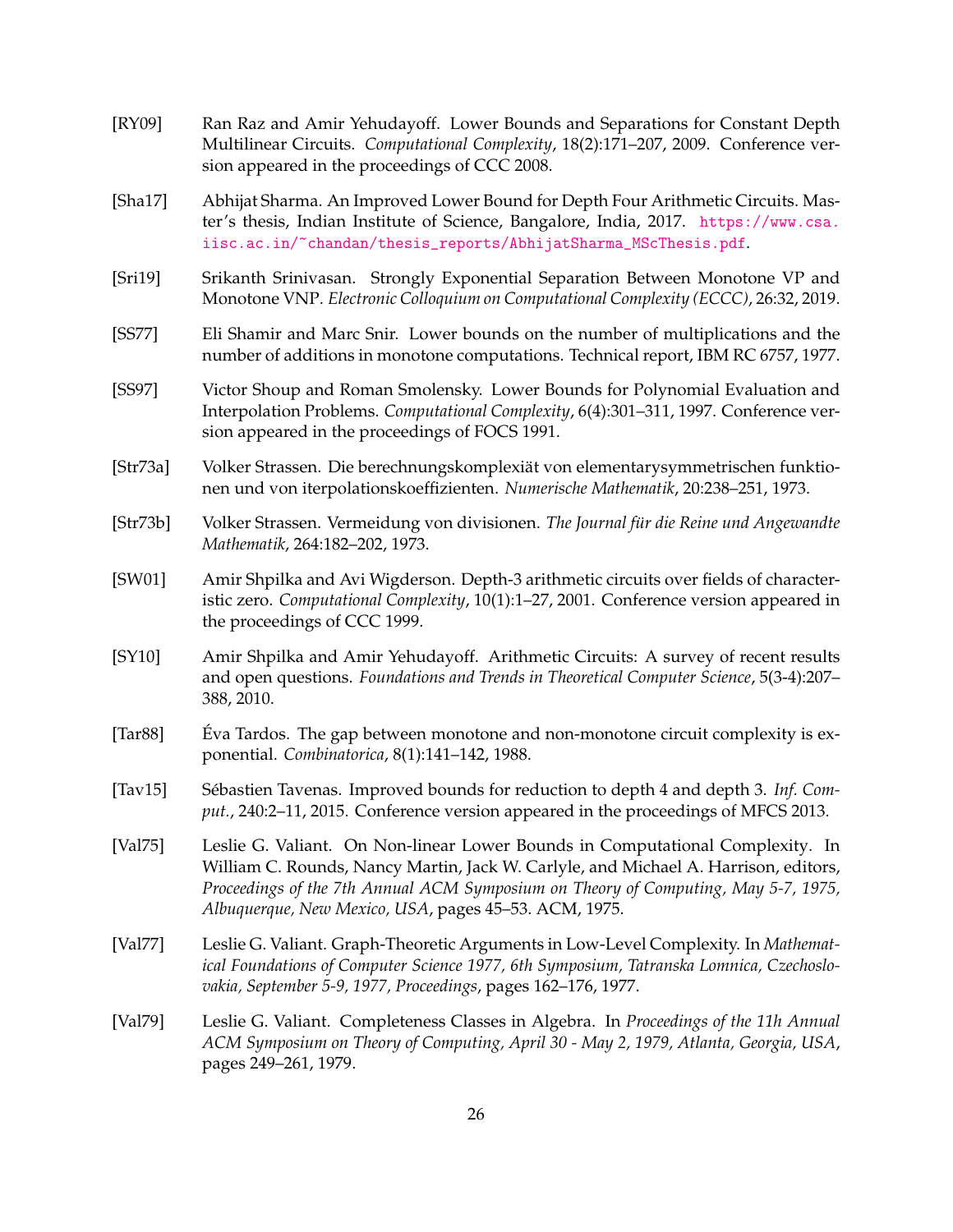- <span id="page-26-10"></span>[RY09] Ran Raz and Amir Yehudayoff. Lower Bounds and Separations for Constant Depth Multilinear Circuits. *Computational Complexity*, 18(2):171–207, 2009. Conference version appeared in the proceedings of CCC 2008.
- <span id="page-26-3"></span>[Sha17] Abhijat Sharma. An Improved Lower Bound for Depth Four Arithmetic Circuits. Master's thesis, Indian Institute of Science, Bangalore, India, 2017. [https://www.csa.](https://www.csa.iisc.ac.in/~chandan/thesis_reports/AbhijatSharma_MScThesis.pdf) [iisc.ac.in/~chandan/thesis\\_reports/AbhijatSharma\\_MScThesis.pdf](https://www.csa.iisc.ac.in/~chandan/thesis_reports/AbhijatSharma_MScThesis.pdf).
- <span id="page-26-7"></span>[Sri19] Srikanth Srinivasan. Strongly Exponential Separation Between Monotone VP and Monotone VNP. *Electronic Colloquium on Computational Complexity (ECCC)*, 26:32, 2019.
- <span id="page-26-6"></span>[SS77] Eli Shamir and Marc Snir. Lower bounds on the number of multiplications and the number of additions in monotone computations. Technical report, IBM RC 6757, 1977.
- <span id="page-26-1"></span>[SS97] Victor Shoup and Roman Smolensky. Lower Bounds for Polynomial Evaluation and Interpolation Problems. *Computational Complexity*, 6(4):301–311, 1997. Conference version appeared in the proceedings of FOCS 1991.
- <span id="page-26-0"></span>[Str73a] Volker Strassen. Die berechnungskomplexiät von elementarysymmetrischen funktionen und von iterpolationskoeffizienten. *Numerische Mathematik*, 20:238–251, 1973.
- <span id="page-26-11"></span>[Str73b] Volker Strassen. Vermeidung von divisionen. *The Journal für die Reine und Angewandte Mathematik*, 264:182–202, 1973.
- <span id="page-26-2"></span>[SW01] Amir Shpilka and Avi Wigderson. Depth-3 arithmetic circuits over fields of characteristic zero. *Computational Complexity*, 10(1):1–27, 2001. Conference version appeared in the proceedings of CCC 1999.
- <span id="page-26-4"></span>[SY10] Amir Shpilka and Amir Yehudayoff. Arithmetic Circuits: A survey of recent results and open questions. *Foundations and Trends in Theoretical Computer Science*, 5(3-4):207– 388, 2010.
- <span id="page-26-8"></span>[Tar88] Éva Tardos. The gap between monotone and non-monotone circuit complexity is exponential. *Combinatorica*, 8(1):141–142, 1988.
- <span id="page-26-12"></span>[Tav15] Sébastien Tavenas. Improved bounds for reduction to depth 4 and depth 3. *Inf. Comput.*, 240:2–11, 2015. Conference version appeared in the proceedings of MFCS 2013.
- <span id="page-26-9"></span>[Val75] Leslie G. Valiant. On Non-linear Lower Bounds in Computational Complexity. In William C. Rounds, Nancy Martin, Jack W. Carlyle, and Michael A. Harrison, editors, *Proceedings of the 7th Annual ACM Symposium on Theory of Computing, May 5-7, 1975, Albuquerque, New Mexico, USA*, pages 45–53. ACM, 1975.
- <span id="page-26-13"></span>[Val77] Leslie G. Valiant. Graph-Theoretic Arguments in Low-Level Complexity. In *Mathematical Foundations of Computer Science 1977, 6th Symposium, Tatranska Lomnica, Czechoslovakia, September 5-9, 1977, Proceedings*, pages 162–176, 1977.
- <span id="page-26-5"></span>[Val79] Leslie G. Valiant. Completeness Classes in Algebra. In *Proceedings of the 11h Annual ACM Symposium on Theory of Computing, April 30 - May 2, 1979, Atlanta, Georgia, USA*, pages 249–261, 1979.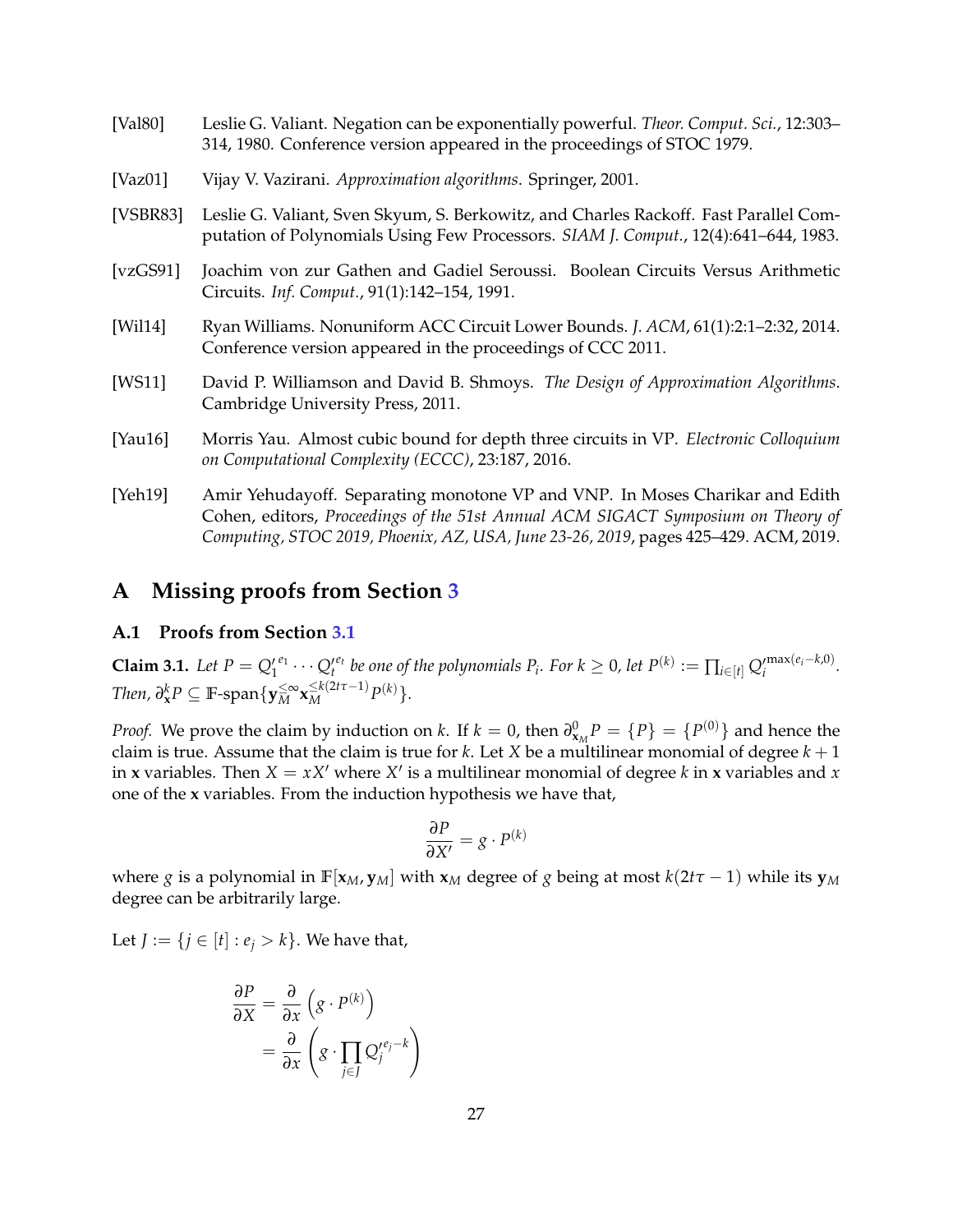<span id="page-27-4"></span><span id="page-27-2"></span><span id="page-27-1"></span><span id="page-27-0"></span>

| [Val80]     | Leslie G. Valiant. Negation can be exponentially powerful. Theor. Comput. Sci., 12:303-<br>314, 1980. Conference version appeared in the proceedings of STOC 1979.          |
|-------------|-----------------------------------------------------------------------------------------------------------------------------------------------------------------------------|
| [ $Vaz01$ ] | Vijay V. Vazirani. Approximation algorithms. Springer, 2001.                                                                                                                |
| [VSBR83]    | Leslie G. Valiant, Sven Skyum, S. Berkowitz, and Charles Rackoff. Fast Parallel Com-<br>putation of Polynomials Using Few Processors. SIAM J. Comput., 12(4):641-644, 1983. |
| [vzGS91]    | Joachim von zur Gathen and Gadiel Seroussi. Boolean Circuits Versus Arithmetic<br>Circuits. Inf. Comput., 91(1):142-154, 1991.                                              |
| [Will14]    | Ryan Williams. Nonuniform ACC Circuit Lower Bounds. J. ACM, 61(1):2:1-2:32, 2014.<br>Conference version appeared in the proceedings of CCC 2011.                            |
| [WS11]      | David P. Williamson and David B. Shmoys. The Design of Approximation Algorithms.<br>Cambridge University Press, 2011.                                                       |
| [Yau16]     | Morris Yau. Almost cubic bound for depth three circuits in VP. Electronic Colloquium<br>on Computational Complexity (ECCC), 23:187, 2016.                                   |
| [Yeh19]     | Amir Yehudayoff. Separating monotone VP and VNP. In Moses Charikar and Edith                                                                                                |

<span id="page-27-8"></span><span id="page-27-6"></span><span id="page-27-5"></span><span id="page-27-3"></span>Cohen, editors, *Proceedings of the 51st Annual ACM SIGACT Symposium on Theory of Computing, STOC 2019, Phoenix, AZ, USA, June 23-26, 2019*, pages 425–429. ACM, 2019.

## **A Missing proofs from Section [3](#page-10-0)**

### <span id="page-27-7"></span>**A.1 Proofs from Section [3.1](#page-11-2)**

**Claim 3.1.** Let  $P = Q_1^{\prime e_1} \cdots Q_t^{\prime e_t}$  be one of the polynomials  $P_i$ . For  $k \ge 0$ , let  $P^{(k)} := \prod_{i \in [t]} Q_i^{\prime \max(e_i - k, 0)}$ .  $\mathcal{D}^k$ *RP*  $\subseteq$  **F**-span $\{ \mathbf{y}_M^{\leq \infty} \mathbf{x}_M^{\leq k(2t\tau-1)} P^{(k)} \}.$ 

*Proof.* We prove the claim by induction on *k*. If  $k = 0$ , then  $\partial_{\mathbf{x}_M}^0 P = \{P\} = \{P^{(0)}\}$  and hence the claim is true. Assume that the claim is true for  $k$ . Let  $X$  be a multilinear monomial of degree  $k + 1$ in **x** variables. Then  $X = xX'$  where  $X'$  is a multilinear monomial of degree k in **x** variables and x one of the **x** variables. From the induction hypothesis we have that,

$$
\frac{\partial P}{\partial X'} = g \cdot P^{(k)}
$$

where *g* is a polynomial in  $\mathbb{F}[\mathbf{x}_M, \mathbf{y}_M]$  with  $\mathbf{x}_M$  degree of *g* being at most  $k(2t\tau - 1)$  while its  $\mathbf{y}_M$ degree can be arbitrarily large.

Let *J* := {*j* ∈ [*t*] : *e*<sub>*j*</sub> > *k*}. We have that,

$$
\frac{\partial P}{\partial X} = \frac{\partial}{\partial x} \left( g \cdot P^{(k)} \right)
$$

$$
= \frac{\partial}{\partial x} \left( g \cdot \prod_{j \in J} Q_j^{\prime e_j - k} \right)
$$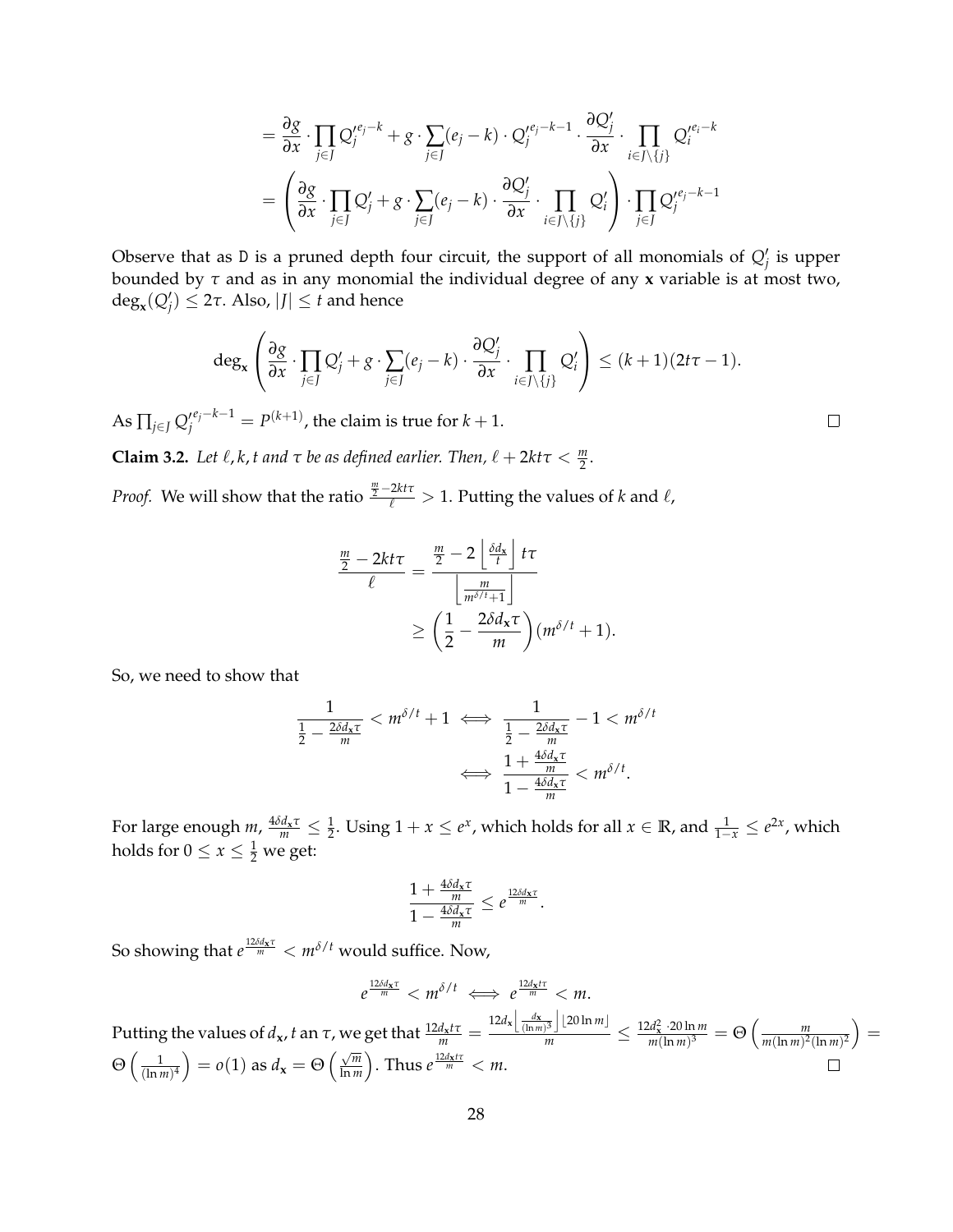$$
= \frac{\partial g}{\partial x} \cdot \prod_{j \in J} Q_j^{\prime e_j - k} + g \cdot \sum_{j \in J} (e_j - k) \cdot Q_j^{\prime e_j - k - 1} \cdot \frac{\partial Q_j^{\prime}}{\partial x} \cdot \prod_{i \in J \setminus \{j\}} Q_i^{\prime e_i - k} = \left( \frac{\partial g}{\partial x} \cdot \prod_{j \in J} Q_j^{\prime} + g \cdot \sum_{j \in J} (e_j - k) \cdot \frac{\partial Q_j^{\prime}}{\partial x} \cdot \prod_{i \in J \setminus \{j\}} Q_i^{\prime} \right) \cdot \prod_{j \in J} Q_j^{\prime e_j - k - 1}
$$

Observe that as D is a pruned depth four circuit, the support of all monomials of  $Q'_{j}$  is upper bounded by *τ* and as in any monomial the individual degree of any **x** variable is at most two,  $deg_{\mathbf{x}}(Q'_j) \leq 2\tau$ . Also,  $|J| \leq t$  and hence

$$
\deg_{\mathbf{x}}\left(\frac{\partial g}{\partial x}\cdot \prod_{j\in J}Q'_j+g\cdot \sum_{j\in J}(e_j-k)\cdot \frac{\partial Q'_j}{\partial x}\cdot \prod_{i\in J\setminus\{j\}}Q'_i\right)\leq (k+1)(2t\tau-1).
$$

As  $\prod_{j\in J} Q^{\prime e_j-k-1}_j = P^{(k+1)}$ , the claim is true for  $k+1$ .

**Claim 3.2.** Let  $\ell$ ,  $k$ ,  $t$  and  $\tau$  be as defined earlier. Then,  $\ell + 2kt\tau < \frac{m}{2}$ .

*Proof.* We will show that the ratio  $\frac{m}{2} - 2kt\tau > 1$ . Putting the values of *k* and  $\ell$ ,

$$
\frac{\frac{m}{2} - 2kt\tau}{\ell} = \frac{\frac{m}{2} - 2\left\lfloor \frac{\delta d_x}{t} \right\rfloor t\tau}{\left\lfloor \frac{m}{m^{\delta/t} + 1} \right\rfloor} \ge \left(\frac{1}{2} - \frac{2\delta d_x\tau}{m}\right) (m^{\delta/t} + 1).
$$

So, we need to show that

$$
\frac{1}{\frac{1}{2} - \frac{2\delta d_{\mathbf{x}}\tau}{m}} < m^{\delta/t} + 1 \iff \frac{1}{\frac{1}{2} - \frac{2\delta d_{\mathbf{x}}\tau}{m}} - 1 < m^{\delta/t}
$$
\n
$$
\iff \frac{1 + \frac{4\delta d_{\mathbf{x}}\tau}{m}}{1 - \frac{4\delta d_{\mathbf{x}}\tau}{m}} < m^{\delta/t}.
$$

For large enough  $m$ ,  $\frac{4\delta d_x\tau}{m} \leq \frac{1}{2}$ . Using  $1 + x \leq e^x$ , which holds for all  $x \in \mathbb{R}$ , and  $\frac{1}{1-x} \leq e^{2x}$ , which holds for  $0 \le x \le \frac{1}{2}$  we get:

$$
\frac{1+\frac{4\delta d_{\mathbf{x}}\tau}{m}}{1-\frac{4\delta d_{\mathbf{x}}\tau}{m}} \leq e^{\frac{12\delta d_{\mathbf{x}}\tau}{m}}.
$$

So showing that  $e^{\frac{12\delta d_{\mathbf{x}}\tau}{m}} < m^{\delta/t}$  would suffice. Now,

$$
e^{\frac{12\delta d_{\mathbf{x}}\tau}{m}} < m^{\delta/t} \iff e^{\frac{12d_{\mathbf{x}}tr}{m}} < m.
$$
\nPutting the values of  $d_{\mathbf{x}}$ ,  $t$  an  $\tau$ , we get that\n
$$
\frac{12d_{\mathbf{x}}tr}{m} = \frac{12d_{\mathbf{x}}\left[\frac{d_{\mathbf{x}}}{(ln m)^3}\right] \left[20 \ln m\right]}{m} \leq \frac{12d_{\mathbf{x}}^2 \cdot 20 \ln m}{m(\ln m)^3} = \Theta\left(\frac{m}{m(\ln m)^2(\ln m)^2}\right) = \Theta\left(\frac{1}{(ln m)^4}\right) = o(1)
$$
\nas\n
$$
d_{\mathbf{x}} = \Theta\left(\frac{\sqrt{m}}{\ln m}\right).
$$
\nThus\n
$$
e^{\frac{12d_{\mathbf{x}} tr}{m}} < m.
$$

 $\Box$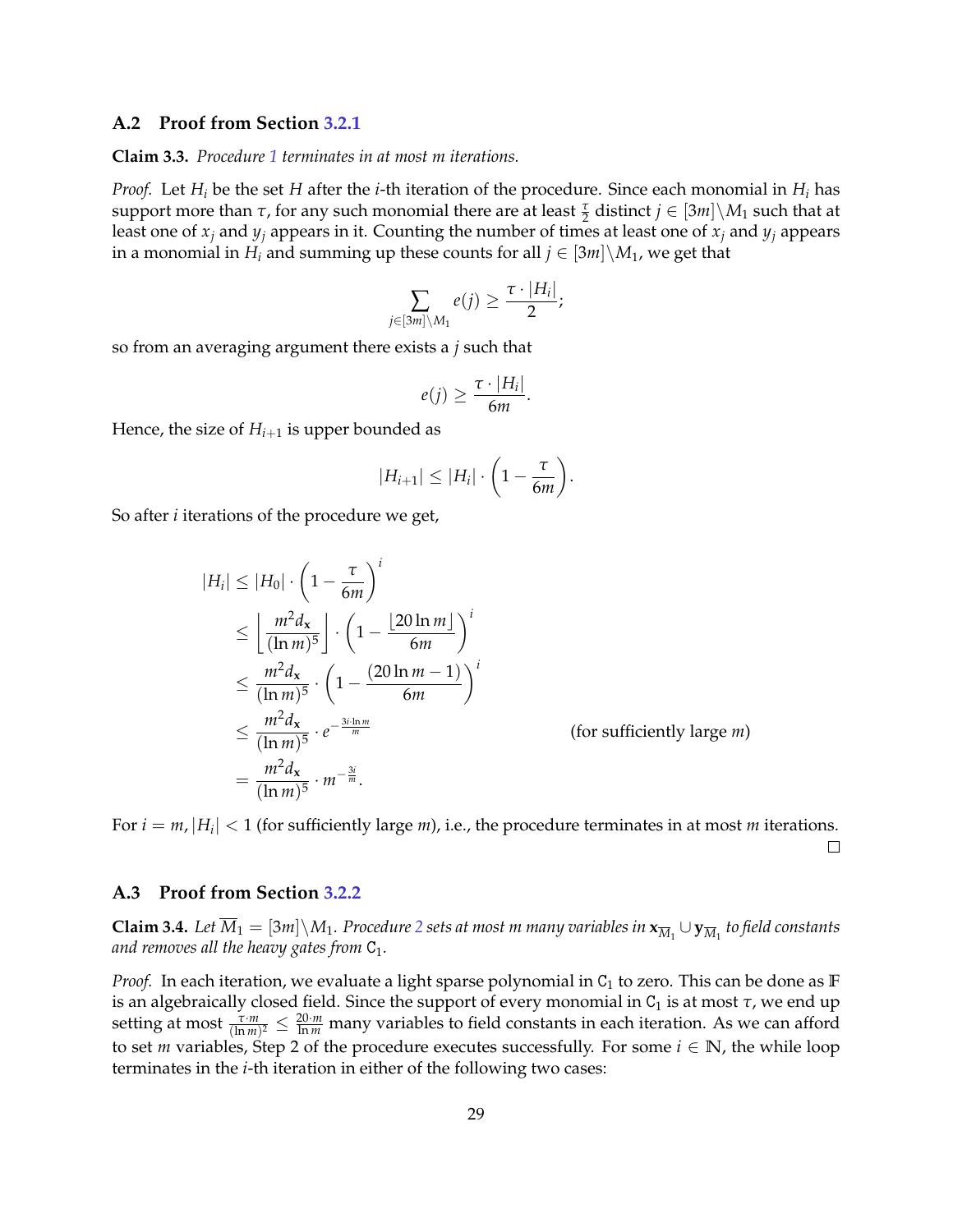### <span id="page-29-0"></span>**A.2 Proof from Section [3.2.1](#page-13-0)**

#### **Claim 3.3.** *Procedure [1](#page-13-2) terminates in at most m iterations.*

*Proof.* Let *H<sup>i</sup>* be the set *H* after the *i*-th iteration of the procedure. Since each monomial in *H<sup>i</sup>* has  $\sup$  support more than  $\tau$ , for any such monomial there are at least  $\frac{\tau}{2}$  distinct  $j \in [3m] \setminus M_1$  such that at least one of  $x_i$  and  $y_i$  appears in it. Counting the number of times at least one of  $x_i$  and  $y_i$  appears in a monomial in *H<sub>i</sub>* and summing up these counts for all  $j \in [3m] \setminus M_1$ , we get that

$$
\sum_{j\in [3m]\setminus M_1}e(j)\geq \frac{\tau\cdot |H_i|}{2};
$$

so from an averaging argument there exists a *j* such that

$$
e(j) \geq \frac{\tau \cdot |H_i|}{6m}.
$$

Hence, the size of  $H_{i+1}$  is upper bounded as

$$
|H_{i+1}| \leq |H_i| \cdot \left(1 - \frac{\tau}{6m}\right).
$$

So after *i* iterations of the procedure we get,

$$
|H_i| \le |H_0| \cdot \left(1 - \frac{\tau}{6m}\right)^i
$$
  
\n
$$
\le \left\lfloor \frac{m^2 d_x}{(\ln m)^5} \right\rfloor \cdot \left(1 - \frac{\left\lfloor 20 \ln m \right\rfloor}{6m}\right)^i
$$
  
\n
$$
\le \frac{m^2 d_x}{(\ln m)^5} \cdot \left(1 - \frac{\left(20 \ln m - 1\right)}{6m}\right)^i
$$
  
\n
$$
\le \frac{m^2 d_x}{(\ln m)^5} \cdot e^{-\frac{3i \cdot \ln m}{m}}
$$
 (for sufficiently large *m*)  
\n
$$
= \frac{m^2 d_x}{(\ln m)^5} \cdot m^{-\frac{3i}{m}}.
$$

For  $i = m$ ,  $|H_i| < 1$  (for sufficiently large *m*), i.e., the procedure terminates in at most *m* iterations.  $\Box$ 

### <span id="page-29-1"></span>**A.3 Proof from Section [3.2.2](#page-14-0)**

**Claim 3.4.** Let  $\overline{M}_1 = [3m] \setminus M_1$ . Procedure [2](#page-15-1) sets at most m many variables in  $\mathbf{x}_{\overline{M}_1} \cup \mathbf{y}_{\overline{M}_1}$  to field constants *and removes all the heavy gates from*  $C_1$ *.* 

*Proof.* In each iteration, we evaluate a light sparse polynomial in  $C_1$  to zero. This can be done as **F** is an algebraically closed field. Since the support of every monomial in  $C_1$  is at most  $\tau$ , we end up setting at most  $\frac{\tau \cdot m}{(\ln m)^2} \le \frac{20 \cdot m}{\ln m}$  many variables to field constants in each iteration. As we can afford to set *m* variables, Step 2 of the procedure executes successfully. For some  $i \in \mathbb{N}$ , the while loop terminates in the *i*-th iteration in either of the following two cases: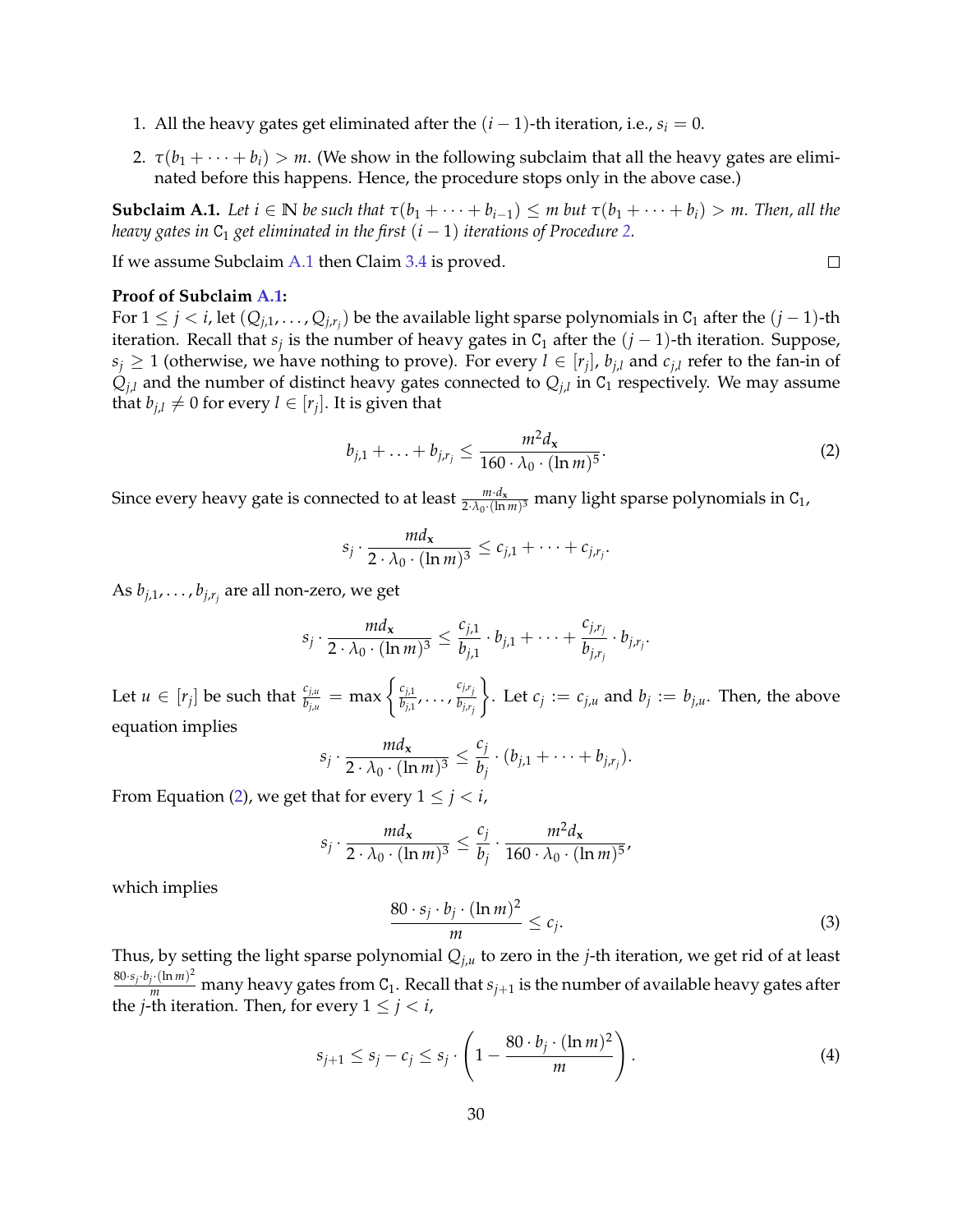- 1. All the heavy gates get eliminated after the  $(i 1)$ -th iteration, i.e.,  $s_i = 0$ .
- 2.  $\tau(b_1 + \cdots + b_i) > m$ . (We show in the following subclaim that all the heavy gates are eliminated before this happens. Hence, the procedure stops only in the above case.)

<span id="page-30-0"></span>**Subclaim A.1.** Let  $i \in \mathbb{N}$  be such that  $\tau(b_1 + \cdots + b_{i-1}) \leq m$  but  $\tau(b_1 + \cdots + b_i) > m$ . Then, all the *heavy gates in*  $C_1$  *get eliminated in the first*  $(i - 1)$  *iterations of Procedure* [2.](#page-15-1)

If we assume Subclaim [A.1](#page-30-0) then Claim [3.4](#page-15-2) is proved.

#### **Proof of Subclaim [A.1:](#page-30-0)**

For 1 ≤ *j* < *i*, let (*Qj*,1, . . . , *Qj*,*r<sup>j</sup>* ) be the available light sparse polynomials in C<sup>1</sup> after the (*j* − 1)-th iteration. Recall that  $s_j$  is the number of heavy gates in C<sub>1</sub> after the  $(j-1)$ -th iteration. Suppose,  $s_j \geq 1$  (otherwise, we have nothing to prove). For every  $l \in [r_j]$ ,  $b_{j,l}$  and  $c_{j,l}$  refer to the fan-in of  $Q_{j,l}$  and the number of distinct heavy gates connected to  $Q_{j,l}$  in  $C_1$  respectively. We may assume that  $b_{j,l} \neq 0$  for every  $l \in [r_j]$ . It is given that

<span id="page-30-1"></span>
$$
b_{j,1} + \ldots + b_{j,r_j} \le \frac{m^2 d_{\mathbf{x}}}{160 \cdot \lambda_0 \cdot (\ln m)^5}.
$$
 (2)

 $\Box$ 

Since every heavy gate is connected to at least  $\frac{m \cdot d_x}{2 \cdot \lambda_0 \cdot (\ln m)^3}$  many light sparse polynomials in C<sub>1</sub>,

$$
s_j \cdot \frac{md_{\mathbf{x}}}{2 \cdot \lambda_0 \cdot (\ln m)^3} \leq c_{j,1} + \cdots + c_{j,r_j}.
$$

As *bj*,1, . . . , *bj*,*r<sup>j</sup>* are all non-zero, we get

$$
s_j\cdot \frac{md_{\mathbf{x}}}{2\cdot \lambda_0\cdot (\ln m)^3}\leq \frac{c_{j,1}}{b_{j,1}}\cdot b_{j,1}+\cdots+\frac{c_{j,r_j}}{b_{j,r_j}}\cdot b_{j,r_j}.
$$

Let  $u \in [r_j]$  be such that  $\frac{c_{j,u}}{b_{j,u}} = \max \left\{ \frac{c_{j,1}}{b_{j,1}} \right\}$  $\frac{c_{j,1}}{b_{j,1}}, \ldots, \frac{c_{j,r_j}}{b_{j,r_j}}$  $\mathcal{L}$ . Let  $c_j := c_{j,u}$  and  $b_j := b_{j,u}$ . Then, the above equation implies

$$
s_j \cdot \frac{md_{\mathbf{x}}}{2 \cdot \lambda_0 \cdot (\ln m)^3} \leq \frac{c_j}{b_j} \cdot (b_{j,1} + \cdots + b_{j,r_j}).
$$

From Equation [\(2\)](#page-30-1), we get that for every  $1 \leq j < i$ ,

$$
s_j \cdot \frac{m d_{\mathbf{x}}}{2 \cdot \lambda_0 \cdot (\ln m)^3} \le \frac{c_j}{b_j} \cdot \frac{m^2 d_{\mathbf{x}}}{160 \cdot \lambda_0 \cdot (\ln m)^5},
$$

which implies

<span id="page-30-2"></span>
$$
\frac{80 \cdot s_j \cdot b_j \cdot (\ln m)^2}{m} \le c_j.
$$
 (3)

Thus, by setting the light sparse polynomial *Qj*,*<sup>u</sup>* to zero in the *j*-th iteration, we get rid of at least  $\frac{80\cdot s_j\cdot b_j\cdot(\ln m)^2}{m}$  many heavy gates from C<sub>1</sub>. Recall that  $s_{j+1}$  is the number of available heavy gates after the *j*-th iteration. Then, for every  $1 \leq j < i$ ,

$$
s_{j+1} \le s_j - c_j \le s_j \cdot \left(1 - \frac{80 \cdot b_j \cdot (\ln m)^2}{m}\right). \tag{4}
$$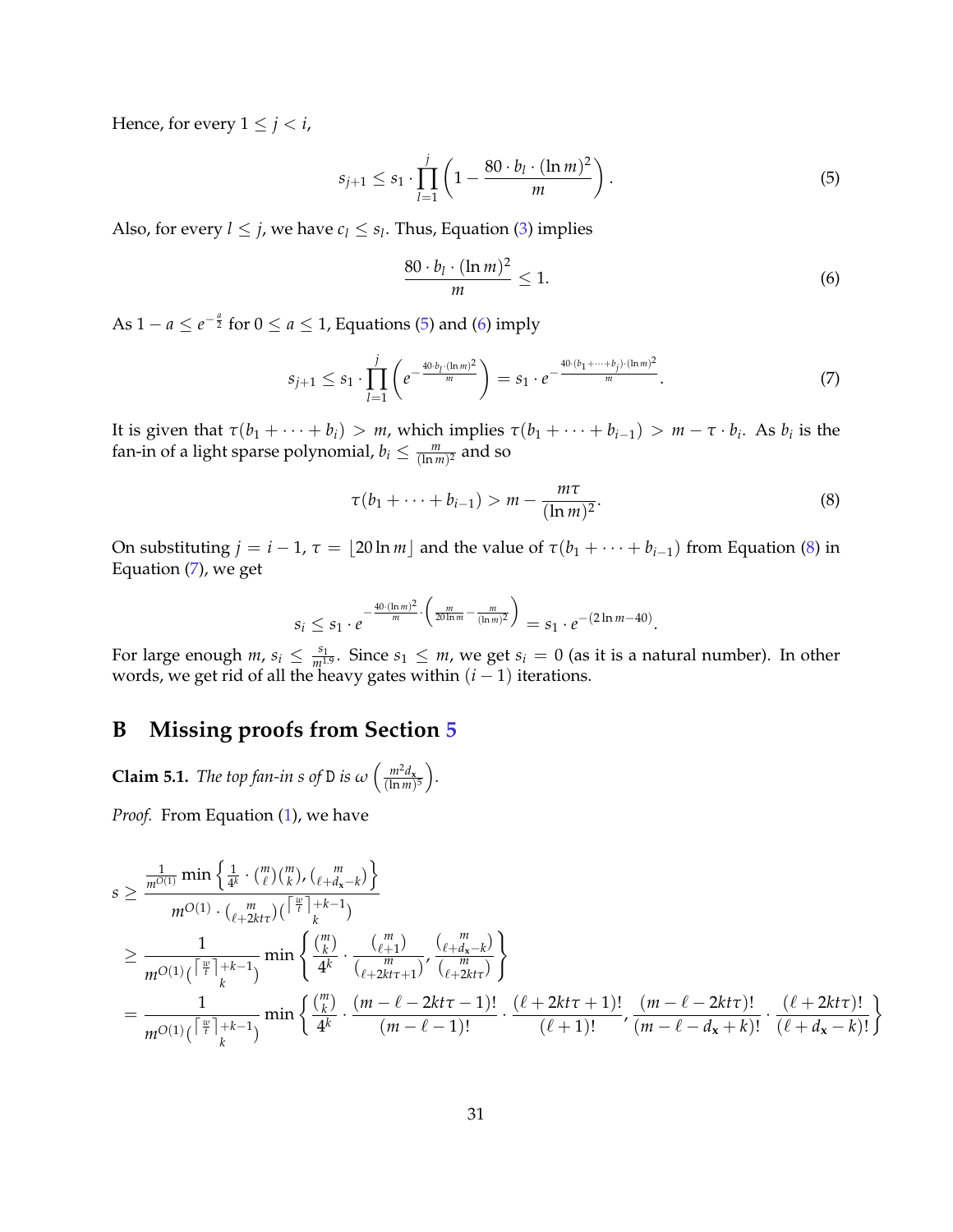Hence, for every  $1 \leq j < i$ ,

<span id="page-31-1"></span>
$$
s_{j+1} \le s_1 \cdot \prod_{l=1}^j \left( 1 - \frac{80 \cdot b_l \cdot (\ln m)^2}{m} \right). \tag{5}
$$

Also, for every  $l \leq j$ , we have  $c_l \leq s_l$ . Thus, Equation [\(3\)](#page-30-2) implies

<span id="page-31-2"></span>
$$
\frac{80 \cdot b_l \cdot (\ln m)^2}{m} \le 1. \tag{6}
$$

As 1 – *a* ≤ *e*<sup>- $\frac{a}{2}$  for 0 ≤ *a* ≤ 1, Equations [\(5\)](#page-31-1) and [\(6\)](#page-31-2) imply</sup>

<span id="page-31-4"></span>
$$
s_{j+1} \le s_1 \cdot \prod_{l=1}^j \left( e^{-\frac{40 \cdot b_l \cdot (\ln m)^2}{m}} \right) = s_1 \cdot e^{-\frac{40 \cdot (b_1 + \dots + b_j) \cdot (\ln m)^2}{m}}.
$$
 (7)

It is given that  $\tau(b_1 + \cdots + b_i) > m$ , which implies  $\tau(b_1 + \cdots + b_{i-1}) > m - \tau \cdot b_i$ . As  $b_i$  is the fan-in of a light sparse polynomial,  $b_i \leq \frac{m}{(\ln m)^2}$  and so

<span id="page-31-3"></span>
$$
\tau(b_1 + \dots + b_{i-1}) > m - \frac{m\tau}{(\ln m)^2}.
$$
 (8)

On substituting  $j = i - 1$ ,  $\tau = \lfloor 20 \ln m \rfloor$  and the value of  $\tau(b_1 + \cdots + b_{i-1})$  from Equation [\(8\)](#page-31-3) in Equation [\(7\)](#page-31-4), we get

$$
s_i \leq s_1 \cdot e^{-\frac{40 \cdot (\ln m)^2}{m} \cdot \left(\frac{m}{20 \ln m} - \frac{m}{(\ln m)^2}\right)} = s_1 \cdot e^{-(2 \ln m - 40)}.
$$

For large enough  $m$ ,  $s_i \leq \frac{s_1}{m^{1.9}}$ . Since  $s_1 \leq m$ , we get  $s_i = 0$  (as it is a natural number). In other words, we get rid of all the heavy gates within (*i* − 1) iterations.

## <span id="page-31-0"></span>**B Missing proofs from Section [5](#page-17-0)**

**Claim 5.1.** *The top fan-in s of* D *is*  $\omega \left( \frac{m^2 d_x}{(\ln m)} \right)$  $\frac{m^2 d_{\mathbf{x}}}{(\ln m)^5}$ .

*Proof.* From Equation [\(1\)](#page-17-1), we have

$$
s \geq \frac{\frac{1}{m^{O(1)}} \min\left\{\frac{1}{4^k} \cdot {m \choose \ell} {m \choose k}, {m \choose \ell+4} {m \choose k} \right\}}{m^{O(1)} \cdot {m \choose \ell+2kt\tau} {m \choose k}} = \frac{1}{m^{O(1)} \left( \lceil \frac{w}{t} \rceil + k - 1 \right)} \min\left\{\frac{m}{4^k} \cdot \frac{{m \choose \ell+1}}{({\ell+2kt\tau+1})}, \frac{{m \choose \ell+4x-k}}{{m \choose \ell+2kt\tau+1}} \right\}}{m^{O(1)} \left( \lceil \frac{w}{t} \rceil + k - 1 \right)} \min\left\{\frac{m}{4^k} \cdot \frac{(m - \ell - 2kt\tau - 1)!}{(m - \ell - 2kt\tau - 1)!} \cdot \frac{(\ell + 2kt\tau + 1)!}{(\ell + 1)!}, \frac{(m - \ell - 2kt\tau)!}{(m - \ell - 4x + k)!} \cdot \frac{(\ell + 2kt\tau)!}{(\ell + 4x - k)!}\right\}
$$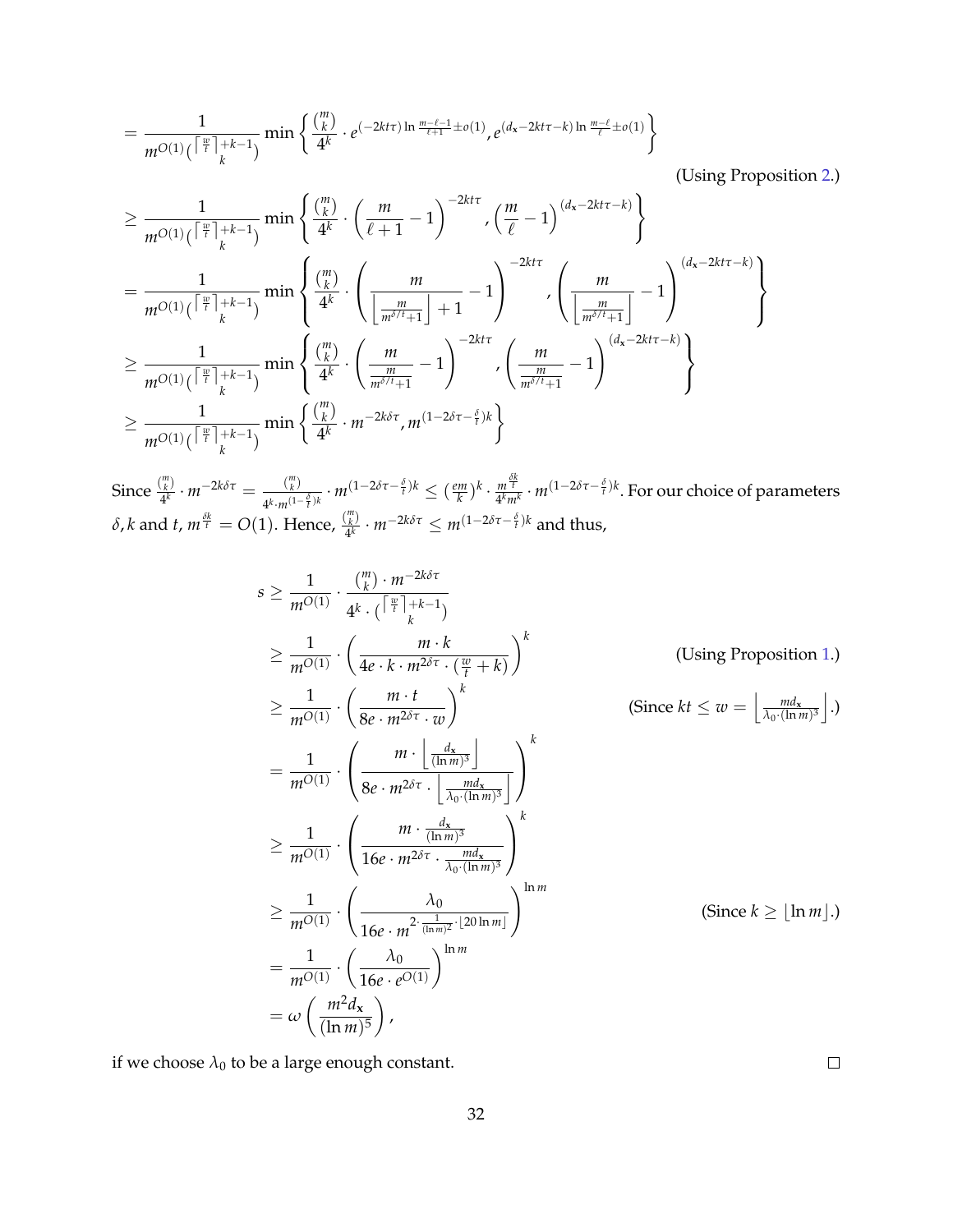$$
=\frac{1}{m^{O(1)}(\lceil\frac{w}{t}\rceil+k-1)}\min\left\{\frac{\binom{m}{k}}{4^k}\cdot e^{(-2kt\tau)\ln\frac{m-\ell-1}{\ell+1}\pm o(1)},e^{(d_x-2kt\tau-k)\ln\frac{m-\ell}{\ell}\pm o(1)}\right\}
$$

(Using Proposition [2.](#page-10-1))

$$
\geq \frac{1}{m^{O(1)}(\lceil\frac{w}{t}\rceil+k-1)}\min\left\{\frac{\binom{m}{k}}{4^k}\cdot\left(\frac{m}{\ell+1}-1\right)^{-2kt\tau},\left(\frac{m}{\ell}-1\right)^{(d_x-2kt\tau-k)}\right\}\\=\frac{1}{m^{O(1)}(\lceil\frac{w}{t}\rceil+k-1)}\min\left\{\frac{\binom{m}{k}}{4^k}\cdot\left(\frac{m}{\lfloor\frac{m}{m^{\delta/t}+1}\rfloor+1}-1\right)^{-2kt\tau},\left(\frac{m}{\lfloor\frac{m}{m^{\delta/t}+1}\rfloor}-1\right)^{(d_x-2kt\tau-k)}\right\}\\ \geq \frac{1}{m^{O(1)}(\lceil\frac{w}{t}\rceil+k-1)}\min\left\{\frac{\binom{m}{k}}{4^k}\cdot\left(\frac{m}{\frac{m}{m^{\delta/t}+1}}-1\right)^{-2kt\tau},\left(\frac{m}{\frac{m}{m^{\delta/t}+1}}-1\right)^{(d_x-2kt\tau-k)}\right\}\\ \geq \frac{1}{m^{O(1)}(\lceil\frac{w}{t}\rceil+k-1)}\min\left\{\frac{\binom{m}{k}}{4^k}\cdot m^{-2k\delta\tau},m^{(1-2\delta\tau-\frac{\delta}{t})k}\right\}
$$

Since  $\frac{\binom{m}{k}}{4^k}$ <sup>*m*</sup><sub>*k*</sub></sub> *m*<sup>−2*kδτ* =  $\frac{{m \choose k}}{4^{k} \cdot m^{(1-\frac{1}{n})}}$ </sup>  $\frac{\binom{m}{k}}{4^k \cdot m^{(1-\frac{\delta}{t})k}} \cdot m^{(1-2\delta\tau-\frac{\delta}{t})k} \leq \left(\frac{em}{k}\right)$  $(\frac{m}{k})^k \cdot \frac{m^{\frac{\delta k}{t}}}{4^k m}$ 4 *<sup>k</sup>m<sup>k</sup>* · *m*(1−2*δτ*<sup>−</sup> *<sup>δ</sup> t* )*k* . For our choice of parameters *δ*, *k* and *t*,  $m^{\frac{\delta k}{t}} = O(1)$ . Hence,  $\frac{\binom{m}{k}}{4^k}$  $\frac{d}{dt}$  · *m*<sup>−2*kδτ*</sup> ≤ *m*<sup>(1−2*δτ*− $\frac{\delta}{t}$ )*k* and thus,</sup>

$$
s \geq \frac{1}{m^{O(1)}} \cdot \frac{\binom{m}{k} \cdot m^{-2k\delta\tau}}{4^k \cdot \left(\lceil \frac{m}{k} \rceil + k - 1\right)}
$$
  
\n
$$
\geq \frac{1}{m^{O(1)}} \cdot \left(\frac{m \cdot k}{4e \cdot k \cdot m^{2\delta\tau} \cdot \left(\frac{w}{k} + k\right)}\right)^k \qquad \text{(Using Proposition 1.)}
$$
  
\n
$$
\geq \frac{1}{m^{O(1)}} \cdot \left(\frac{m \cdot t}{8e \cdot m^{2\delta\tau} \cdot w}\right)^k \qquad \text{(Since } kt \leq w = \left\lfloor \frac{m d_x}{\lambda_0 \cdot (\ln m)^3} \right\rfloor.)
$$
  
\n
$$
= \frac{1}{m^{O(1)}} \cdot \left(\frac{m \cdot \left\lfloor \frac{d_x}{(\ln m)^3} \right\rfloor}{8e \cdot m^{2\delta\tau} \cdot \left\lfloor \frac{m d_x}{\lambda_0 \cdot (\ln m)^3} \right\rfloor}\right)^k
$$
  
\n
$$
\geq \frac{1}{m^{O(1)}} \cdot \left(\frac{m \cdot \frac{d_x}{(\ln m)^3}}{16e \cdot m^{2\delta\tau} \cdot \frac{m d_x}{\lambda_0 \cdot (\ln m)^3}}\right)^k
$$
  
\n
$$
\geq \frac{1}{m^{O(1)}} \cdot \left(\frac{\lambda_0}{16e \cdot n^{2\cdot \frac{1}{(\ln m)^2} \cdot \lfloor 20 \ln m \rfloor}}\right)^{\ln m} \qquad \text{(Since } k \geq \lfloor \ln m \rfloor.)
$$
  
\n
$$
= \frac{1}{m^{O(1)}} \cdot \left(\frac{\lambda_0}{16e \cdot e^{O(1)}}\right)^{\ln m}
$$
  
\n
$$
= \omega \left(\frac{m^2 d_x}{(\ln m)^5}\right),
$$

if we choose  $\lambda_0$  to be a large enough constant.

 $\Box$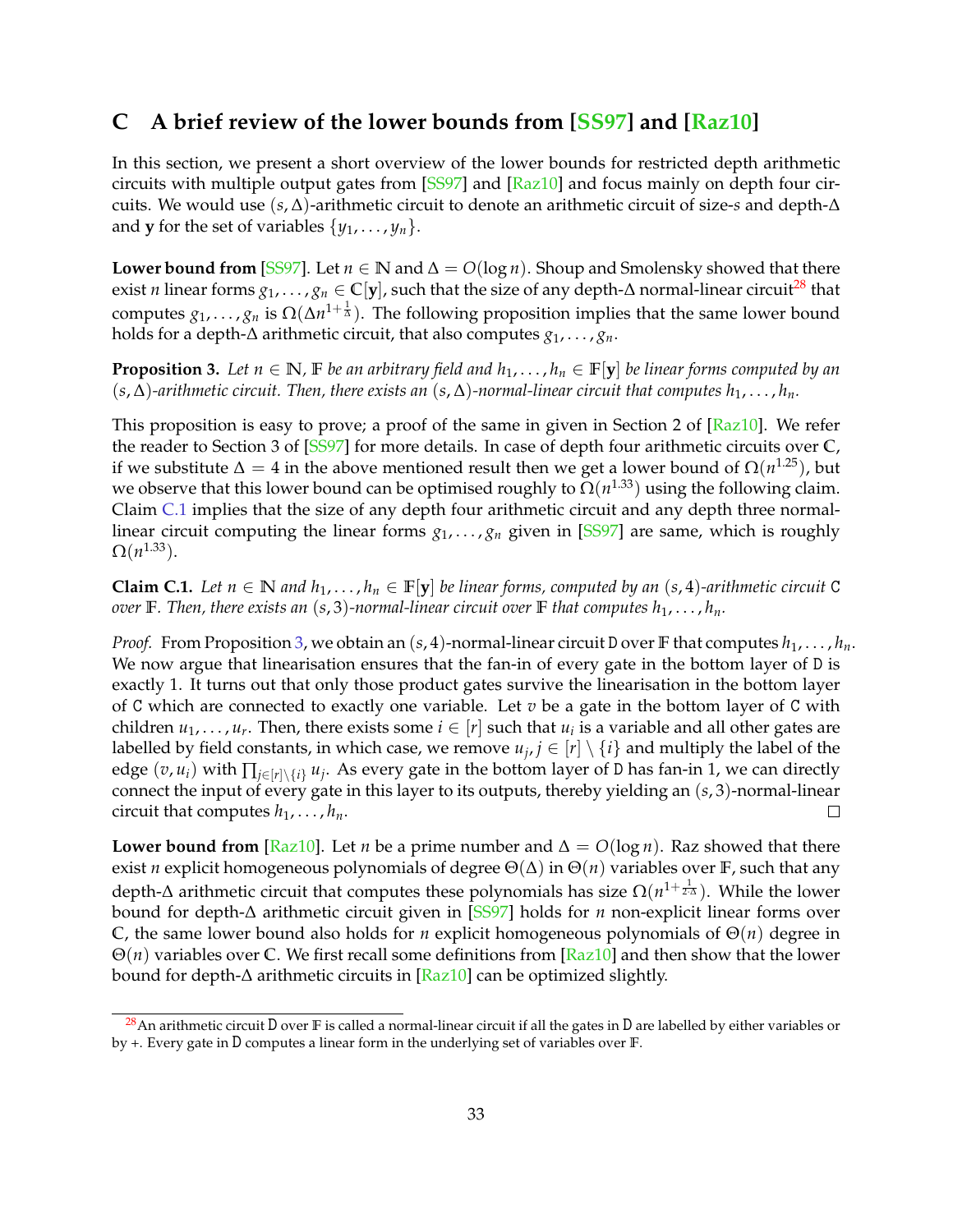## <span id="page-33-0"></span>**C A brief review of the lower bounds from [\[SS97\]](#page-26-1) and [\[Raz10\]](#page-25-0)**

In this section, we present a short overview of the lower bounds for restricted depth arithmetic circuits with multiple output gates from [\[SS97\]](#page-26-1) and [\[Raz10\]](#page-25-0) and focus mainly on depth four circuits. We would use (*s*, ∆)-arithmetic circuit to denote an arithmetic circuit of size-*s* and depth-∆ and **y** for the set of variables  $\{y_1, \ldots, y_n\}$ .

**Lower bound from [\[SS97\]](#page-26-1).** Let *n* ∈ **N** and  $\Delta$  = *O*(log *n*). Shoup and Smolensky showed that there exist *n* linear forms  $g_1, \ldots, g_n \in \mathbb{C}[\mathbf{y}]$ , such that the size of any depth- $\Delta$  normal-linear circuit<sup>[28](#page-33-1)</sup> that computes  $g_1, \ldots, g_n$  is  $\Omega(\Delta n^{1+\frac{1}{\Delta}})$ . The following proposition implies that the same lower bound holds for a depth-∆ arithmetic circuit, that also computes *g*1, . . . , *gn*.

<span id="page-33-3"></span>**Proposition 3.** Let  $n \in \mathbb{N}$ ,  $\mathbb{F}$  *be an arbitrary field and*  $h_1, \ldots, h_n \in \mathbb{F}[\mathbf{y}]$  *be linear forms computed by an*  $(s, \Delta)$ -arithmetic circuit. Then, there exists an  $(s, \Delta)$ -normal-linear circuit that computes  $h_1, \ldots, h_n$ .

This proposition is easy to prove; a proof of the same in given in Section 2 of [\[Raz10\]](#page-25-0). We refer the reader to Section 3 of [\[SS97\]](#page-26-1) for more details. In case of depth four arithmetic circuits over **C**, if we substitute  $\Delta=4$  in the above mentioned result then we get a lower bound of  $\Omega(n^{1.25})$ , but we observe that this lower bound can be optimised roughly to  $\Omega(n^{1.33})$  using the following claim. Claim [C.1](#page-33-2) implies that the size of any depth four arithmetic circuit and any depth three normallinear circuit computing the linear forms  $g_1, \ldots, g_n$  given in [\[SS97\]](#page-26-1) are same, which is roughly  $\Omega(n^{1.33})$ .

<span id="page-33-2"></span>**Claim C.1.** Let  $n \in \mathbb{N}$  and  $h_1, \ldots, h_n \in \mathbb{F}[y]$  be linear forms, computed by an (s, 4)-arithmetic circuit C *over* **F***. Then, there exists an*  $(s, 3)$ *-normal-linear circuit over F <i>that computes*  $h_1, \ldots, h_n$ .

*Proof.* From Proposition [3,](#page-33-3) we obtain an  $(s, 4)$ -normal-linear circuit D over **F** that computes  $h_1, \ldots, h_n$ . We now argue that linearisation ensures that the fan-in of every gate in the bottom layer of D is exactly 1. It turns out that only those product gates survive the linearisation in the bottom layer of C which are connected to exactly one variable. Let *v* be a gate in the bottom layer of C with children  $u_1, \ldots, u_r$ . Then, there exists some  $i \in [r]$  such that  $u_i$  is a variable and all other gates are labelled by field constants, in which case, we remove  $u_j, j \in [r] \setminus \{i\}$  and multiply the label of the edge  $(v, u_i)$  with  $\prod_{j \in [r] \setminus \{i\}} u_j$ . As every gate in the bottom layer of D has fan-in 1, we can directly connect the input of every gate in this layer to its outputs, thereby yielding an (*s*, 3)-normal-linear circuit that computes  $h_1, \ldots, h_n$ .  $\Box$ 

**Lower bound from** [\[Raz10\]](#page-25-0). Let *n* be a prime number and  $\Delta = O(\log n)$ . Raz showed that there exist *n* explicit homogeneous polynomials of degree Θ(∆) in Θ(*n*) variables over **F**, such that any depth-∆ arithmetic circuit that computes these polynomials has size  $Ω(n^{1+\frac{1}{2\cdotΔ}})$ . While the lower bound for depth-∆ arithmetic circuit given in [\[SS97\]](#page-26-1) holds for *n* non-explicit linear forms over **C**, the same lower bound also holds for *n* explicit homogeneous polynomials of Θ(*n*) degree in Θ(*n*) variables over **C**. We first recall some definitions from [\[Raz10\]](#page-25-0) and then show that the lower bound for depth-∆ arithmetic circuits in [\[Raz10\]](#page-25-0) can be optimized slightly.

<span id="page-33-1"></span><sup>28</sup>An arithmetic circuit D over **F** is called a normal-linear circuit if all the gates in D are labelled by either variables or by +. Every gate in D computes a linear form in the underlying set of variables over **F**.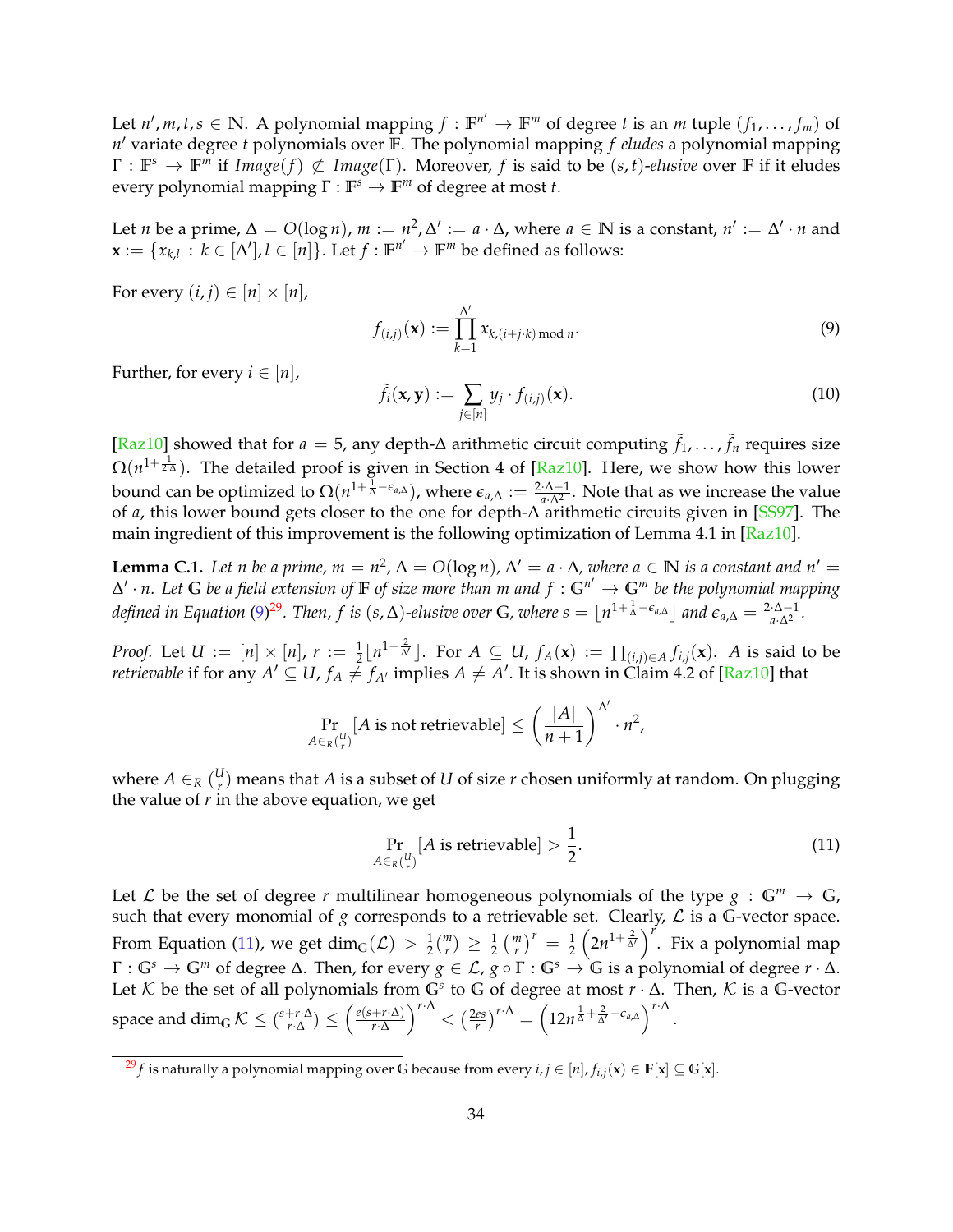Let  $n', m, t, s \in \mathbb{N}$ . A polynomial mapping  $f : \mathbb{F}^{n'} \to \mathbb{F}^m$  of degree  $t$  is an  $m$  tuple  $(f_1, \ldots, f_m)$  of *n* <sup>0</sup> variate degree *t* polynomials over **F**. The polynomial mapping *f eludes* a polynomial mapping  $\Gamma : \mathbb{F}^s \to \mathbb{F}^m$  if  $Image(f) \not\subset Image(\Gamma)$ . Moreover, f is said to be  $(s, t)$ -elusive over  $\mathbb F$  if it eludes every polynomial mapping Γ : **F** *<sup>s</sup>* → **F** *<sup>m</sup>* of degree at most *t*.

Let *n* be a prime,  $\Delta = O(\log n)$ ,  $m := n^2$ ,  $\Delta' := a \cdot \Delta$ , where  $a \in \mathbb{N}$  is a constant,  $n' := \Delta' \cdot n$  and  $\mathbf{x} := \{x_{k,l} : k \in [\Delta'], l \in [n]\}.$  Let  $f : \mathbb{F}^{n'} \to \mathbb{F}^m$  be defined as follows:

For every  $(i, j) \in [n] \times [n]$ ,

<span id="page-34-0"></span>
$$
f_{(i,j)}(\mathbf{x}) := \prod_{k=1}^{\Delta'} x_{k,(i+j\cdot k) \bmod n}.
$$
 (9)

Further, for every  $i \in [n]$ ,

$$
\tilde{f}_i(\mathbf{x}, \mathbf{y}) := \sum_{j \in [n]} y_j \cdot f_{(i,j)}(\mathbf{x}). \tag{10}
$$

[Raz10] showed that for *a* = 5, any depth-∆ arithmetic circuit computing  $\tilde{f}_1$ , . . . ,  $\tilde{f}_n$  requires size  $\Omega(n^{1+\frac{1}{2\cdot\Delta}})$ . The detailed proof is given in Section 4 of [\[Raz10\]](#page-25-0). Here, we show how this lower bound can be optimized to  $\Omega(n^{1+\frac{1}{\Delta}-\epsilon_{a,\Delta}})$ , where  $\epsilon_{a,\Delta} := \frac{2\cdot\Delta-1}{a\cdot\Delta^2}$ . Note that as we increase the value of *a*, this lower bound gets closer to the one for depth-∆ arithmetic circuits given in [\[SS97\]](#page-26-1). The main ingredient of this improvement is the following optimization of Lemma 4.1 in  $\left[\text{Raz10}\right]$ .

**Lemma C.1.** Let n be a prime,  $m = n^2$ ,  $\Delta = O(\log n)$ ,  $\Delta' = a \cdot \Delta$ , where  $a \in \mathbb{N}$  is a constant and  $n' = a$ ∆ 0 · *n. Let* **G** *be a field extension of* **F** *of size more than m and f* : **G***<sup>n</sup>* <sup>0</sup> → **G***<sup>m</sup> be the polynomial mapping defined in Equation* [\(9\)](#page-34-0)<sup>[29](#page-34-1)</sup>. Then, f is (s,  $\Delta$ )-elusive over G, where  $s = \lfloor n^{1 + \frac{1}{\Delta} - \epsilon_{a,\Delta}} \rfloor$  and  $\epsilon_{a,\Delta} = \frac{2 \cdot \Delta - 1}{a \cdot \Delta^2}$ .

*Proof.* Let  $U:=[n]\times [n]$ ,  $r:=\frac{1}{2}\lfloor n^{1-\frac{2}{M}}\rfloor$ . For  $A\subseteq U$ ,  $f_A(\mathbf{x}):=\prod_{(i,j)\in A}f_{i,j}(\mathbf{x})$ . A is said to be *retrievable* if for any  $A' \subseteq U$ ,  $f_A \neq f_{A'}$  implies  $A \neq A'$ . It is shown in Claim 4.2 of [\[Raz10\]](#page-25-0) that

$$
\Pr_{A \in R\binom{U}{r}}[A \text{ is not retrieveable}] \le \left(\frac{|A|}{n+1}\right)^{\Delta'} \cdot n^2,
$$

where  $A \in_R (\frac{U}{r})$ *r* ) means that *A* is a subset of *U* of size *r* chosen uniformly at random. On plugging the value of  $r$  in the above equation, we get

<span id="page-34-2"></span>
$$
\Pr_{A \in_R \binom{U}{r}} [A \text{ is retrieveable}] > \frac{1}{2}.\tag{11}
$$

Let L be the set of degree r multilinear homogeneous polynomials of the type  $g : \mathbb{G}^m \to \mathbb{G}$ , such that every monomial of  $g$  corresponds to a retrievable set. Clearly,  $\mathcal L$  is a G-vector space. From Equation [\(11\)](#page-34-2), we get  $\dim_{\mathbb{G}}(\mathcal{L}) > \frac{1}{2} {m \choose r}$  $\binom{m}{r} \geq \frac{1}{2} \left( \frac{m}{r} \right)^r = \frac{1}{2} \left( 2n^{1+\frac{2}{\Delta'}} \right)^r$ . Fix a polynomial map  $\Gamma: \mathbb{G}^s \to \mathbb{G}^m$  of degree  $\Delta$ . Then, for every  $g \in \mathcal{L}$ ,  $g \circ \Gamma: \mathbb{G}^s \to \mathbb{G}$  is a polynomial of degree  $r \cdot \Delta$ . Let K be the set of all polynomials from  $G^s$  to G of degree at most  $r \cdot \Delta$ . Then, K is a G-vector space and  $\dim_{\mathbb{G}} \mathcal{K} \leq \binom{s+r\cdot\Delta}{r\cdot\Delta}$  $\binom{+r \cdot \Delta}{r \cdot \Delta}$   $\leq$   $\left(\frac{e(s+r \cdot \Delta)}{r \cdot \Delta}\right)$  $\left(\frac{2e s}{r}\right)^{r\cdot\Delta} < \left(\frac{2e s}{r}\right)^{r\cdot\Delta} = \left(12n^{\frac{1}{\Delta} + \frac{2}{\Delta'} - \epsilon_{a,\Delta}}\right)^{r\cdot\Delta}.$ 

<span id="page-34-1"></span> $^{29}f$  is naturally a polynomial mapping over G because from every  $i, j \in [n]$ ,  $f_{i,j}(\mathbf{x}) \in \mathbb{F}[\mathbf{x}] \subseteq \mathbb{G}[\mathbf{x}]$ .